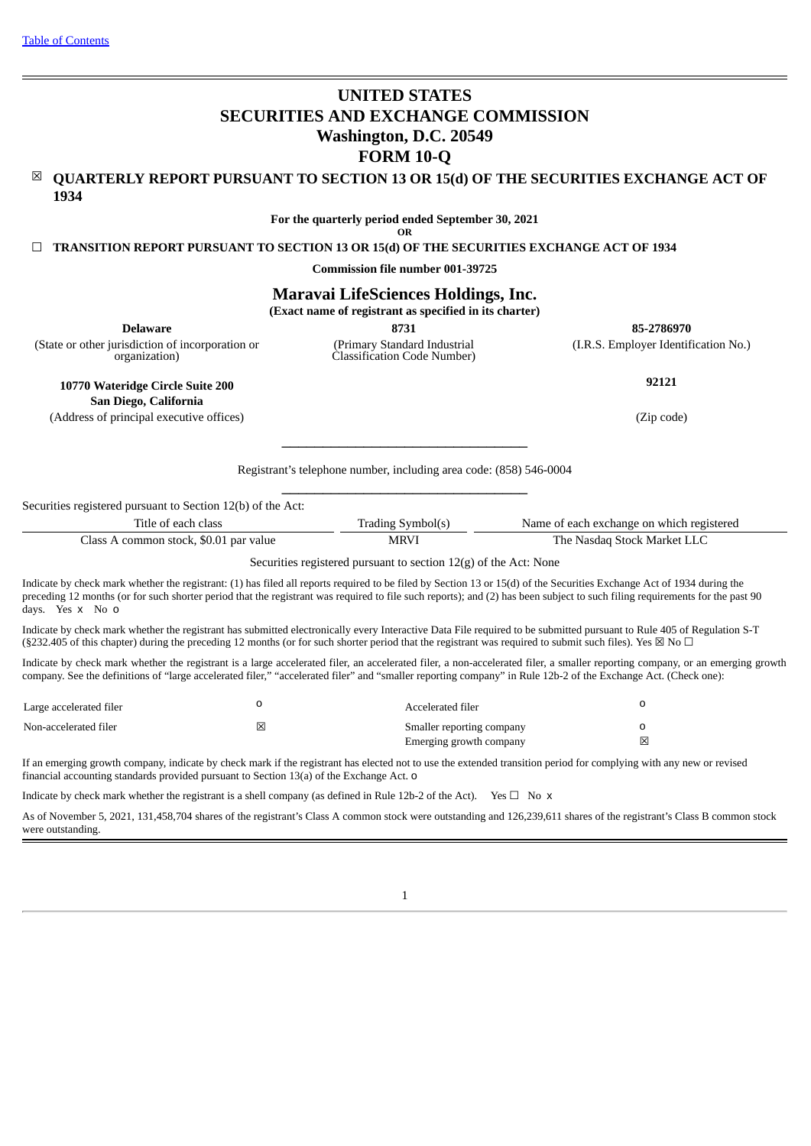# **UNITED STATES SECURITIES AND EXCHANGE COMMISSION Washington, D.C. 20549 FORM 10-Q**

☒ **QUARTERLY REPORT PURSUANT TO SECTION 13 OR 15(d) OF THE SECURITIES EXCHANGE ACT OF 1934**

> **For the quarterly period ended September 30, 2021 OR**

☐ **TRANSITION REPORT PURSUANT TO SECTION 13 OR 15(d) OF THE SECURITIES EXCHANGE ACT OF 1934**

**Commission file number 001-39725**

# **Maravai LifeSciences Holdings, Inc.**

**(Exact name of registrant as specified in its charter)**

**Delaware 8731 85-2786970** (I.R.S. Employer Identification No.)

(State or other jurisdiction of incorporation or organization)

**10770 Wateridge Circle Suite 200**

(Primary Standard Industrial Classification Code Number)

**92121**

**San Diego, California** (Address of principal executive offices) (Zip code)

> Registrant's telephone number, including area code: (858) 546-0004  $\_$

 $\_$ 

|  |  | Securities registered pursuant to Section 12(b) of the Act: |  |  |  |  |  |
|--|--|-------------------------------------------------------------|--|--|--|--|--|
|--|--|-------------------------------------------------------------|--|--|--|--|--|

| l'itle of each class.                   | ! Symbol(s<br>Frading | Name of each exchange on which registered |
|-----------------------------------------|-----------------------|-------------------------------------------|
| Class<br>common stock, \$0.01 par value | <b>MRV</b>            | The .<br>Nasdag Stock Market LLC •        |

Securities registered pursuant to section 12(g) of the Act: None

Indicate by check mark whether the registrant: (1) has filed all reports required to be filed by Section 13 or 15(d) of the Securities Exchange Act of 1934 during the preceding 12 months (or for such shorter period that the registrant was required to file such reports); and (2) has been subject to such filing requirements for the past 90 days. Yes x No o

Indicate by check mark whether the registrant has submitted electronically every Interactive Data File required to be submitted pursuant to Rule 405 of Regulation S-T (§232.405 of this chapter) during the preceding 12 months (or for such shorter period that the registrant was required to submit such files). Yes  $\boxtimes$  No  $\Box$ 

Indicate by check mark whether the registrant is a large accelerated filer, an accelerated filer, a non-accelerated filer, a smaller reporting company, or an emerging growth company. See the definitions of "large accelerated filer," "accelerated filer" and "smaller reporting company" in Rule 12b-2 of the Exchange Act. (Check one):

| Large accelerated filer |   | Accelerated filer         |   |
|-------------------------|---|---------------------------|---|
| Non-accelerated filer   | ⊠ | Smaller reporting company |   |
|                         |   | Emerging growth company   | 冈 |

If an emerging growth company, indicate by check mark if the registrant has elected not to use the extended transition period for complying with any new or revised financial accounting standards provided pursuant to Section 13(a) of the Exchange Act. o

Indicate by check mark whether the registrant is a shell company (as defined in Rule 12b-2 of the Act). Yes  $\Box$  No  $\times$ 

<span id="page-0-0"></span>As of November 5, 2021, 131,458,704 shares of the registrant's Class A common stock were outstanding and 126,239,611 shares of the registrant's Class B common stock were outstanding.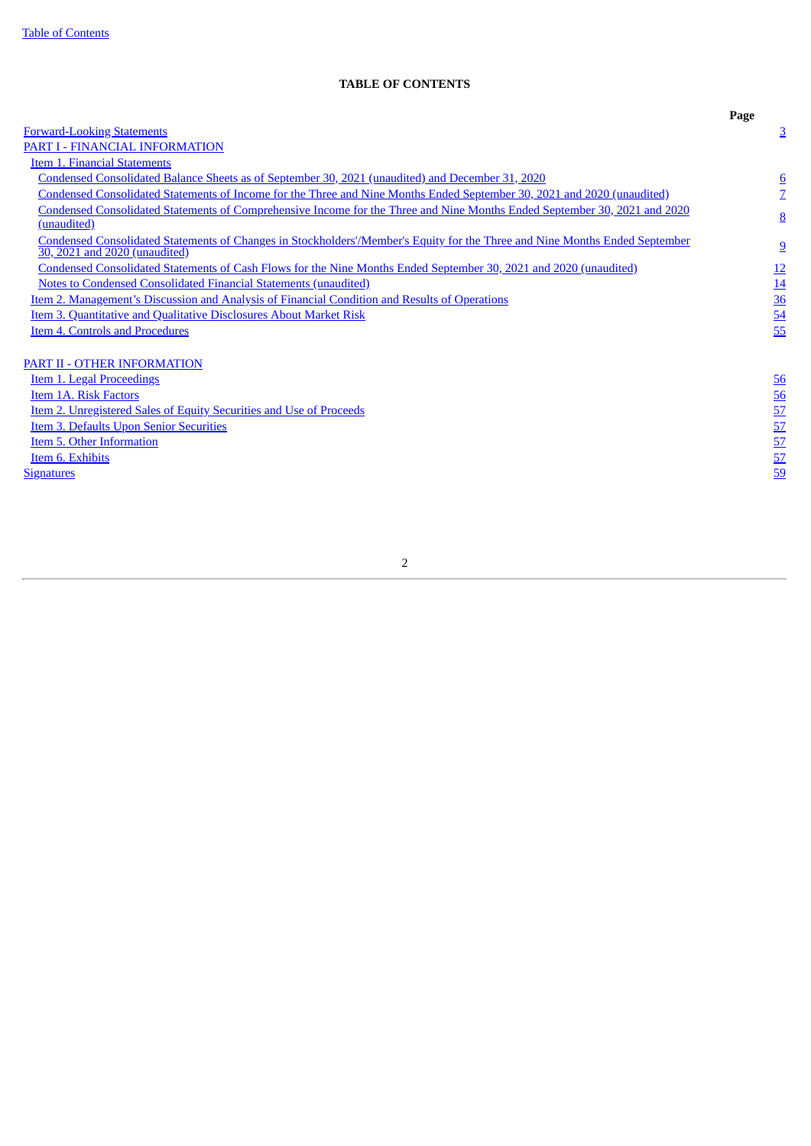# **TABLE OF CONTENTS**

<span id="page-1-0"></span>

|                                                                                                                                                              | Page                               |
|--------------------------------------------------------------------------------------------------------------------------------------------------------------|------------------------------------|
| <b>Forward-Looking Statements</b>                                                                                                                            | $\overline{3}$                     |
| PART I - FINANCIAL INFORMATION                                                                                                                               |                                    |
| <b>Item 1. Financial Statements</b>                                                                                                                          |                                    |
| Condensed Consolidated Balance Sheets as of September 30, 2021 (unaudited) and December 31, 2020                                                             |                                    |
| Condensed Consolidated Statements of Income for the Three and Nine Months Ended September 30, 2021 and 2020 (unaudited)                                      | $\frac{6}{7}$                      |
| Condensed Consolidated Statements of Comprehensive Income for the Three and Nine Months Ended September 30, 2021 and 2020                                    |                                    |
| (unaudited)                                                                                                                                                  | $\underline{8}$                    |
| Condensed Consolidated Statements of Changes in Stockholders'/Member's Equity for the Three and Nine Months Ended September<br>30, 2021 and 2020 (unaudited) | $\overline{9}$                     |
| Condensed Consolidated Statements of Cash Flows for the Nine Months Ended September 30, 2021 and 2020 (unaudited)                                            | 12                                 |
| <b>Notes to Condensed Consolidated Financial Statements (unaudited)</b>                                                                                      | 14                                 |
| Item 2. Management's Discussion and Analysis of Financial Condition and Results of Operations                                                                |                                    |
| <b>Item 3. Quantitative and Qualitative Disclosures About Market Risk</b>                                                                                    | $\frac{36}{54}$                    |
| <b>Item 4. Controls and Procedures</b>                                                                                                                       | 55                                 |
|                                                                                                                                                              |                                    |
| PART II - OTHER INFORMATION                                                                                                                                  |                                    |
| Item 1. Legal Proceedings                                                                                                                                    | 56                                 |
| Item 1A. Risk Factors                                                                                                                                        |                                    |
| Item 2. Unregistered Sales of Equity Securities and Use of Proceeds                                                                                          | $\frac{56}{57}$<br>$\frac{57}{57}$ |
| <b>Item 3. Defaults Upon Senior Securities</b>                                                                                                               |                                    |
| Item 5. Other Information                                                                                                                                    |                                    |
| Item 6. Exhibits                                                                                                                                             | 57                                 |
| <b>Signatures</b>                                                                                                                                            | 59                                 |
|                                                                                                                                                              |                                    |
|                                                                                                                                                              |                                    |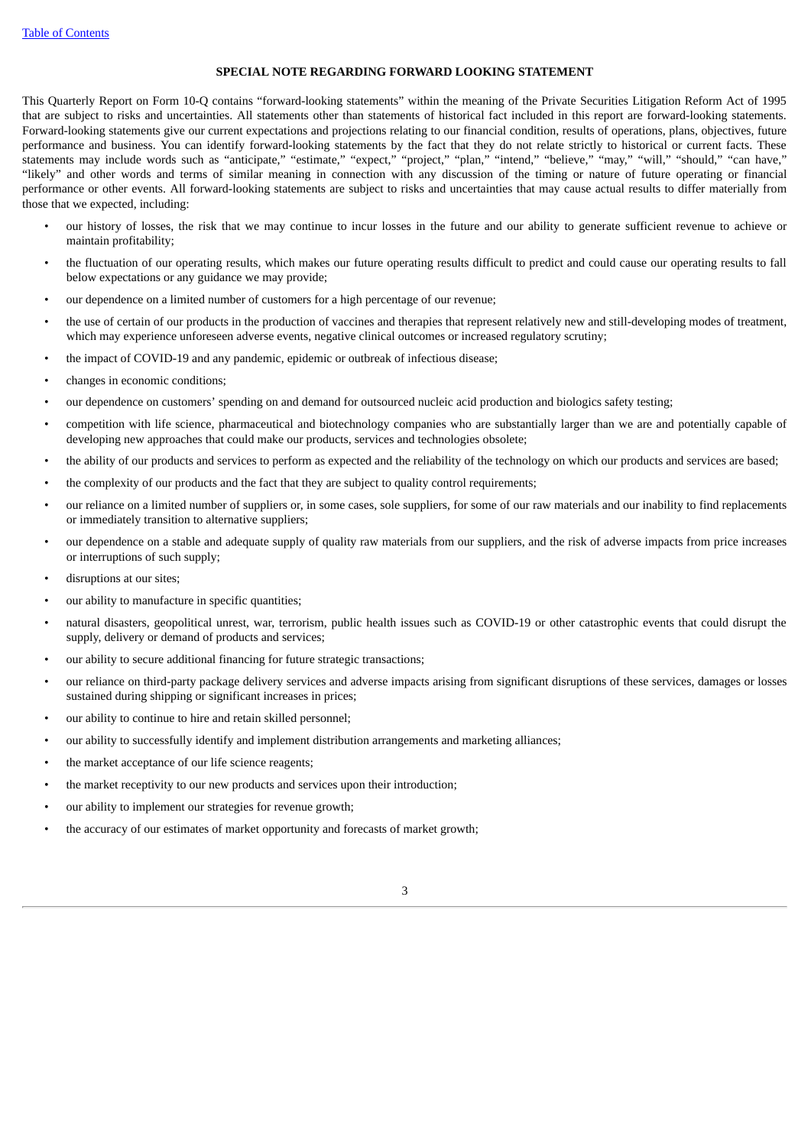# **SPECIAL NOTE REGARDING FORWARD LOOKING STATEMENT**

This Quarterly Report on Form 10-Q contains "forward-looking statements" within the meaning of the Private Securities Litigation Reform Act of 1995 that are subject to risks and uncertainties. All statements other than statements of historical fact included in this report are forward-looking statements. Forward-looking statements give our current expectations and projections relating to our financial condition, results of operations, plans, objectives, future performance and business. You can identify forward-looking statements by the fact that they do not relate strictly to historical or current facts. These statements may include words such as "anticipate," "estimate," "expect," "project," "plan," "intend," "believe," "may," "will," "should," "can have," "likely" and other words and terms of similar meaning in connection with any discussion of the timing or nature of future operating or financial performance or other events. All forward-looking statements are subject to risks and uncertainties that may cause actual results to differ materially from those that we expected, including:

- our history of losses, the risk that we may continue to incur losses in the future and our ability to generate sufficient revenue to achieve or maintain profitability;
- the fluctuation of our operating results, which makes our future operating results difficult to predict and could cause our operating results to fall below expectations or any guidance we may provide;
- our dependence on a limited number of customers for a high percentage of our revenue;
- the use of certain of our products in the production of vaccines and therapies that represent relatively new and still-developing modes of treatment, which may experience unforeseen adverse events, negative clinical outcomes or increased regulatory scrutiny;
- the impact of COVID-19 and any pandemic, epidemic or outbreak of infectious disease;
- changes in economic conditions;
- our dependence on customers' spending on and demand for outsourced nucleic acid production and biologics safety testing;
- competition with life science, pharmaceutical and biotechnology companies who are substantially larger than we are and potentially capable of developing new approaches that could make our products, services and technologies obsolete;
- the ability of our products and services to perform as expected and the reliability of the technology on which our products and services are based;
- the complexity of our products and the fact that they are subject to quality control requirements;
- our reliance on a limited number of suppliers or, in some cases, sole suppliers, for some of our raw materials and our inability to find replacements or immediately transition to alternative suppliers;
- our dependence on a stable and adequate supply of quality raw materials from our suppliers, and the risk of adverse impacts from price increases or interruptions of such supply;
- disruptions at our sites;
- our ability to manufacture in specific quantities;
- natural disasters, geopolitical unrest, war, terrorism, public health issues such as COVID-19 or other catastrophic events that could disrupt the supply, delivery or demand of products and services;
- our ability to secure additional financing for future strategic transactions;
- our reliance on third-party package delivery services and adverse impacts arising from significant disruptions of these services, damages or losses sustained during shipping or significant increases in prices;
- our ability to continue to hire and retain skilled personnel;
- our ability to successfully identify and implement distribution arrangements and marketing alliances;
- the market acceptance of our life science reagents;
- the market receptivity to our new products and services upon their introduction;
- our ability to implement our strategies for revenue growth;
- the accuracy of our estimates of market opportunity and forecasts of market growth;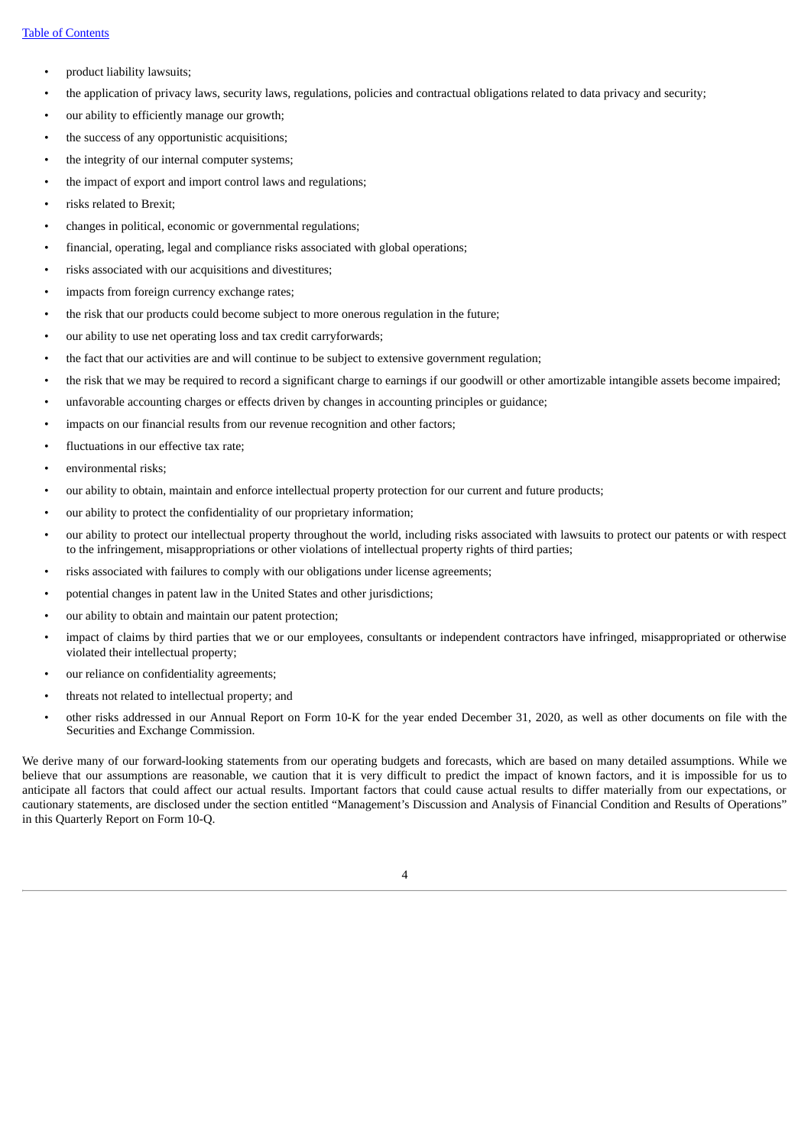- product liability lawsuits;
- the application of privacy laws, security laws, regulations, policies and contractual obligations related to data privacy and security;
- our ability to efficiently manage our growth;
- the success of any opportunistic acquisitions;
- the integrity of our internal computer systems;
- the impact of export and import control laws and regulations;
- risks related to Brexit;
- changes in political, economic or governmental regulations;
- financial, operating, legal and compliance risks associated with global operations;
- risks associated with our acquisitions and divestitures;
- impacts from foreign currency exchange rates;
- the risk that our products could become subject to more onerous regulation in the future;
- our ability to use net operating loss and tax credit carryforwards;
- the fact that our activities are and will continue to be subject to extensive government regulation;
- the risk that we may be required to record a significant charge to earnings if our goodwill or other amortizable intangible assets become impaired;
- unfavorable accounting charges or effects driven by changes in accounting principles or guidance;
- impacts on our financial results from our revenue recognition and other factors;
- fluctuations in our effective tax rate;
- environmental risks;
- our ability to obtain, maintain and enforce intellectual property protection for our current and future products;
- our ability to protect the confidentiality of our proprietary information;
- our ability to protect our intellectual property throughout the world, including risks associated with lawsuits to protect our patents or with respect to the infringement, misappropriations or other violations of intellectual property rights of third parties;
- risks associated with failures to comply with our obligations under license agreements;
- potential changes in patent law in the United States and other jurisdictions;
- our ability to obtain and maintain our patent protection;
- impact of claims by third parties that we or our employees, consultants or independent contractors have infringed, misappropriated or otherwise violated their intellectual property;
- our reliance on confidentiality agreements;
- threats not related to intellectual property; and
- other risks addressed in our Annual Report on Form 10-K for the year ended December 31, 2020, as well as other documents on file with the Securities and Exchange Commission.

We derive many of our forward-looking statements from our operating budgets and forecasts, which are based on many detailed assumptions. While we believe that our assumptions are reasonable, we caution that it is very difficult to predict the impact of known factors, and it is impossible for us to anticipate all factors that could affect our actual results. Important factors that could cause actual results to differ materially from our expectations, or cautionary statements, are disclosed under the section entitled "Management's Discussion and Analysis of Financial Condition and Results of Operations" in this Quarterly Report on Form 10-Q.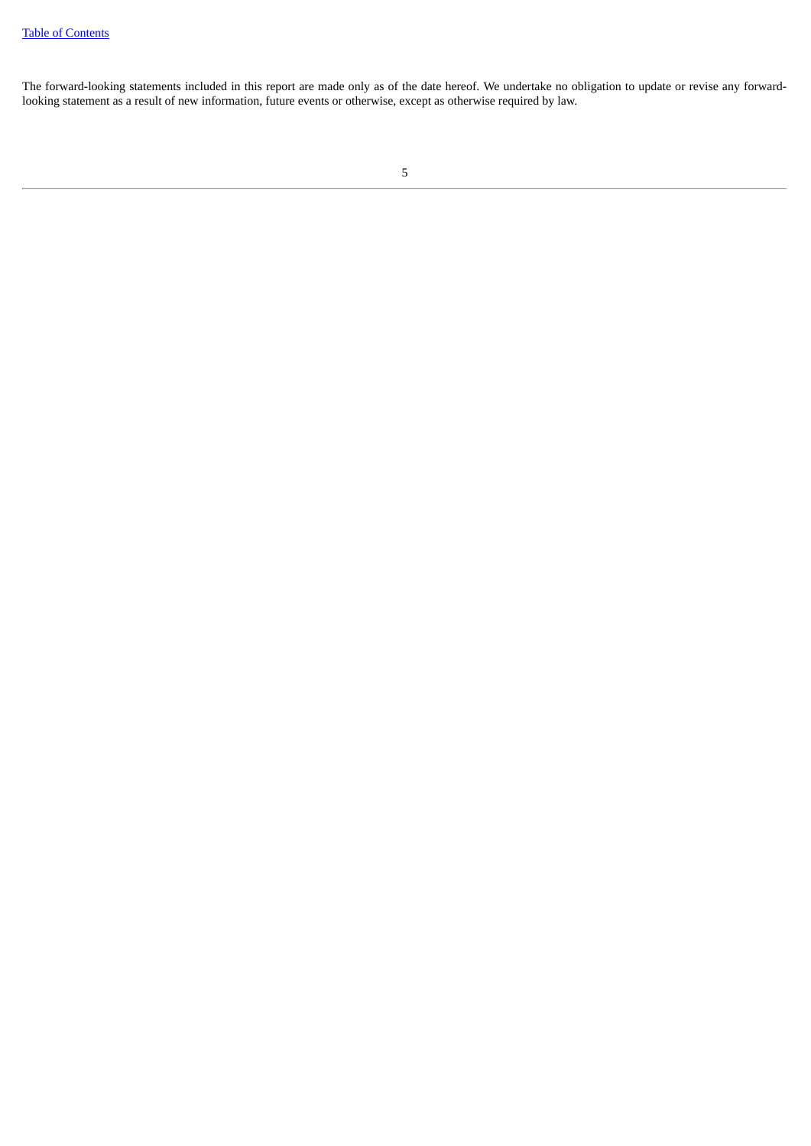<span id="page-4-0"></span>The forward-looking statements included in this report are made only as of the date hereof. We undertake no obligation to update or revise any forwardlooking statement as a result of new information, future events or otherwise, except as otherwise required by law.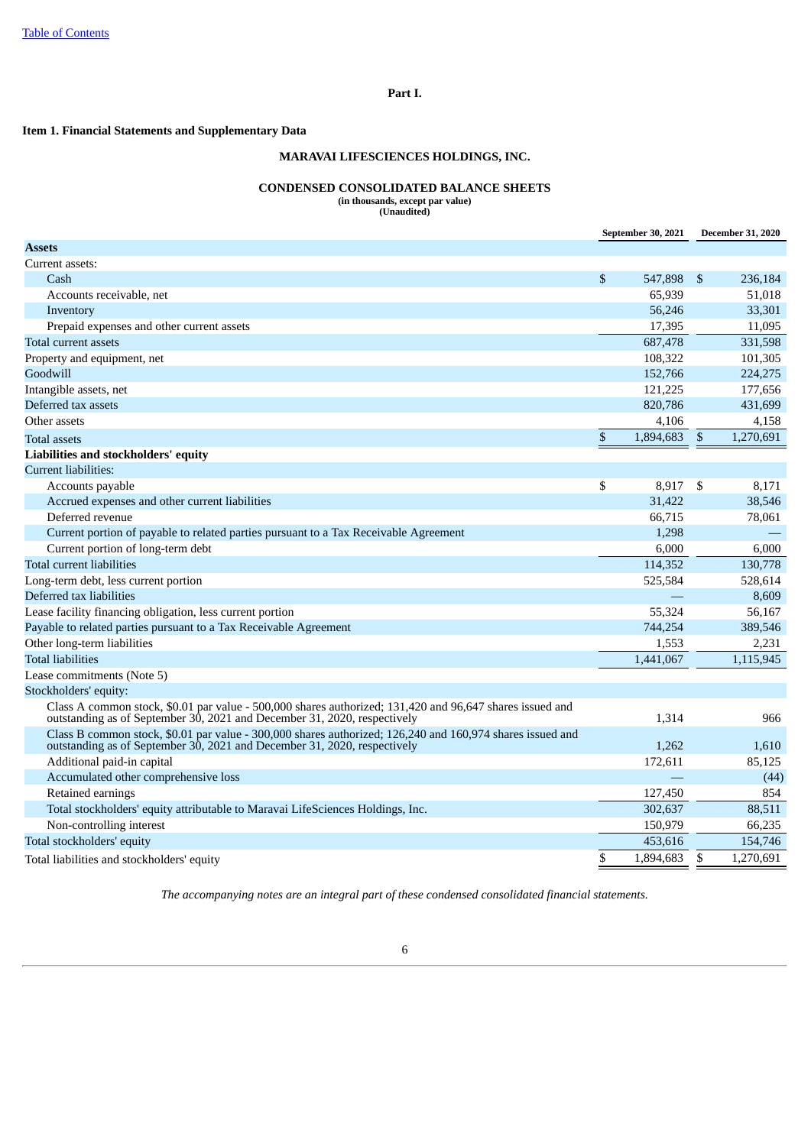# **Part I.**

# <span id="page-5-1"></span><span id="page-5-0"></span>**Item 1. Financial Statements and Supplementary Data**

# **MARAVAI LIFESCIENCES HOLDINGS, INC.**

#### **CONDENSED CONSOLIDATED BALANCE SHEETS (in thousands, except par value)**

**(Unaudited)**

|                                                                                                                                                                                       |      | September 30, 2021 |                | <b>December 31, 2020</b> |
|---------------------------------------------------------------------------------------------------------------------------------------------------------------------------------------|------|--------------------|----------------|--------------------------|
| <b>Assets</b>                                                                                                                                                                         |      |                    |                |                          |
| Current assets:                                                                                                                                                                       |      |                    |                |                          |
| Cash                                                                                                                                                                                  | \$   | 547,898            | \$             | 236,184                  |
| Accounts receivable, net                                                                                                                                                              |      | 65,939             |                | 51,018                   |
| Inventory                                                                                                                                                                             |      | 56,246             |                | 33,301                   |
| Prepaid expenses and other current assets                                                                                                                                             |      | 17,395             |                | 11,095                   |
| Total current assets                                                                                                                                                                  |      | 687,478            |                | 331,598                  |
| Property and equipment, net                                                                                                                                                           |      | 108,322            |                | 101,305                  |
| Goodwill                                                                                                                                                                              |      | 152,766            |                | 224,275                  |
| Intangible assets, net                                                                                                                                                                |      | 121,225            |                | 177,656                  |
| Deferred tax assets                                                                                                                                                                   |      | 820,786            |                | 431,699                  |
| Other assets                                                                                                                                                                          |      | 4,106              |                | 4,158                    |
| <b>Total assets</b>                                                                                                                                                                   | $\$$ | 1,894,683          | $\mathfrak{S}$ | 1,270,691                |
| Liabilities and stockholders' equity                                                                                                                                                  |      |                    |                |                          |
| Current liabilities:                                                                                                                                                                  |      |                    |                |                          |
| Accounts payable                                                                                                                                                                      | \$   | 8,917              | \$             | 8,171                    |
| Accrued expenses and other current liabilities                                                                                                                                        |      | 31,422             |                | 38,546                   |
| Deferred revenue                                                                                                                                                                      |      | 66,715             |                | 78,061                   |
| Current portion of payable to related parties pursuant to a Tax Receivable Agreement                                                                                                  |      | 1,298              |                |                          |
| Current portion of long-term debt                                                                                                                                                     |      | 6,000              |                | 6,000                    |
| Total current liabilities                                                                                                                                                             |      | 114,352            |                | 130,778                  |
| Long-term debt, less current portion                                                                                                                                                  |      | 525,584            |                | 528,614                  |
| Deferred tax liabilities                                                                                                                                                              |      |                    |                | 8,609                    |
| Lease facility financing obligation, less current portion                                                                                                                             |      | 55,324             |                | 56,167                   |
| Payable to related parties pursuant to a Tax Receivable Agreement                                                                                                                     |      | 744.254            |                | 389,546                  |
| Other long-term liabilities                                                                                                                                                           |      | 1,553              |                | 2,231                    |
| <b>Total liabilities</b>                                                                                                                                                              |      | 1,441,067          |                | 1,115,945                |
| Lease commitments (Note 5)                                                                                                                                                            |      |                    |                |                          |
| Stockholders' equity:                                                                                                                                                                 |      |                    |                |                          |
| Class A common stock, \$0.01 par value - 500,000 shares authorized; 131,420 and 96,647 shares issued and<br>outstanding as of September 30, 2021 and December 31, 2020, respectively  |      | 1,314              |                | 966                      |
| Class B common stock, \$0.01 par value - 300,000 shares authorized; 126,240 and 160,974 shares issued and<br>outstanding as of September 30, 2021 and December 31, 2020, respectively |      | 1,262              |                | 1,610                    |
| Additional paid-in capital                                                                                                                                                            |      | 172,611            |                | 85,125                   |
| Accumulated other comprehensive loss                                                                                                                                                  |      |                    |                | (44)                     |
| Retained earnings                                                                                                                                                                     |      | 127,450            |                | 854                      |
| Total stockholders' equity attributable to Maravai LifeSciences Holdings, Inc.                                                                                                        |      | 302,637            |                | 88,511                   |
| Non-controlling interest                                                                                                                                                              |      | 150,979            |                | 66,235                   |
| Total stockholders' equity                                                                                                                                                            |      | 453,616            |                | 154,746                  |
| Total liabilities and stockholders' equity                                                                                                                                            | \$   | 1,894,683          | \$             | 1,270,691                |
|                                                                                                                                                                                       |      |                    |                |                          |

<span id="page-5-2"></span>*The accompanying notes are an integral part of these condensed consolidated financial statements.*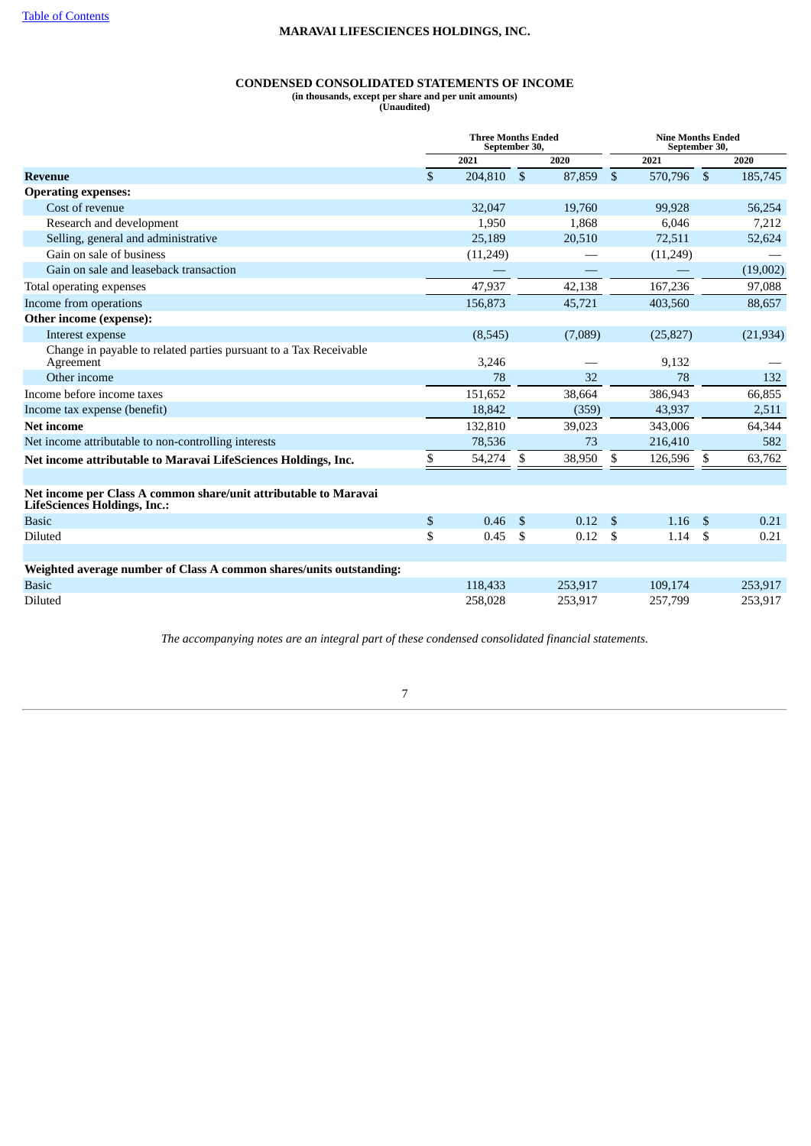# **CONDENSED CONSOLIDATED STATEMENTS OF INCOME**

**(in thousands, except per share and per unit amounts)**

**(Unaudited)**

|                                                                                                         |               | <b>Three Months Ended</b><br>September 30, |                |         |                |           | <b>Nine Months Ended</b><br>September 30, |           |  |
|---------------------------------------------------------------------------------------------------------|---------------|--------------------------------------------|----------------|---------|----------------|-----------|-------------------------------------------|-----------|--|
|                                                                                                         |               | 2021                                       |                | 2020    |                | 2021      |                                           | 2020      |  |
| <b>Revenue</b>                                                                                          | $\mathbf{\$}$ | 204,810                                    | $\mathfrak{S}$ | 87,859  | $\mathfrak{S}$ | 570,796   | $\mathfrak{s}$                            | 185,745   |  |
| <b>Operating expenses:</b>                                                                              |               |                                            |                |         |                |           |                                           |           |  |
| Cost of revenue                                                                                         |               | 32,047                                     |                | 19,760  |                | 99.928    |                                           | 56,254    |  |
| Research and development                                                                                |               | 1,950                                      |                | 1,868   |                | 6,046     |                                           | 7,212     |  |
| Selling, general and administrative                                                                     |               | 25,189                                     |                | 20,510  |                | 72,511    |                                           | 52,624    |  |
| Gain on sale of business                                                                                |               | (11,249)                                   |                |         |                | (11,249)  |                                           |           |  |
| Gain on sale and leaseback transaction                                                                  |               |                                            |                |         |                |           |                                           | (19,002)  |  |
| Total operating expenses                                                                                |               | 47,937                                     |                | 42,138  |                | 167,236   |                                           | 97,088    |  |
| Income from operations                                                                                  |               | 156,873                                    |                | 45,721  |                | 403,560   |                                           | 88,657    |  |
| Other income (expense):                                                                                 |               |                                            |                |         |                |           |                                           |           |  |
| Interest expense                                                                                        |               | (8,545)                                    |                | (7,089) |                | (25, 827) |                                           | (21, 934) |  |
| Change in payable to related parties pursuant to a Tax Receivable<br>Agreement                          |               | 3,246                                      |                |         |                | 9,132     |                                           |           |  |
| Other income                                                                                            |               | 78                                         |                | 32      |                | 78        |                                           | 132       |  |
| Income before income taxes                                                                              |               | 151,652                                    |                | 38,664  |                | 386,943   |                                           | 66,855    |  |
| Income tax expense (benefit)                                                                            |               | 18.842                                     |                | (359)   |                | 43,937    |                                           | 2,511     |  |
| <b>Net income</b>                                                                                       |               | 132,810                                    |                | 39,023  |                | 343,006   |                                           | 64,344    |  |
| Net income attributable to non-controlling interests                                                    |               | 78,536                                     |                | 73      |                | 216,410   |                                           | 582       |  |
| Net income attributable to Maravai LifeSciences Holdings, Inc.                                          | \$            | 54,274                                     | \$             | 38,950  | \$             | 126,596   | \$                                        | 63,762    |  |
| Net income per Class A common share/unit attributable to Maravai<br><b>LifeSciences Holdings, Inc.:</b> |               |                                            |                |         |                |           |                                           |           |  |
| <b>Basic</b>                                                                                            | \$            | 0.46                                       | $\mathfrak{S}$ | 0.12    | $^{\circ}$     | 1.16      | \$                                        | 0.21      |  |
| Diluted                                                                                                 | \$            | 0.45                                       | -\$            | 0.12    | <b>S</b>       | 1.14      | \$                                        | 0.21      |  |
| Weighted average number of Class A common shares/units outstanding:                                     |               |                                            |                |         |                |           |                                           |           |  |
| <b>Basic</b>                                                                                            |               | 118,433                                    |                | 253,917 |                | 109,174   |                                           | 253,917   |  |
| <b>Diluted</b>                                                                                          |               | 258,028                                    |                | 253,917 |                | 257,799   |                                           | 253,917   |  |

<span id="page-6-0"></span>*The accompanying notes are an integral part of these condensed consolidated financial statements.*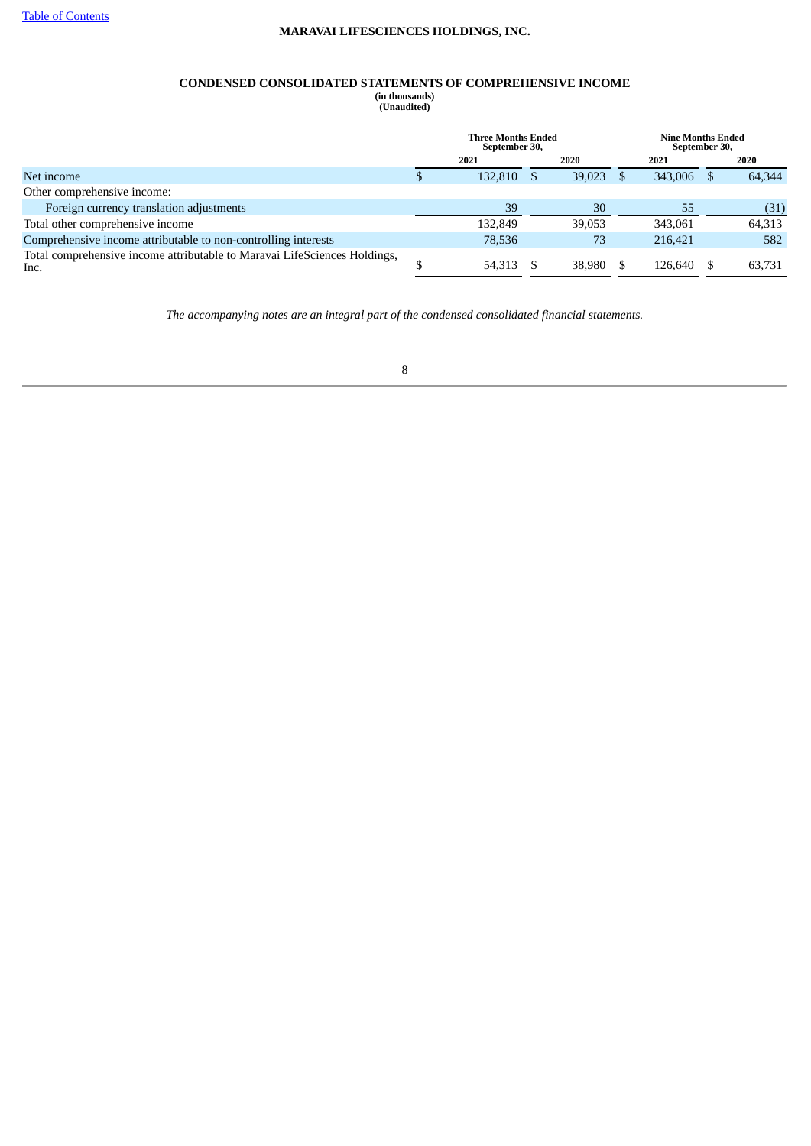# **CONDENSED CONSOLIDATED STATEMENTS OF COMPREHENSIVE INCOME**

**(in thousands) (Unaudited)**

|                                                                                   | <b>Three Months Ended</b><br>September 30, |        | <b>Nine Months Ended</b><br>September 30, |        |
|-----------------------------------------------------------------------------------|--------------------------------------------|--------|-------------------------------------------|--------|
|                                                                                   | 2021                                       | 2020   | 2021                                      | 2020   |
| Net income                                                                        | 132,810                                    | 39,023 | 343,006                                   | 64.344 |
| Other comprehensive income:                                                       |                                            |        |                                           |        |
| Foreign currency translation adjustments                                          | 39                                         | 30     | 55                                        | (31)   |
| Total other comprehensive income                                                  | 132,849                                    | 39.053 | 343,061                                   | 64,313 |
| Comprehensive income attributable to non-controlling interests                    | 78,536                                     | 73     | 216,421                                   | 582    |
| Total comprehensive income attributable to Maravai LifeSciences Holdings,<br>Inc. | 54,313                                     | 38,980 | 126.640                                   | 63,731 |

<span id="page-7-0"></span>*The accompanying notes are an integral part of the condensed consolidated financial statements.*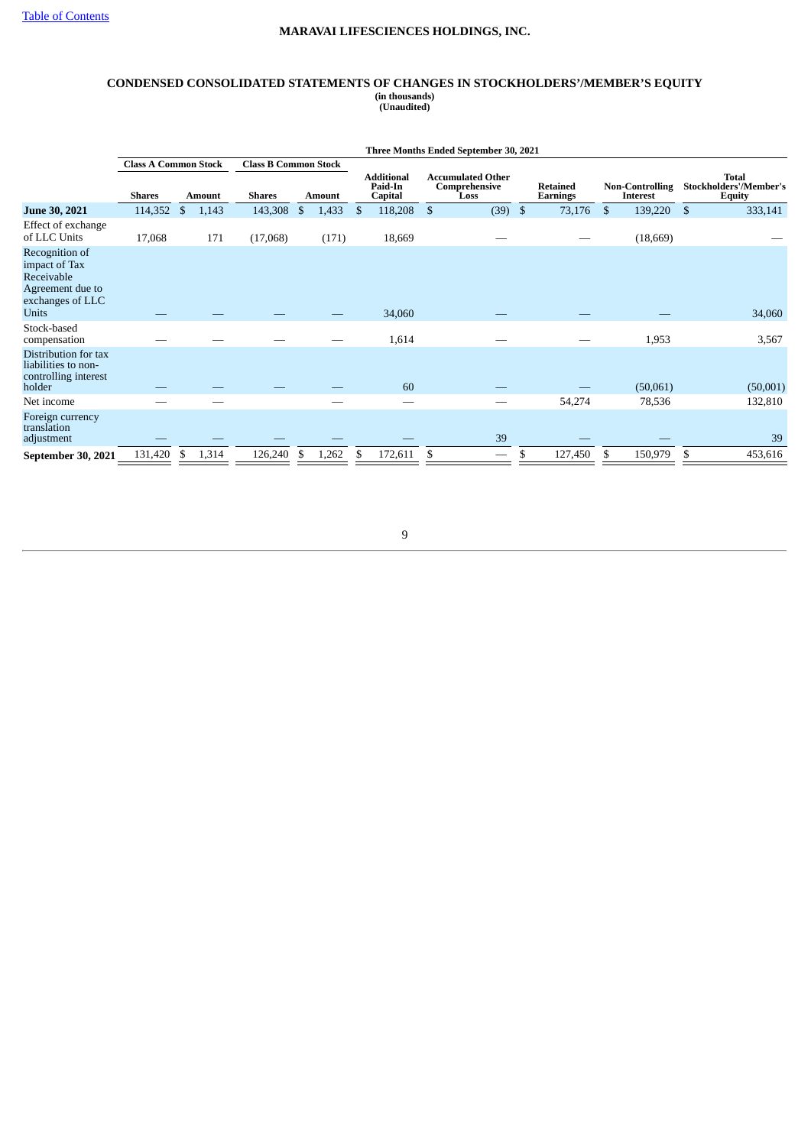#### **CONDENSED CONSOLIDATED STATEMENTS OF CHANGES IN STOCKHOLDERS'/MEMBER'S EQUITY (in thousands) (Unaudited)**

|                                                                                                | Three Months Ended September 30, 2021 |               |                             |               |  |                                         |                |                                                   |    |                             |    |                 |                |                        |  |                                                  |
|------------------------------------------------------------------------------------------------|---------------------------------------|---------------|-----------------------------|---------------|--|-----------------------------------------|----------------|---------------------------------------------------|----|-----------------------------|----|-----------------|----------------|------------------------|--|--------------------------------------------------|
|                                                                                                | <b>Class A Common Stock</b>           |               | <b>Class B Common Stock</b> |               |  |                                         |                |                                                   |    |                             |    |                 |                |                        |  |                                                  |
|                                                                                                | <b>Shares</b>                         | <b>Amount</b> | <b>Shares</b>               | <b>Amount</b> |  | <b>Additional</b><br>Paid-In<br>Capital |                | <b>Accumulated Other</b><br>Comprehensive<br>Loss |    | <b>Retained</b><br>Earnings |    | <b>Interest</b> |                | <b>Non-Controlling</b> |  | <b>Total</b><br>Stockholders'/Member's<br>Equity |
| June 30, 2021                                                                                  | 114,352                               | \$<br>1,143   | 143,308                     | \$<br>1,433   |  | 118,208<br>\$                           | $\mathfrak{S}$ | (39)                                              | \$ | 73,176                      | \$ | 139,220         | $\mathfrak{S}$ | 333,141                |  |                                                  |
| Effect of exchange<br>of LLC Units                                                             | 17,068                                | 171           | (17,068)                    | (171)         |  | 18,669                                  |                |                                                   |    |                             |    | (18,669)        |                |                        |  |                                                  |
| Recognition of<br>impact of Tax<br>Receivable<br>Agreement due to<br>exchanges of LLC<br>Units |                                       |               |                             |               |  | 34,060                                  |                |                                                   |    |                             |    |                 |                | 34,060                 |  |                                                  |
| Stock-based<br>compensation                                                                    |                                       |               |                             |               |  | 1,614                                   |                |                                                   |    |                             |    | 1,953           |                | 3,567                  |  |                                                  |
| Distribution for tax<br>liabilities to non-<br>controlling interest<br>holder                  |                                       |               |                             |               |  | 60                                      |                |                                                   |    |                             |    | (50,061)        |                | (50,001)               |  |                                                  |
| Net income                                                                                     |                                       |               |                             |               |  | --                                      |                |                                                   |    | 54,274                      |    | 78,536          |                | 132,810                |  |                                                  |
| Foreign currency<br>translation<br>adjustment                                                  |                                       |               |                             |               |  |                                         |                | 39                                                |    |                             |    |                 |                | 39                     |  |                                                  |
| September 30, 2021                                                                             | 131,420                               | 1,314<br>\$   | 126,240                     | 1,262<br>S.   |  | 172,611<br>\$                           | \$             |                                                   | \$ | 127,450                     | \$ | 150,979         | \$             | 453,616                |  |                                                  |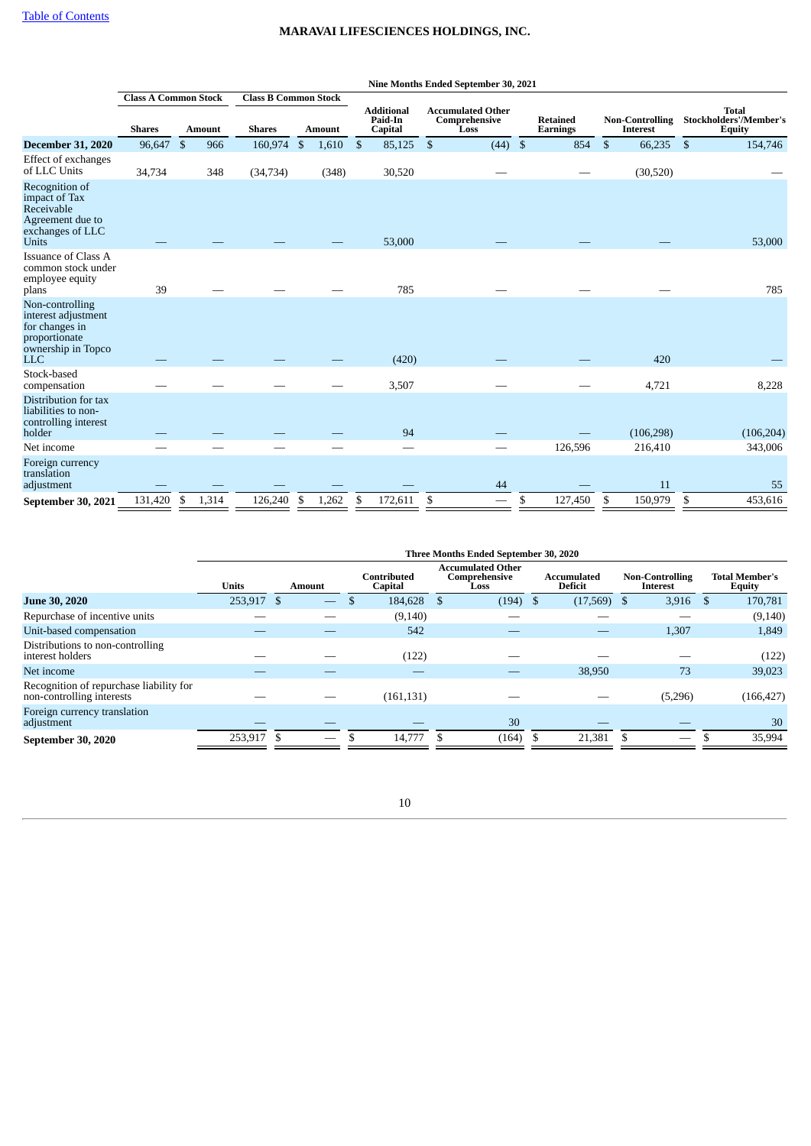|                                                                                                               |                             |               |                             |               |                |                                         |                | Nine Months Ended September 30, 2021              |                                    |                |                                           |     |                                                                |
|---------------------------------------------------------------------------------------------------------------|-----------------------------|---------------|-----------------------------|---------------|----------------|-----------------------------------------|----------------|---------------------------------------------------|------------------------------------|----------------|-------------------------------------------|-----|----------------------------------------------------------------|
|                                                                                                               | <b>Class A Common Stock</b> |               | <b>Class B Common Stock</b> |               |                |                                         |                |                                                   |                                    |                |                                           |     |                                                                |
|                                                                                                               | <b>Shares</b>               | <b>Amount</b> | <b>Shares</b>               | <b>Amount</b> |                | <b>Additional</b><br>Paid-In<br>Capital |                | <b>Accumulated Other</b><br>Comprehensive<br>Loss | <b>Retained</b><br><b>Earnings</b> |                | <b>Non-Controlling</b><br><b>Interest</b> |     | <b>Total</b><br><b>Stockholders'/Member's</b><br><b>Equity</b> |
| <b>December 31, 2020</b>                                                                                      | 96,647                      | \$<br>966     | 160,974                     | \$<br>1,610   | $\mathfrak{F}$ | 85,125                                  | $\mathfrak{S}$ | $(44)$ \$                                         | 854                                | $\mathfrak{S}$ | 66,235                                    | -\$ | 154,746                                                        |
| Effect of exchanges<br>of LLC Units                                                                           | 34,734                      | 348           | (34,734)                    | (348)         |                | 30,520                                  |                |                                                   |                                    |                | (30,520)                                  |     |                                                                |
| Recognition of<br>impact of Tax<br>Receivable<br>Agreement due to<br>exchanges of LLC<br><b>Units</b>         |                             |               |                             |               |                | 53,000                                  |                |                                                   |                                    |                |                                           |     | 53,000                                                         |
| Issuance of Class A<br>common stock under<br>employee equity<br>plans                                         | 39                          |               |                             |               |                | 785                                     |                |                                                   |                                    |                |                                           |     | 785                                                            |
| Non-controlling<br>interest adjustment<br>for changes in<br>proportionate<br>ownership in Topco<br><b>LLC</b> |                             |               |                             |               |                | (420)                                   |                |                                                   |                                    |                | 420                                       |     |                                                                |
| Stock-based<br>compensation                                                                                   |                             |               |                             |               |                | 3,507                                   |                |                                                   |                                    |                | 4,721                                     |     | 8,228                                                          |
| Distribution for tax<br>liabilities to non-<br>controlling interest<br>holder                                 |                             |               |                             |               |                | 94                                      |                |                                                   |                                    |                | (106, 298)                                |     | (106, 204)                                                     |
| Net income                                                                                                    |                             |               |                             |               |                |                                         |                |                                                   | 126,596                            |                | 216,410                                   |     | 343,006                                                        |
| Foreign currency<br>translation<br>adjustment                                                                 |                             |               |                             |               |                |                                         |                | 44                                                |                                    |                | 11                                        |     | 55                                                             |
| September 30, 2021                                                                                            | 131,420                     | \$<br>1,314   | 126,240                     | \$<br>1,262   | \$             | 172,611                                 | \$             |                                                   | \$<br>127,450                      | \$             | 150,979                                   | \$  | 453,616                                                        |

|                                                                      | Three Months Ended September 30, 2020 |          |        |  |                        |  |                                                   |  |                               |  |                                    |  |                                        |
|----------------------------------------------------------------------|---------------------------------------|----------|--------|--|------------------------|--|---------------------------------------------------|--|-------------------------------|--|------------------------------------|--|----------------------------------------|
|                                                                      | <b>Units</b>                          |          | Amount |  | Contributed<br>Capital |  | <b>Accumulated Other</b><br>Comprehensive<br>Loss |  | Accumulated<br><b>Deficit</b> |  | <b>Non-Controlling</b><br>Interest |  | <b>Total Member's</b><br><b>Equity</b> |
| <b>June 30, 2020</b>                                                 | 253,917                               | <b>S</b> |        |  | 184,628                |  | $(194)$ \$                                        |  | $(17,569)$ \$                 |  | 3,916                              |  | 170,781                                |
| Repurchase of incentive units                                        |                                       |          |        |  | (9,140)                |  |                                                   |  |                               |  |                                    |  | (9, 140)                               |
| Unit-based compensation                                              |                                       |          |        |  | 542                    |  |                                                   |  |                               |  | 1,307                              |  | 1,849                                  |
| Distributions to non-controlling<br>interest holders                 |                                       |          |        |  | (122)                  |  |                                                   |  |                               |  |                                    |  | (122)                                  |
| Net income                                                           |                                       |          |        |  |                        |  |                                                   |  | 38,950                        |  | 73                                 |  | 39,023                                 |
| Recognition of repurchase liability for<br>non-controlling interests |                                       |          |        |  | (161, 131)             |  |                                                   |  |                               |  | (5,296)                            |  | (166, 427)                             |
| Foreign currency translation<br>adjustment                           |                                       |          |        |  |                        |  | 30                                                |  |                               |  |                                    |  | 30                                     |
| September 30, 2020                                                   | 253,917                               |          | —      |  | 14,777                 |  | (164)                                             |  | 21,381                        |  |                                    |  | 35,994                                 |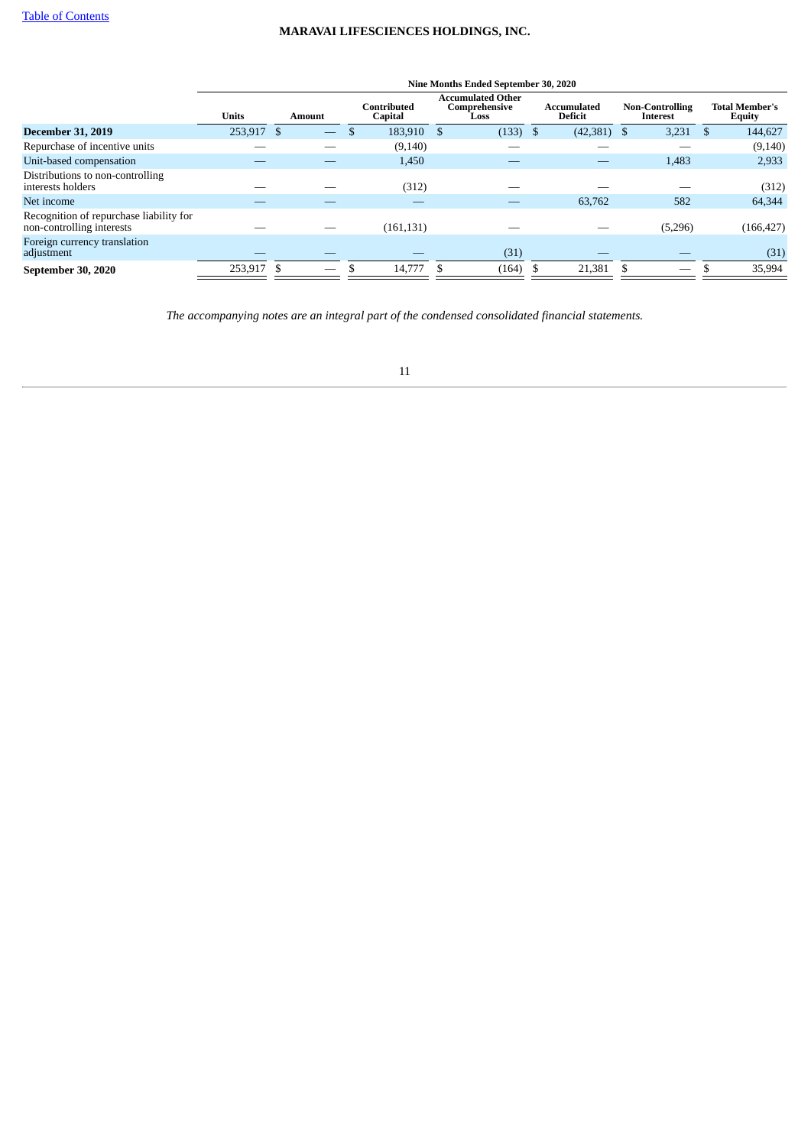|                                                                      |              |    |                          |                        |     | Nine Months Ended September 30, 2020              |    |                                      |    |                                    |                                        |
|----------------------------------------------------------------------|--------------|----|--------------------------|------------------------|-----|---------------------------------------------------|----|--------------------------------------|----|------------------------------------|----------------------------------------|
|                                                                      | <b>Units</b> |    | Amount                   | Contributed<br>Capital |     | <b>Accumulated Other</b><br>Comprehensive<br>Loss |    | <b>Accumulated</b><br><b>Deficit</b> |    | <b>Non-Controlling</b><br>Interest | <b>Total Member's</b><br><b>Equity</b> |
| <b>December 31, 2019</b>                                             | 253,917      | -S |                          | 183,910 \$             |     | $(133)$ \$                                        |    | (42, 381)                            | -S | 3,231                              | 144,627                                |
| Repurchase of incentive units                                        |              |    |                          | (9, 140)               |     |                                                   |    |                                      |    |                                    | (9, 140)                               |
| Unit-based compensation                                              |              |    |                          | 1,450                  |     |                                                   |    |                                      |    | 1,483                              | 2,933                                  |
| Distributions to non-controlling<br>interests holders                |              |    |                          | (312)                  |     |                                                   |    |                                      |    |                                    | (312)                                  |
| Net income                                                           |              |    |                          |                        |     |                                                   |    | 63,762                               |    | 582                                | 64,344                                 |
| Recognition of repurchase liability for<br>non-controlling interests |              |    |                          | (161, 131)             |     |                                                   |    |                                      |    | (5,296)                            | (166, 427)                             |
| Foreign currency translation<br>adjustment                           |              |    |                          |                        |     | (31)                                              |    |                                      |    |                                    | (31)                                   |
| September 30, 2020                                                   | 253.917 \$   |    | $\overline{\phantom{0}}$ | 14,777                 | -\$ | (164)                                             | £. | 21,381                               |    | –                                  | 35,994                                 |
|                                                                      |              |    |                          |                        |     |                                                   |    |                                      |    |                                    |                                        |

<span id="page-10-0"></span>*The accompanying notes are an integral part of the condensed consolidated financial statements.*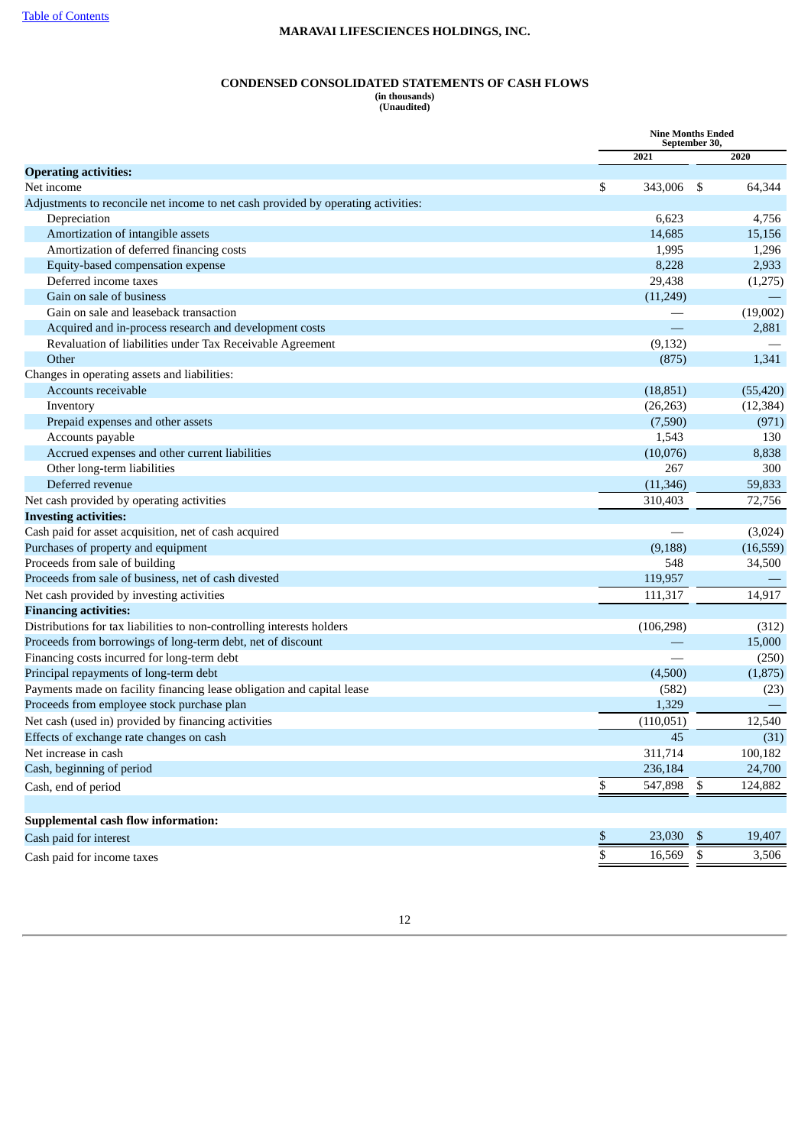## **CONDENSED CONSOLIDATED STATEMENTS OF CASH FLOWS**

**(in thousands) (Unaudited)**

|                                                                                   |      | <b>Nine Months Ended</b><br>September 30, |           |
|-----------------------------------------------------------------------------------|------|-------------------------------------------|-----------|
|                                                                                   | 2021 |                                           | 2020      |
| <b>Operating activities:</b>                                                      |      |                                           |           |
| Net income                                                                        | \$   | 343,006<br>-\$                            | 64,344    |
| Adjustments to reconcile net income to net cash provided by operating activities: |      |                                           |           |
| Depreciation                                                                      |      | 6,623                                     | 4,756     |
| Amortization of intangible assets                                                 |      | 14,685                                    | 15,156    |
| Amortization of deferred financing costs                                          |      | 1,995                                     | 1,296     |
| Equity-based compensation expense                                                 |      | 8,228                                     | 2,933     |
| Deferred income taxes                                                             |      | 29,438                                    | (1,275)   |
| Gain on sale of business                                                          |      | (11,249)                                  |           |
| Gain on sale and leaseback transaction                                            |      |                                           | (19,002)  |
| Acquired and in-process research and development costs                            |      |                                           | 2,881     |
| Revaluation of liabilities under Tax Receivable Agreement                         |      | (9, 132)                                  |           |
| Other                                                                             |      | (875)                                     | 1,341     |
| Changes in operating assets and liabilities:                                      |      |                                           |           |
| Accounts receivable                                                               |      | (18, 851)                                 | (55, 420) |
| Inventory                                                                         |      | (26, 263)                                 | (12, 384) |
| Prepaid expenses and other assets                                                 |      | (7,590)                                   | (971)     |
| Accounts payable                                                                  |      | 1,543                                     | 130       |
| Accrued expenses and other current liabilities                                    |      | (10,076)                                  | 8,838     |
| Other long-term liabilities                                                       |      | 267                                       | 300       |
| Deferred revenue                                                                  |      | (11, 346)                                 | 59,833    |
| Net cash provided by operating activities                                         |      | 310,403                                   | 72,756    |
| <b>Investing activities:</b>                                                      |      |                                           |           |
| Cash paid for asset acquisition, net of cash acquired                             |      |                                           | (3,024)   |
| Purchases of property and equipment                                               |      | (9, 188)                                  | (16, 559) |
| Proceeds from sale of building                                                    |      | 548                                       | 34,500    |
| Proceeds from sale of business, net of cash divested                              |      | 119,957                                   |           |
| Net cash provided by investing activities                                         |      | 111,317                                   | 14,917    |
| <b>Financing activities:</b>                                                      |      |                                           |           |
| Distributions for tax liabilities to non-controlling interests holders            |      | (106, 298)                                | (312)     |
| Proceeds from borrowings of long-term debt, net of discount                       |      |                                           | 15,000    |
| Financing costs incurred for long-term debt                                       |      |                                           | (250)     |
| Principal repayments of long-term debt                                            |      | (4,500)                                   | (1,875)   |
| Payments made on facility financing lease obligation and capital lease            |      | (582)                                     | (23)      |
| Proceeds from employee stock purchase plan                                        |      | 1,329                                     |           |
| Net cash (used in) provided by financing activities                               |      | (110, 051)                                | 12,540    |
| Effects of exchange rate changes on cash                                          |      | 45                                        | (31)      |
| Net increase in cash                                                              |      | 311,714                                   | 100,182   |
| Cash, beginning of period                                                         |      | 236,184                                   | 24,700    |
| Cash, end of period                                                               | \$   | 547,898 \$                                | 124,882   |
| <b>Supplemental cash flow information:</b>                                        |      |                                           |           |
| Cash paid for interest                                                            | \$   | 23,030<br>$\boldsymbol{\mathsf{S}}$       | 19,407    |
|                                                                                   |      |                                           |           |
| Cash paid for income taxes                                                        | \$   | \$<br>16,569                              | 3,506     |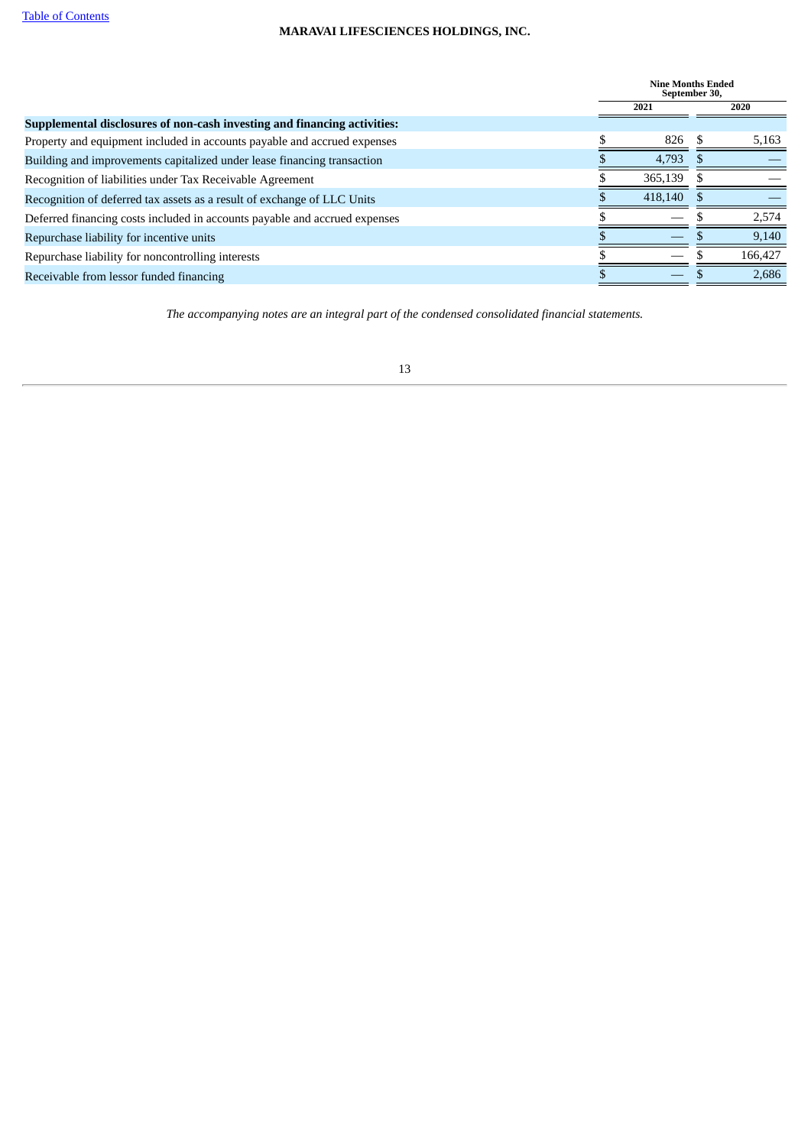|                                                                            | <b>Nine Months Ended</b><br>September 30, |         |
|----------------------------------------------------------------------------|-------------------------------------------|---------|
|                                                                            | 2021                                      | 2020    |
| Supplemental disclosures of non-cash investing and financing activities:   |                                           |         |
| Property and equipment included in accounts payable and accrued expenses   | 826                                       | 5,163   |
| Building and improvements capitalized under lease financing transaction    | 4,793                                     |         |
| Recognition of liabilities under Tax Receivable Agreement                  | 365,139                                   |         |
| Recognition of deferred tax assets as a result of exchange of LLC Units    | 418,140                                   |         |
| Deferred financing costs included in accounts payable and accrued expenses |                                           | 2,574   |
| Repurchase liability for incentive units                                   |                                           | 9,140   |
| Repurchase liability for noncontrolling interests                          |                                           | 166,427 |
| Receivable from lessor funded financing                                    |                                           | 2,686   |
|                                                                            |                                           |         |

<span id="page-12-0"></span>*The accompanying notes are an integral part of the condensed consolidated financial statements.*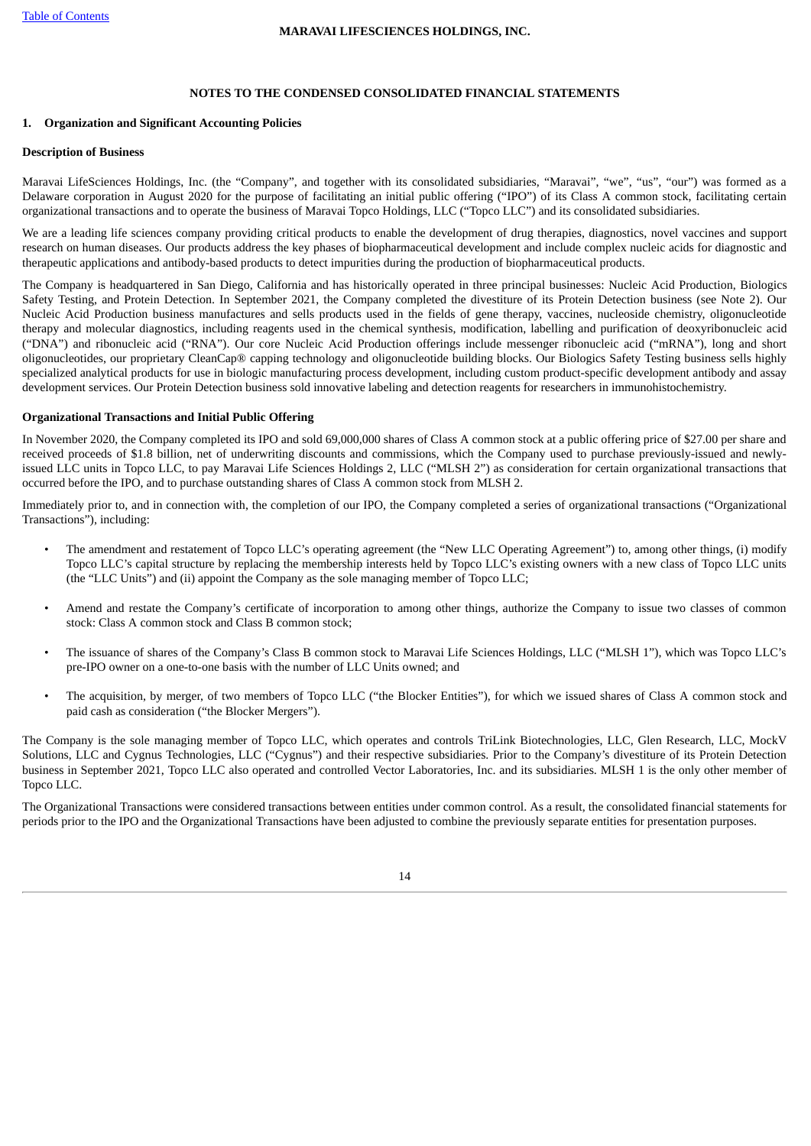# **NOTES TO THE CONDENSED CONSOLIDATED FINANCIAL STATEMENTS**

### **1. Organization and Significant Accounting Policies**

## **Description of Business**

Maravai LifeSciences Holdings, Inc. (the "Company", and together with its consolidated subsidiaries, "Maravai", "we", "us", "our") was formed as a Delaware corporation in August 2020 for the purpose of facilitating an initial public offering ("IPO") of its Class A common stock, facilitating certain organizational transactions and to operate the business of Maravai Topco Holdings, LLC ("Topco LLC") and its consolidated subsidiaries.

We are a leading life sciences company providing critical products to enable the development of drug therapies, diagnostics, novel vaccines and support research on human diseases. Our products address the key phases of biopharmaceutical development and include complex nucleic acids for diagnostic and therapeutic applications and antibody-based products to detect impurities during the production of biopharmaceutical products.

The Company is headquartered in San Diego, California and has historically operated in three principal businesses: Nucleic Acid Production, Biologics Safety Testing, and Protein Detection. In September 2021, the Company completed the divestiture of its Protein Detection business (see Note 2). Our Nucleic Acid Production business manufactures and sells products used in the fields of gene therapy, vaccines, nucleoside chemistry, oligonucleotide therapy and molecular diagnostics, including reagents used in the chemical synthesis, modification, labelling and purification of deoxyribonucleic acid ("DNA") and ribonucleic acid ("RNA"). Our core Nucleic Acid Production offerings include messenger ribonucleic acid ("mRNA"), long and short oligonucleotides, our proprietary CleanCap® capping technology and oligonucleotide building blocks. Our Biologics Safety Testing business sells highly specialized analytical products for use in biologic manufacturing process development, including custom product-specific development antibody and assay development services. Our Protein Detection business sold innovative labeling and detection reagents for researchers in immunohistochemistry.

# **Organizational Transactions and Initial Public Offering**

In November 2020, the Company completed its IPO and sold 69,000,000 shares of Class A common stock at a public offering price of \$27.00 per share and received proceeds of \$1.8 billion, net of underwriting discounts and commissions, which the Company used to purchase previously-issued and newlyissued LLC units in Topco LLC, to pay Maravai Life Sciences Holdings 2, LLC ("MLSH 2") as consideration for certain organizational transactions that occurred before the IPO, and to purchase outstanding shares of Class A common stock from MLSH 2.

Immediately prior to, and in connection with, the completion of our IPO, the Company completed a series of organizational transactions ("Organizational Transactions"), including:

- The amendment and restatement of Topco LLC's operating agreement (the "New LLC Operating Agreement") to, among other things, (i) modify Topco LLC's capital structure by replacing the membership interests held by Topco LLC's existing owners with a new class of Topco LLC units (the "LLC Units") and (ii) appoint the Company as the sole managing member of Topco LLC;
- Amend and restate the Company's certificate of incorporation to among other things, authorize the Company to issue two classes of common stock: Class A common stock and Class B common stock;
- The issuance of shares of the Company's Class B common stock to Maravai Life Sciences Holdings, LLC ("MLSH 1"), which was Topco LLC's pre-IPO owner on a one-to-one basis with the number of LLC Units owned; and
- The acquisition, by merger, of two members of Topco LLC ("the Blocker Entities"), for which we issued shares of Class A common stock and paid cash as consideration ("the Blocker Mergers").

The Company is the sole managing member of Topco LLC, which operates and controls TriLink Biotechnologies, LLC, Glen Research, LLC, MockV Solutions, LLC and Cygnus Technologies, LLC ("Cygnus") and their respective subsidiaries. Prior to the Company's divestiture of its Protein Detection business in September 2021, Topco LLC also operated and controlled Vector Laboratories, Inc. and its subsidiaries. MLSH 1 is the only other member of Topco LLC.

The Organizational Transactions were considered transactions between entities under common control. As a result, the consolidated financial statements for periods prior to the IPO and the Organizational Transactions have been adjusted to combine the previously separate entities for presentation purposes.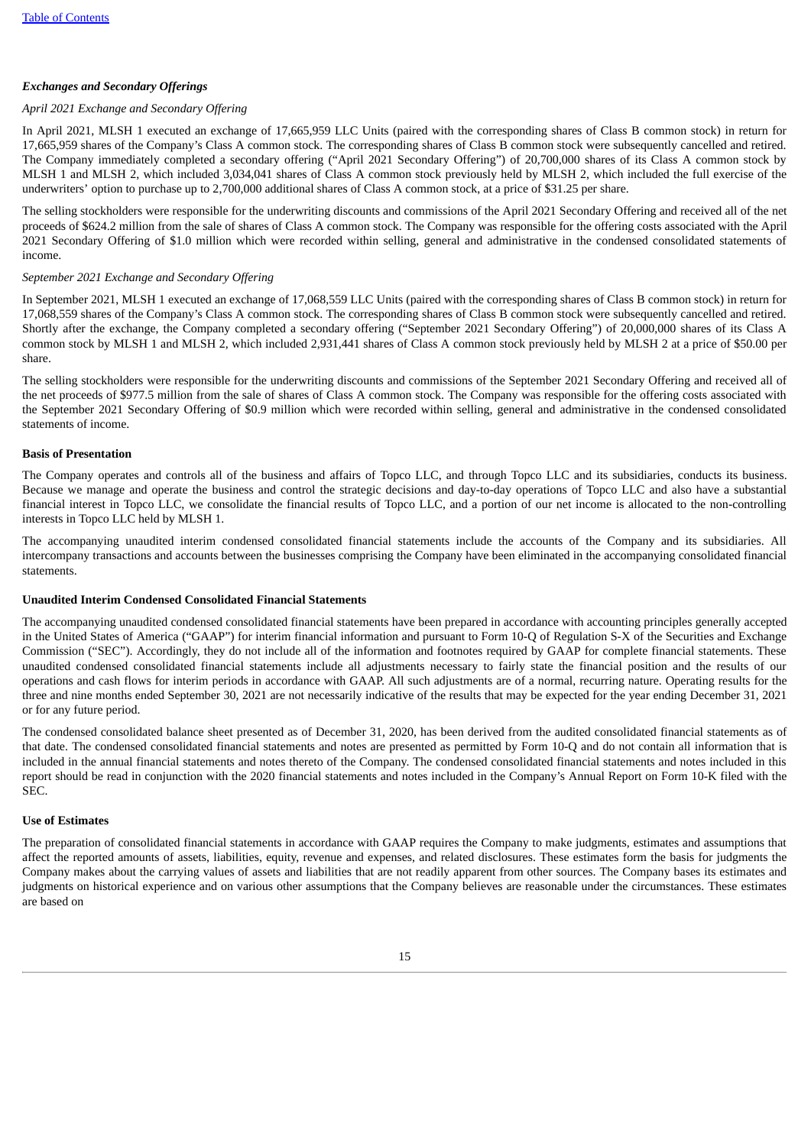# *Exchanges and Secondary Offerings*

# *April 2021 Exchange and Secondary Offering*

In April 2021, MLSH 1 executed an exchange of 17,665,959 LLC Units (paired with the corresponding shares of Class B common stock) in return for 17,665,959 shares of the Company's Class A common stock. The corresponding shares of Class B common stock were subsequently cancelled and retired. The Company immediately completed a secondary offering ("April 2021 Secondary Offering") of 20,700,000 shares of its Class A common stock by MLSH 1 and MLSH 2, which included 3,034,041 shares of Class A common stock previously held by MLSH 2, which included the full exercise of the underwriters' option to purchase up to 2,700,000 additional shares of Class A common stock, at a price of \$31.25 per share.

The selling stockholders were responsible for the underwriting discounts and commissions of the April 2021 Secondary Offering and received all of the net proceeds of \$624.2 million from the sale of shares of Class A common stock. The Company was responsible for the offering costs associated with the April 2021 Secondary Offering of \$1.0 million which were recorded within selling, general and administrative in the condensed consolidated statements of income.

# *September 2021 Exchange and Secondary Offering*

In September 2021, MLSH 1 executed an exchange of 17,068,559 LLC Units (paired with the corresponding shares of Class B common stock) in return for 17,068,559 shares of the Company's Class A common stock. The corresponding shares of Class B common stock were subsequently cancelled and retired. Shortly after the exchange, the Company completed a secondary offering ("September 2021 Secondary Offering") of 20,000,000 shares of its Class A common stock by MLSH 1 and MLSH 2, which included 2,931,441 shares of Class A common stock previously held by MLSH 2 at a price of \$50.00 per share.

The selling stockholders were responsible for the underwriting discounts and commissions of the September 2021 Secondary Offering and received all of the net proceeds of \$977.5 million from the sale of shares of Class A common stock. The Company was responsible for the offering costs associated with the September 2021 Secondary Offering of \$0.9 million which were recorded within selling, general and administrative in the condensed consolidated statements of income.

# **Basis of Presentation**

The Company operates and controls all of the business and affairs of Topco LLC, and through Topco LLC and its subsidiaries, conducts its business. Because we manage and operate the business and control the strategic decisions and day-to-day operations of Topco LLC and also have a substantial financial interest in Topco LLC, we consolidate the financial results of Topco LLC, and a portion of our net income is allocated to the non-controlling interests in Topco LLC held by MLSH 1.

The accompanying unaudited interim condensed consolidated financial statements include the accounts of the Company and its subsidiaries. All intercompany transactions and accounts between the businesses comprising the Company have been eliminated in the accompanying consolidated financial statements.

## **Unaudited Interim Condensed Consolidated Financial Statements**

The accompanying unaudited condensed consolidated financial statements have been prepared in accordance with accounting principles generally accepted in the United States of America ("GAAP") for interim financial information and pursuant to Form 10-Q of Regulation S-X of the Securities and Exchange Commission ("SEC"). Accordingly, they do not include all of the information and footnotes required by GAAP for complete financial statements. These unaudited condensed consolidated financial statements include all adjustments necessary to fairly state the financial position and the results of our operations and cash flows for interim periods in accordance with GAAP. All such adjustments are of a normal, recurring nature. Operating results for the three and nine months ended September 30, 2021 are not necessarily indicative of the results that may be expected for the year ending December 31, 2021 or for any future period.

The condensed consolidated balance sheet presented as of December 31, 2020, has been derived from the audited consolidated financial statements as of that date. The condensed consolidated financial statements and notes are presented as permitted by Form 10-Q and do not contain all information that is included in the annual financial statements and notes thereto of the Company. The condensed consolidated financial statements and notes included in this report should be read in conjunction with the 2020 financial statements and notes included in the Company's Annual Report on Form 10-K filed with the SEC.

#### **Use of Estimates**

The preparation of consolidated financial statements in accordance with GAAP requires the Company to make judgments, estimates and assumptions that affect the reported amounts of assets, liabilities, equity, revenue and expenses, and related disclosures. These estimates form the basis for judgments the Company makes about the carrying values of assets and liabilities that are not readily apparent from other sources. The Company bases its estimates and judgments on historical experience and on various other assumptions that the Company believes are reasonable under the circumstances. These estimates are based on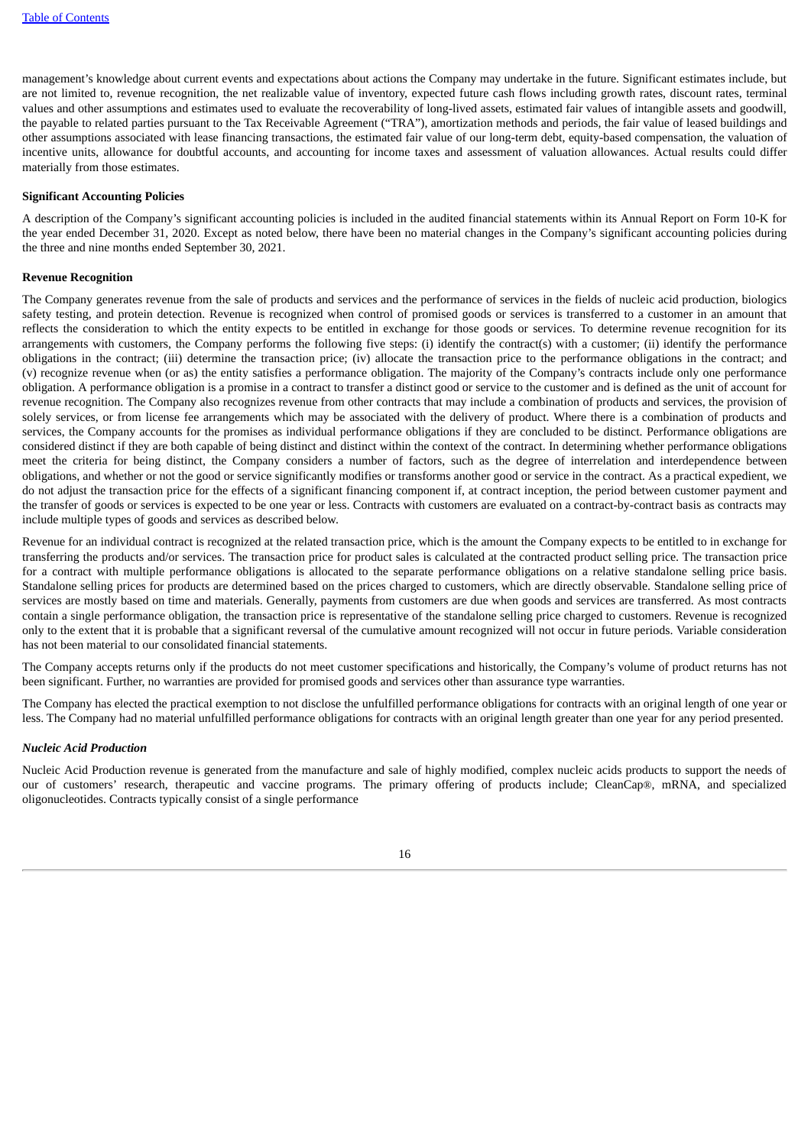management's knowledge about current events and expectations about actions the Company may undertake in the future. Significant estimates include, but are not limited to, revenue recognition, the net realizable value of inventory, expected future cash flows including growth rates, discount rates, terminal values and other assumptions and estimates used to evaluate the recoverability of long-lived assets, estimated fair values of intangible assets and goodwill, the payable to related parties pursuant to the Tax Receivable Agreement ("TRA"), amortization methods and periods, the fair value of leased buildings and other assumptions associated with lease financing transactions, the estimated fair value of our long-term debt, equity-based compensation, the valuation of incentive units, allowance for doubtful accounts, and accounting for income taxes and assessment of valuation allowances. Actual results could differ materially from those estimates.

## **Significant Accounting Policies**

A description of the Company's significant accounting policies is included in the audited financial statements within its Annual Report on Form 10-K for the year ended December 31, 2020. Except as noted below, there have been no material changes in the Company's significant accounting policies during the three and nine months ended September 30, 2021.

## **Revenue Recognition**

The Company generates revenue from the sale of products and services and the performance of services in the fields of nucleic acid production, biologics safety testing, and protein detection. Revenue is recognized when control of promised goods or services is transferred to a customer in an amount that reflects the consideration to which the entity expects to be entitled in exchange for those goods or services. To determine revenue recognition for its arrangements with customers, the Company performs the following five steps: (i) identify the contract(s) with a customer; (ii) identify the performance obligations in the contract; (iii) determine the transaction price; (iv) allocate the transaction price to the performance obligations in the contract; and (v) recognize revenue when (or as) the entity satisfies a performance obligation. The majority of the Company's contracts include only one performance obligation. A performance obligation is a promise in a contract to transfer a distinct good or service to the customer and is defined as the unit of account for revenue recognition. The Company also recognizes revenue from other contracts that may include a combination of products and services, the provision of solely services, or from license fee arrangements which may be associated with the delivery of product. Where there is a combination of products and services, the Company accounts for the promises as individual performance obligations if they are concluded to be distinct. Performance obligations are considered distinct if they are both capable of being distinct and distinct within the context of the contract. In determining whether performance obligations meet the criteria for being distinct, the Company considers a number of factors, such as the degree of interrelation and interdependence between obligations, and whether or not the good or service significantly modifies or transforms another good or service in the contract. As a practical expedient, we do not adjust the transaction price for the effects of a significant financing component if, at contract inception, the period between customer payment and the transfer of goods or services is expected to be one year or less. Contracts with customers are evaluated on a contract-by-contract basis as contracts may include multiple types of goods and services as described below.

Revenue for an individual contract is recognized at the related transaction price, which is the amount the Company expects to be entitled to in exchange for transferring the products and/or services. The transaction price for product sales is calculated at the contracted product selling price. The transaction price for a contract with multiple performance obligations is allocated to the separate performance obligations on a relative standalone selling price basis. Standalone selling prices for products are determined based on the prices charged to customers, which are directly observable. Standalone selling price of services are mostly based on time and materials. Generally, payments from customers are due when goods and services are transferred. As most contracts contain a single performance obligation, the transaction price is representative of the standalone selling price charged to customers. Revenue is recognized only to the extent that it is probable that a significant reversal of the cumulative amount recognized will not occur in future periods. Variable consideration has not been material to our consolidated financial statements.

The Company accepts returns only if the products do not meet customer specifications and historically, the Company's volume of product returns has not been significant. Further, no warranties are provided for promised goods and services other than assurance type warranties.

The Company has elected the practical exemption to not disclose the unfulfilled performance obligations for contracts with an original length of one year or less. The Company had no material unfulfilled performance obligations for contracts with an original length greater than one year for any period presented.

#### *Nucleic Acid Production*

Nucleic Acid Production revenue is generated from the manufacture and sale of highly modified, complex nucleic acids products to support the needs of our of customers' research, therapeutic and vaccine programs. The primary offering of products include; CleanCap®, mRNA, and specialized oligonucleotides. Contracts typically consist of a single performance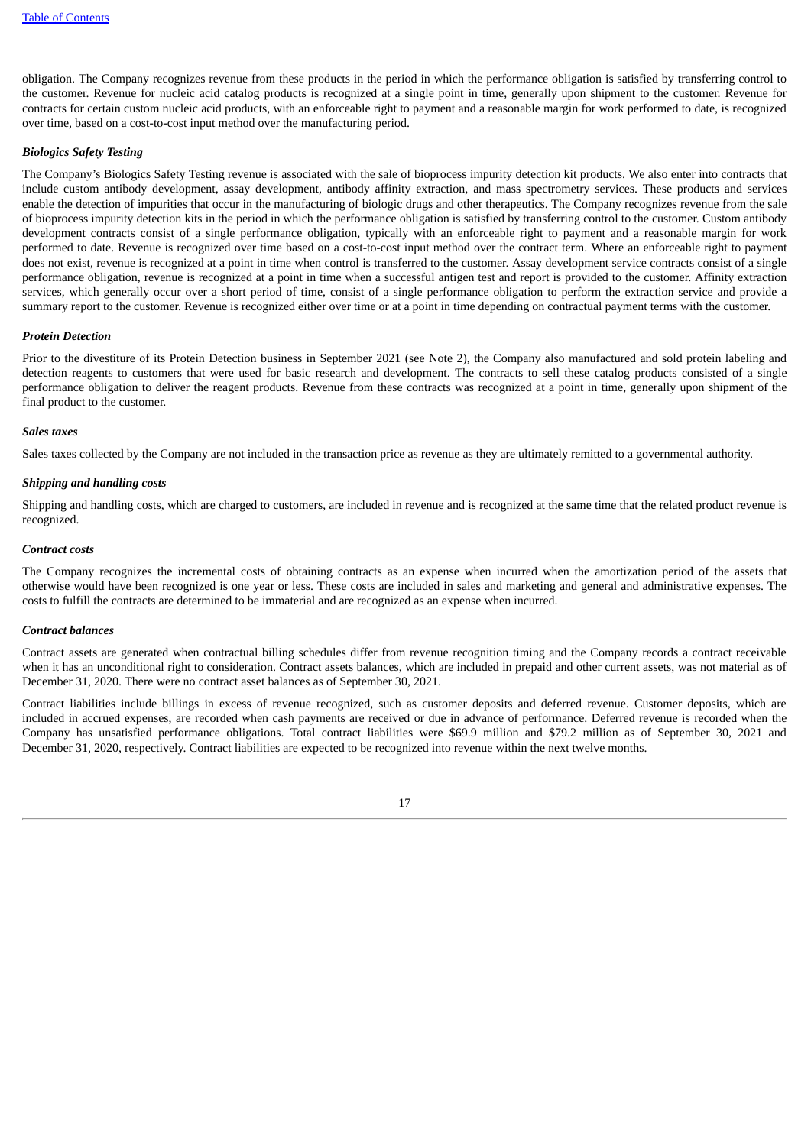obligation. The Company recognizes revenue from these products in the period in which the performance obligation is satisfied by transferring control to the customer. Revenue for nucleic acid catalog products is recognized at a single point in time, generally upon shipment to the customer. Revenue for contracts for certain custom nucleic acid products, with an enforceable right to payment and a reasonable margin for work performed to date, is recognized over time, based on a cost-to-cost input method over the manufacturing period.

# *Biologics Safety Testing*

The Company's Biologics Safety Testing revenue is associated with the sale of bioprocess impurity detection kit products. We also enter into contracts that include custom antibody development, assay development, antibody affinity extraction, and mass spectrometry services. These products and services enable the detection of impurities that occur in the manufacturing of biologic drugs and other therapeutics. The Company recognizes revenue from the sale of bioprocess impurity detection kits in the period in which the performance obligation is satisfied by transferring control to the customer. Custom antibody development contracts consist of a single performance obligation, typically with an enforceable right to payment and a reasonable margin for work performed to date. Revenue is recognized over time based on a cost-to-cost input method over the contract term. Where an enforceable right to payment does not exist, revenue is recognized at a point in time when control is transferred to the customer. Assay development service contracts consist of a single performance obligation, revenue is recognized at a point in time when a successful antigen test and report is provided to the customer. Affinity extraction services, which generally occur over a short period of time, consist of a single performance obligation to perform the extraction service and provide a summary report to the customer. Revenue is recognized either over time or at a point in time depending on contractual payment terms with the customer.

# *Protein Detection*

Prior to the divestiture of its Protein Detection business in September 2021 (see Note 2), the Company also manufactured and sold protein labeling and detection reagents to customers that were used for basic research and development. The contracts to sell these catalog products consisted of a single performance obligation to deliver the reagent products. Revenue from these contracts was recognized at a point in time, generally upon shipment of the final product to the customer.

#### *Sales taxes*

Sales taxes collected by the Company are not included in the transaction price as revenue as they are ultimately remitted to a governmental authority.

#### *Shipping and handling costs*

Shipping and handling costs, which are charged to customers, are included in revenue and is recognized at the same time that the related product revenue is recognized.

#### *Contract costs*

The Company recognizes the incremental costs of obtaining contracts as an expense when incurred when the amortization period of the assets that otherwise would have been recognized is one year or less. These costs are included in sales and marketing and general and administrative expenses. The costs to fulfill the contracts are determined to be immaterial and are recognized as an expense when incurred.

# *Contract balances*

Contract assets are generated when contractual billing schedules differ from revenue recognition timing and the Company records a contract receivable when it has an unconditional right to consideration. Contract assets balances, which are included in prepaid and other current assets, was not material as of December 31, 2020. There were no contract asset balances as of September 30, 2021.

Contract liabilities include billings in excess of revenue recognized, such as customer deposits and deferred revenue. Customer deposits, which are included in accrued expenses, are recorded when cash payments are received or due in advance of performance. Deferred revenue is recorded when the Company has unsatisfied performance obligations. Total contract liabilities were \$69.9 million and \$79.2 million as of September 30, 2021 and December 31, 2020, respectively. Contract liabilities are expected to be recognized into revenue within the next twelve months.

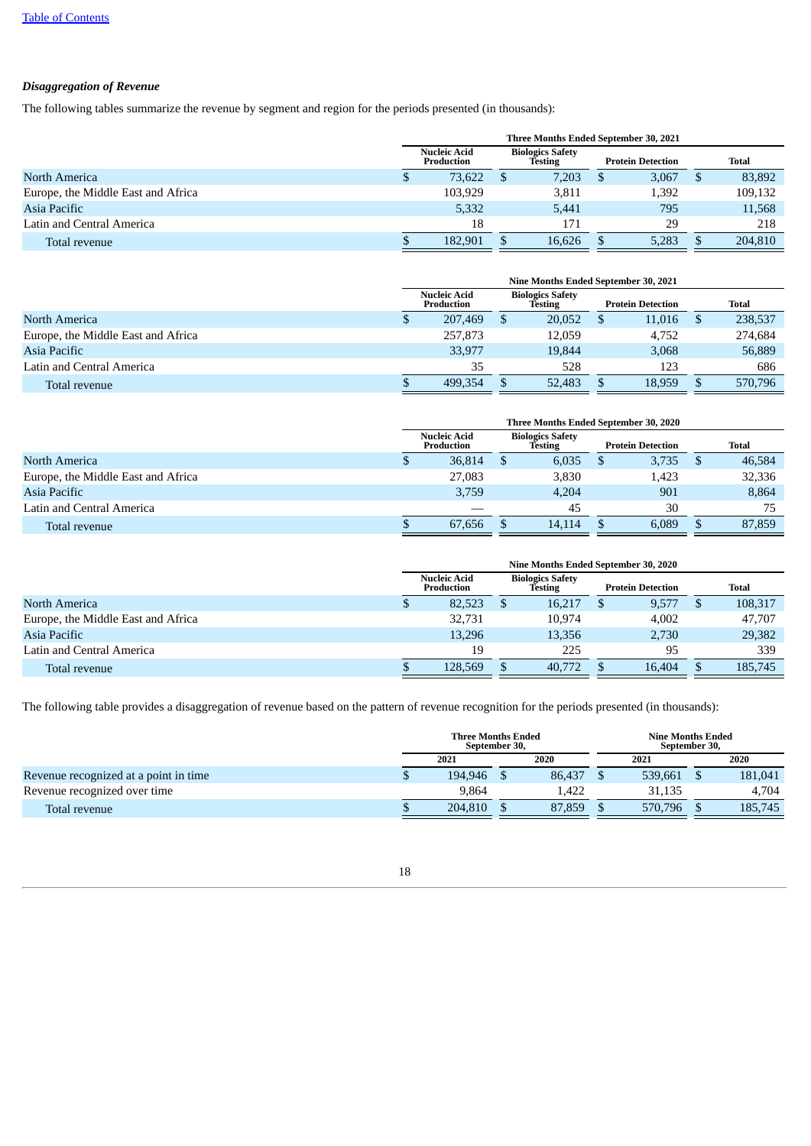# *Disaggregation of Revenue*

The following tables summarize the revenue by segment and region for the periods presented (in thousands):

|                                    | Three Months Ended September 30, 2021 |                            |  |                                    |  |                          |  |              |  |  |
|------------------------------------|---------------------------------------|----------------------------|--|------------------------------------|--|--------------------------|--|--------------|--|--|
|                                    |                                       | Nucleic Acid<br>Production |  | <b>Biologics Safety</b><br>Testing |  | <b>Protein Detection</b> |  | <b>Total</b> |  |  |
| North America                      |                                       | 73,622                     |  | 7,203                              |  | 3,067                    |  | 83,892       |  |  |
| Europe, the Middle East and Africa |                                       | 103,929                    |  | 3,811                              |  | 1,392                    |  | 109,132      |  |  |
| Asia Pacific                       |                                       | 5,332                      |  | 5.441                              |  | 795                      |  | 11,568       |  |  |
| Latin and Central America          |                                       | 18                         |  | 171                                |  | 29                       |  | 218          |  |  |
| Total revenue                      |                                       | 182.901                    |  | 16.626                             |  | 5.283                    |  | 204,810      |  |  |

|                                    | Nine Months Ended September 30, 2021 |  |                                    |  |                          |  |         |  |  |  |
|------------------------------------|--------------------------------------|--|------------------------------------|--|--------------------------|--|---------|--|--|--|
|                                    | <b>Nucleic Acid</b><br>Production    |  | <b>Biologics Safety</b><br>Testing |  | <b>Protein Detection</b> |  | Total   |  |  |  |
| North America                      | 207,469                              |  | 20,052                             |  | 11,016                   |  | 238,537 |  |  |  |
| Europe, the Middle East and Africa | 257,873                              |  | 12,059                             |  | 4.752                    |  | 274,684 |  |  |  |
| Asia Pacific                       | 33,977                               |  | 19.844                             |  | 3,068                    |  | 56,889  |  |  |  |
| Latin and Central America          | 35                                   |  | 528                                |  | 123                      |  | 686     |  |  |  |
| Total revenue                      | 499.354                              |  | 52,483                             |  | 18,959                   |  | 570,796 |  |  |  |

|                                    | Three Months Ended September 30, 2020 |                            |  |                                    |  |                          |  |        |  |  |
|------------------------------------|---------------------------------------|----------------------------|--|------------------------------------|--|--------------------------|--|--------|--|--|
|                                    |                                       | Nucleic Acid<br>Production |  | <b>Biologics Safety</b><br>Testing |  | <b>Protein Detection</b> |  | Total  |  |  |
| North America                      |                                       | 36,814                     |  | 6.035                              |  | 3,735                    |  | 46,584 |  |  |
| Europe, the Middle East and Africa |                                       | 27,083                     |  | 3.830                              |  | 1,423                    |  | 32,336 |  |  |
| Asia Pacific                       |                                       | 3,759                      |  | 4.204                              |  | 901                      |  | 8.864  |  |  |
| Latin and Central America          |                                       |                            |  | 45                                 |  | 30                       |  | 75     |  |  |
| Total revenue                      |                                       | 67,656                     |  | 14.114                             |  | 6.089                    |  | 87,859 |  |  |

|                                    | Nine Months Ended September 30, 2020 |                                   |  |                                           |  |                          |  |              |  |  |  |
|------------------------------------|--------------------------------------|-----------------------------------|--|-------------------------------------------|--|--------------------------|--|--------------|--|--|--|
|                                    |                                      | <b>Nucleic Acid</b><br>Production |  | <b>Biologics Safety</b><br><b>Testing</b> |  | <b>Protein Detection</b> |  | <b>Total</b> |  |  |  |
| North America                      | لا                                   | 82,523                            |  | 16,217                                    |  | 9,577                    |  | 108,317      |  |  |  |
| Europe, the Middle East and Africa |                                      | 32,731                            |  | 10,974                                    |  | 4.002                    |  | 47,707       |  |  |  |
| Asia Pacific                       |                                      | 13,296                            |  | 13,356                                    |  | 2,730                    |  | 29,382       |  |  |  |
| Latin and Central America          |                                      | 19                                |  | 225                                       |  | 95                       |  | 339          |  |  |  |
| Total revenue                      |                                      | 128,569                           |  | 40,772                                    |  | 16,404                   |  | 185,745      |  |  |  |

The following table provides a disaggregation of revenue based on the pattern of revenue recognition for the periods presented (in thousands):

|                                       | <b>Three Months Ended</b><br>September 30, |         |  |        |  | <b>Nine Months Ended</b><br>September 30, |  |         |  |
|---------------------------------------|--------------------------------------------|---------|--|--------|--|-------------------------------------------|--|---------|--|
|                                       |                                            | 2021    |  | 2020   |  | 2021                                      |  | 2020    |  |
| Revenue recognized at a point in time |                                            | 194.946 |  | 86,437 |  | 539.661                                   |  | 181.041 |  |
| Revenue recognized over time          |                                            | 9.864   |  | .422   |  | 31.135                                    |  | 4.704   |  |
| Total revenue                         |                                            | 204.810 |  | 87,859 |  | 570,796                                   |  | 185,745 |  |

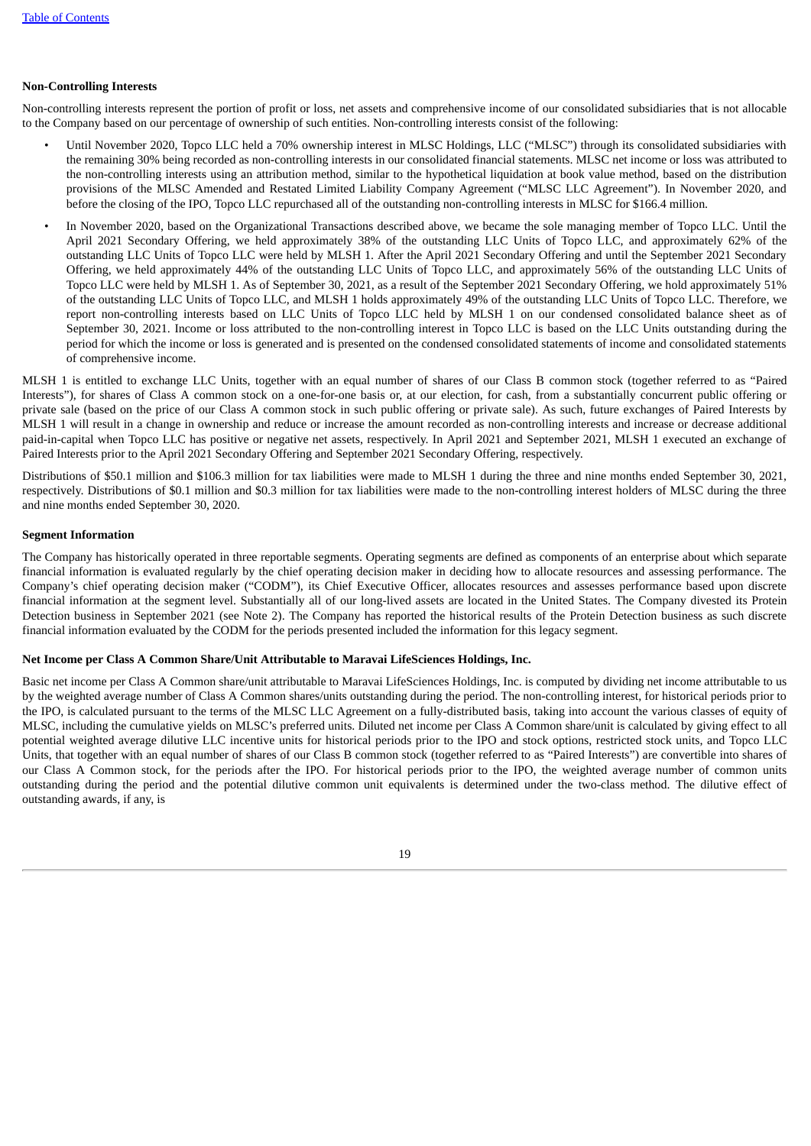# **Non-Controlling Interests**

Non-controlling interests represent the portion of profit or loss, net assets and comprehensive income of our consolidated subsidiaries that is not allocable to the Company based on our percentage of ownership of such entities. Non-controlling interests consist of the following:

- Until November 2020, Topco LLC held a 70% ownership interest in MLSC Holdings, LLC ("MLSC") through its consolidated subsidiaries with the remaining 30% being recorded as non-controlling interests in our consolidated financial statements. MLSC net income or loss was attributed to the non-controlling interests using an attribution method, similar to the hypothetical liquidation at book value method, based on the distribution provisions of the MLSC Amended and Restated Limited Liability Company Agreement ("MLSC LLC Agreement"). In November 2020, and before the closing of the IPO, Topco LLC repurchased all of the outstanding non-controlling interests in MLSC for \$166.4 million.
- In November 2020, based on the Organizational Transactions described above, we became the sole managing member of Topco LLC. Until the April 2021 Secondary Offering, we held approximately 38% of the outstanding LLC Units of Topco LLC, and approximately 62% of the outstanding LLC Units of Topco LLC were held by MLSH 1. After the April 2021 Secondary Offering and until the September 2021 Secondary Offering, we held approximately 44% of the outstanding LLC Units of Topco LLC, and approximately 56% of the outstanding LLC Units of Topco LLC were held by MLSH 1. As of September 30, 2021, as a result of the September 2021 Secondary Offering, we hold approximately 51% of the outstanding LLC Units of Topco LLC, and MLSH 1 holds approximately 49% of the outstanding LLC Units of Topco LLC. Therefore, we report non-controlling interests based on LLC Units of Topco LLC held by MLSH 1 on our condensed consolidated balance sheet as of September 30, 2021. Income or loss attributed to the non-controlling interest in Topco LLC is based on the LLC Units outstanding during the period for which the income or loss is generated and is presented on the condensed consolidated statements of income and consolidated statements of comprehensive income.

MLSH 1 is entitled to exchange LLC Units, together with an equal number of shares of our Class B common stock (together referred to as "Paired Interests"), for shares of Class A common stock on a one-for-one basis or, at our election, for cash, from a substantially concurrent public offering or private sale (based on the price of our Class A common stock in such public offering or private sale). As such, future exchanges of Paired Interests by MLSH 1 will result in a change in ownership and reduce or increase the amount recorded as non-controlling interests and increase or decrease additional paid-in-capital when Topco LLC has positive or negative net assets, respectively. In April 2021 and September 2021, MLSH 1 executed an exchange of Paired Interests prior to the April 2021 Secondary Offering and September 2021 Secondary Offering, respectively.

Distributions of \$50.1 million and \$106.3 million for tax liabilities were made to MLSH 1 during the three and nine months ended September 30, 2021, respectively. Distributions of \$0.1 million and \$0.3 million for tax liabilities were made to the non-controlling interest holders of MLSC during the three and nine months ended September 30, 2020.

# **Segment Information**

The Company has historically operated in three reportable segments. Operating segments are defined as components of an enterprise about which separate financial information is evaluated regularly by the chief operating decision maker in deciding how to allocate resources and assessing performance. The Company's chief operating decision maker ("CODM"), its Chief Executive Officer, allocates resources and assesses performance based upon discrete financial information at the segment level. Substantially all of our long-lived assets are located in the United States. The Company divested its Protein Detection business in September 2021 (see Note 2). The Company has reported the historical results of the Protein Detection business as such discrete financial information evaluated by the CODM for the periods presented included the information for this legacy segment.

#### **Net Income per Class A Common Share/Unit Attributable to Maravai LifeSciences Holdings, Inc.**

Basic net income per Class A Common share/unit attributable to Maravai LifeSciences Holdings, Inc. is computed by dividing net income attributable to us by the weighted average number of Class A Common shares/units outstanding during the period. The non-controlling interest, for historical periods prior to the IPO, is calculated pursuant to the terms of the MLSC LLC Agreement on a fully-distributed basis, taking into account the various classes of equity of MLSC, including the cumulative yields on MLSC's preferred units. Diluted net income per Class A Common share/unit is calculated by giving effect to all potential weighted average dilutive LLC incentive units for historical periods prior to the IPO and stock options, restricted stock units, and Topco LLC Units, that together with an equal number of shares of our Class B common stock (together referred to as "Paired Interests") are convertible into shares of our Class A Common stock, for the periods after the IPO. For historical periods prior to the IPO, the weighted average number of common units outstanding during the period and the potential dilutive common unit equivalents is determined under the two-class method. The dilutive effect of outstanding awards, if any, is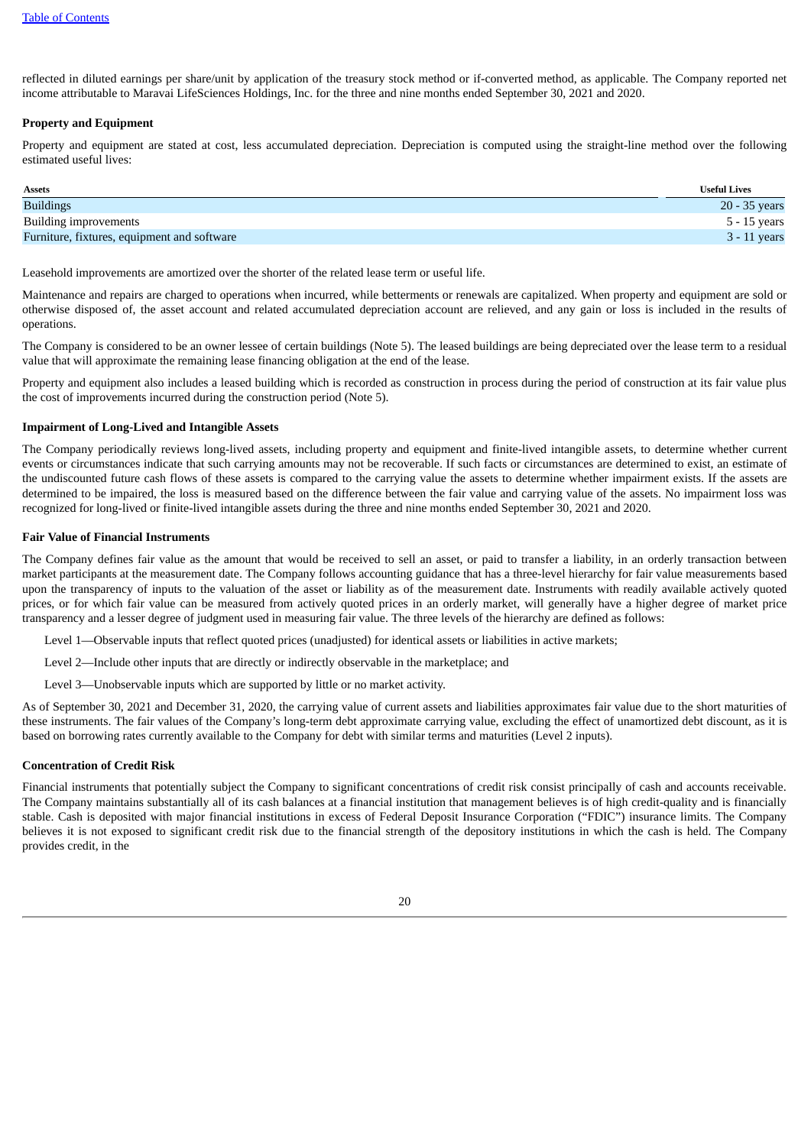reflected in diluted earnings per share/unit by application of the treasury stock method or if-converted method, as applicable. The Company reported net income attributable to Maravai LifeSciences Holdings, Inc. for the three and nine months ended September 30, 2021 and 2020.

# **Property and Equipment**

Property and equipment are stated at cost, less accumulated depreciation. Depreciation is computed using the straight-line method over the following estimated useful lives:

| Assets                                      | <b>Useful Lives</b> |
|---------------------------------------------|---------------------|
| <b>Buildings</b>                            | 20 - 35 years       |
| <b>Building improvements</b>                | 5 - 15 years        |
| Furniture, fixtures, equipment and software | $3 - 11$ years      |

Leasehold improvements are amortized over the shorter of the related lease term or useful life.

Maintenance and repairs are charged to operations when incurred, while betterments or renewals are capitalized. When property and equipment are sold or otherwise disposed of, the asset account and related accumulated depreciation account are relieved, and any gain or loss is included in the results of operations.

The Company is considered to be an owner lessee of certain buildings (Note 5). The leased buildings are being depreciated over the lease term to a residual value that will approximate the remaining lease financing obligation at the end of the lease.

Property and equipment also includes a leased building which is recorded as construction in process during the period of construction at its fair value plus the cost of improvements incurred during the construction period (Note 5).

# **Impairment of Long-Lived and Intangible Assets**

The Company periodically reviews long-lived assets, including property and equipment and finite-lived intangible assets, to determine whether current events or circumstances indicate that such carrying amounts may not be recoverable. If such facts or circumstances are determined to exist, an estimate of the undiscounted future cash flows of these assets is compared to the carrying value the assets to determine whether impairment exists. If the assets are determined to be impaired, the loss is measured based on the difference between the fair value and carrying value of the assets. No impairment loss was recognized for long-lived or finite-lived intangible assets during the three and nine months ended September 30, 2021 and 2020.

#### **Fair Value of Financial Instruments**

The Company defines fair value as the amount that would be received to sell an asset, or paid to transfer a liability, in an orderly transaction between market participants at the measurement date. The Company follows accounting guidance that has a three-level hierarchy for fair value measurements based upon the transparency of inputs to the valuation of the asset or liability as of the measurement date. Instruments with readily available actively quoted prices, or for which fair value can be measured from actively quoted prices in an orderly market, will generally have a higher degree of market price transparency and a lesser degree of judgment used in measuring fair value. The three levels of the hierarchy are defined as follows:

Level 1—Observable inputs that reflect quoted prices (unadjusted) for identical assets or liabilities in active markets;

Level 2—Include other inputs that are directly or indirectly observable in the marketplace; and

Level 3—Unobservable inputs which are supported by little or no market activity.

As of September 30, 2021 and December 31, 2020, the carrying value of current assets and liabilities approximates fair value due to the short maturities of these instruments. The fair values of the Company's long-term debt approximate carrying value, excluding the effect of unamortized debt discount, as it is based on borrowing rates currently available to the Company for debt with similar terms and maturities (Level 2 inputs).

# **Concentration of Credit Risk**

Financial instruments that potentially subject the Company to significant concentrations of credit risk consist principally of cash and accounts receivable. The Company maintains substantially all of its cash balances at a financial institution that management believes is of high credit-quality and is financially stable. Cash is deposited with major financial institutions in excess of Federal Deposit Insurance Corporation ("FDIC") insurance limits. The Company believes it is not exposed to significant credit risk due to the financial strength of the depository institutions in which the cash is held. The Company provides credit, in the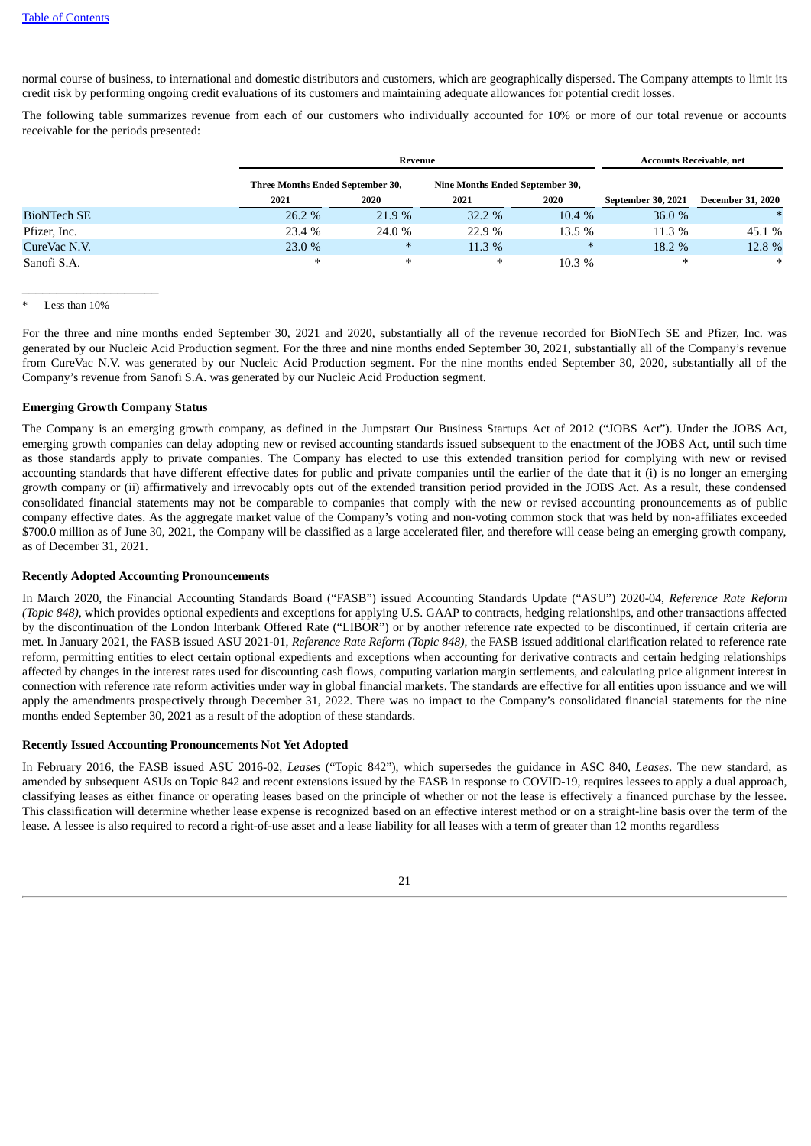normal course of business, to international and domestic distributors and customers, which are geographically dispersed. The Company attempts to limit its credit risk by performing ongoing credit evaluations of its customers and maintaining adequate allowances for potential credit losses.

The following table summarizes revenue from each of our customers who individually accounted for 10% or more of our total revenue or accounts receivable for the periods presented:

|                    |                                         | Revenue |                                 | <b>Accounts Receivable, net</b> |                           |                          |
|--------------------|-----------------------------------------|---------|---------------------------------|---------------------------------|---------------------------|--------------------------|
|                    | <b>Three Months Ended September 30,</b> |         | Nine Months Ended September 30, |                                 |                           |                          |
|                    | 2021                                    | 2020    | 2021                            | 2020                            | <b>September 30, 2021</b> | <b>December 31, 2020</b> |
| <b>BioNTech SE</b> | 26.2 %                                  | 21.9 %  | 32.2 %                          | 10.4 %                          | 36.0 %                    | $*$                      |
| Pfizer, Inc.       | 23.4 %                                  | 24.0 %  | 22.9%                           | $13.5\%$                        | $11.3\%$                  | 45.1 %                   |
| CureVac N.V.       | 23.0 %                                  | $\ast$  | 11.3 %                          | $\ast$                          | $18.2 \%$                 | 12.8 %                   |
| Sanofi S.A.        | $\ast$                                  | $\ast$  | $\ast$                          | 10.3%                           | $\ast$                    | $\ast$                   |

Less than  $10%$ 

 $\_$ 

For the three and nine months ended September 30, 2021 and 2020, substantially all of the revenue recorded for BioNTech SE and Pfizer, Inc. was generated by our Nucleic Acid Production segment. For the three and nine months ended September 30, 2021, substantially all of the Company's revenue from CureVac N.V. was generated by our Nucleic Acid Production segment. For the nine months ended September 30, 2020, substantially all of the Company's revenue from Sanofi S.A. was generated by our Nucleic Acid Production segment.

# **Emerging Growth Company Status**

The Company is an emerging growth company, as defined in the Jumpstart Our Business Startups Act of 2012 ("JOBS Act"). Under the JOBS Act, emerging growth companies can delay adopting new or revised accounting standards issued subsequent to the enactment of the JOBS Act, until such time as those standards apply to private companies. The Company has elected to use this extended transition period for complying with new or revised accounting standards that have different effective dates for public and private companies until the earlier of the date that it (i) is no longer an emerging growth company or (ii) affirmatively and irrevocably opts out of the extended transition period provided in the JOBS Act. As a result, these condensed consolidated financial statements may not be comparable to companies that comply with the new or revised accounting pronouncements as of public company effective dates. As the aggregate market value of the Company's voting and non-voting common stock that was held by non-affiliates exceeded \$700.0 million as of June 30, 2021, the Company will be classified as a large accelerated filer, and therefore will cease being an emerging growth company, as of December 31, 2021.

### **Recently Adopted Accounting Pronouncements**

In March 2020, the Financial Accounting Standards Board ("FASB") issued Accounting Standards Update ("ASU") 2020-04, *Reference Rate Reform (Topic 848),* which provides optional expedients and exceptions for applying U.S. GAAP to contracts, hedging relationships, and other transactions affected by the discontinuation of the London Interbank Offered Rate ("LIBOR") or by another reference rate expected to be discontinued, if certain criteria are met. In January 2021, the FASB issued ASU 2021-01, *Reference Rate Reform (Topic 848)*, the FASB issued additional clarification related to reference rate reform, permitting entities to elect certain optional expedients and exceptions when accounting for derivative contracts and certain hedging relationships affected by changes in the interest rates used for discounting cash flows, computing variation margin settlements, and calculating price alignment interest in connection with reference rate reform activities under way in global financial markets. The standards are effective for all entities upon issuance and we will apply the amendments prospectively through December 31, 2022. There was no impact to the Company's consolidated financial statements for the nine months ended September 30, 2021 as a result of the adoption of these standards.

## **Recently Issued Accounting Pronouncements Not Yet Adopted**

In February 2016, the FASB issued ASU 2016-02, *Leases* ("Topic 842"), which supersedes the guidance in ASC 840, *Leases*. The new standard, as amended by subsequent ASUs on Topic 842 and recent extensions issued by the FASB in response to COVID-19, requires lessees to apply a dual approach, classifying leases as either finance or operating leases based on the principle of whether or not the lease is effectively a financed purchase by the lessee. This classification will determine whether lease expense is recognized based on an effective interest method or on a straight-line basis over the term of the lease. A lessee is also required to record a right-of-use asset and a lease liability for all leases with a term of greater than 12 months regardless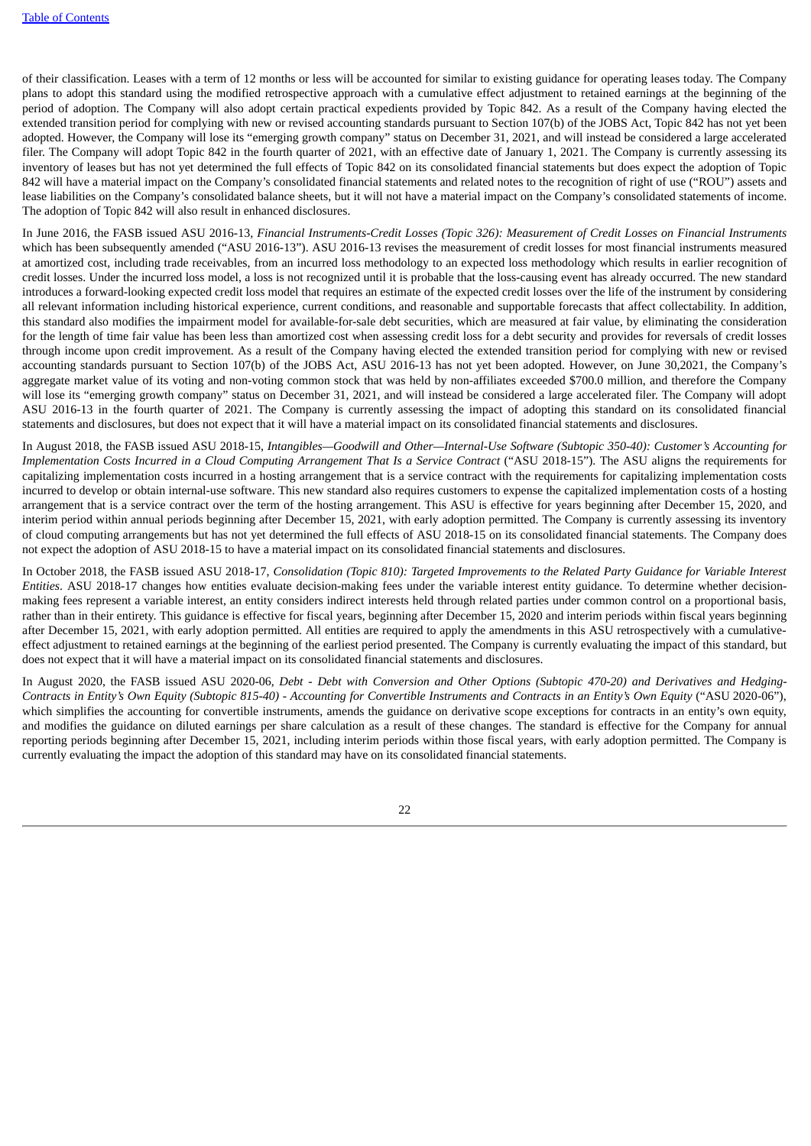of their classification. Leases with a term of 12 months or less will be accounted for similar to existing guidance for operating leases today. The Company plans to adopt this standard using the modified retrospective approach with a cumulative effect adjustment to retained earnings at the beginning of the period of adoption. The Company will also adopt certain practical expedients provided by Topic 842. As a result of the Company having elected the extended transition period for complying with new or revised accounting standards pursuant to Section 107(b) of the JOBS Act, Topic 842 has not yet been adopted. However, the Company will lose its "emerging growth company" status on December 31, 2021, and will instead be considered a large accelerated filer. The Company will adopt Topic 842 in the fourth quarter of 2021, with an effective date of January 1, 2021. The Company is currently assessing its inventory of leases but has not yet determined the full effects of Topic 842 on its consolidated financial statements but does expect the adoption of Topic 842 will have a material impact on the Company's consolidated financial statements and related notes to the recognition of right of use ("ROU") assets and lease liabilities on the Company's consolidated balance sheets, but it will not have a material impact on the Company's consolidated statements of income. The adoption of Topic 842 will also result in enhanced disclosures.

In June 2016, the FASB issued ASU 2016-13, Financial Instruments-Credit Losses (Topic 326): Measurement of Credit Losses on Financial Instruments which has been subsequently amended ("ASU 2016-13"). ASU 2016-13 revises the measurement of credit losses for most financial instruments measured at amortized cost, including trade receivables, from an incurred loss methodology to an expected loss methodology which results in earlier recognition of credit losses. Under the incurred loss model, a loss is not recognized until it is probable that the loss-causing event has already occurred. The new standard introduces a forward-looking expected credit loss model that requires an estimate of the expected credit losses over the life of the instrument by considering all relevant information including historical experience, current conditions, and reasonable and supportable forecasts that affect collectability. In addition, this standard also modifies the impairment model for available-for-sale debt securities, which are measured at fair value, by eliminating the consideration for the length of time fair value has been less than amortized cost when assessing credit loss for a debt security and provides for reversals of credit losses through income upon credit improvement. As a result of the Company having elected the extended transition period for complying with new or revised accounting standards pursuant to Section 107(b) of the JOBS Act, ASU 2016-13 has not yet been adopted. However, on June 30,2021, the Company's aggregate market value of its voting and non-voting common stock that was held by non-affiliates exceeded \$700.0 million, and therefore the Company will lose its "emerging growth company" status on December 31, 2021, and will instead be considered a large accelerated filer. The Company will adopt ASU 2016-13 in the fourth quarter of 2021. The Company is currently assessing the impact of adopting this standard on its consolidated financial statements and disclosures, but does not expect that it will have a material impact on its consolidated financial statements and disclosures.

In August 2018, the FASB issued ASU 2018-15, *Intangibles—Goodwill and Other—Internal-Use Software (Subtopic 350-40): Customer's Accounting for* Implementation Costs Incurred in a Cloud Computing Arrangement That Is a Service Contract ("ASU 2018-15"). The ASU aligns the requirements for capitalizing implementation costs incurred in a hosting arrangement that is a service contract with the requirements for capitalizing implementation costs incurred to develop or obtain internal-use software. This new standard also requires customers to expense the capitalized implementation costs of a hosting arrangement that is a service contract over the term of the hosting arrangement. This ASU is effective for years beginning after December 15, 2020, and interim period within annual periods beginning after December 15, 2021, with early adoption permitted. The Company is currently assessing its inventory of cloud computing arrangements but has not yet determined the full effects of ASU 2018-15 on its consolidated financial statements. The Company does not expect the adoption of ASU 2018-15 to have a material impact on its consolidated financial statements and disclosures.

In October 2018, the FASB issued ASU 2018-17, Consolidation (Topic 810): Targeted Improvements to the Related Party Guidance for Variable Interest *Entities*. ASU 2018-17 changes how entities evaluate decision-making fees under the variable interest entity guidance. To determine whether decisionmaking fees represent a variable interest, an entity considers indirect interests held through related parties under common control on a proportional basis, rather than in their entirety. This guidance is effective for fiscal years, beginning after December 15, 2020 and interim periods within fiscal years beginning after December 15, 2021, with early adoption permitted. All entities are required to apply the amendments in this ASU retrospectively with a cumulativeeffect adjustment to retained earnings at the beginning of the earliest period presented. The Company is currently evaluating the impact of this standard, but does not expect that it will have a material impact on its consolidated financial statements and disclosures.

In August 2020, the FASB issued ASU 2020-06, Debt - Debt with Conversion and Other Options (Subtopic 470-20) and Derivatives and Hedging-Contracts in Entity's Own Equity (Subtopic 815-40) - Accounting for Convertible Instruments and Contracts in an Entity's Own Equity ("ASU 2020-06"), which simplifies the accounting for convertible instruments, amends the guidance on derivative scope exceptions for contracts in an entity's own equity, and modifies the guidance on diluted earnings per share calculation as a result of these changes. The standard is effective for the Company for annual reporting periods beginning after December 15, 2021, including interim periods within those fiscal years, with early adoption permitted. The Company is currently evaluating the impact the adoption of this standard may have on its consolidated financial statements.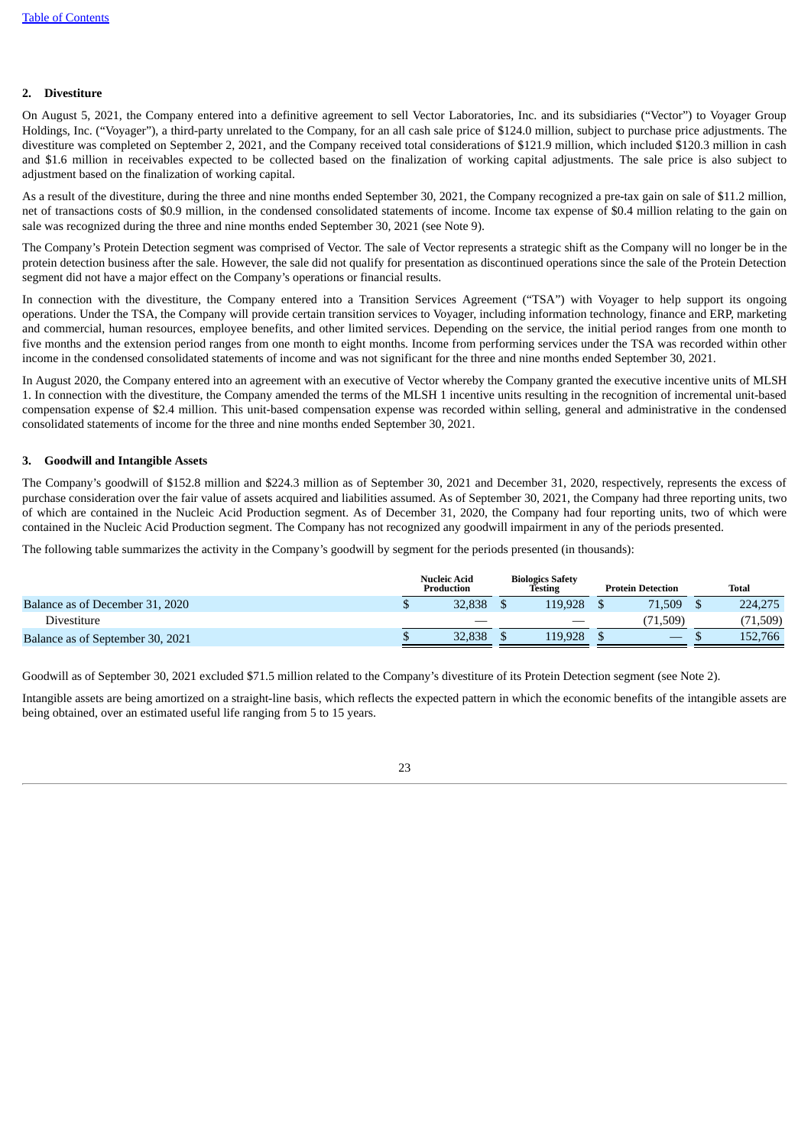# **2. Divestiture**

On August 5, 2021, the Company entered into a definitive agreement to sell Vector Laboratories, Inc. and its subsidiaries ("Vector") to Voyager Group Holdings, Inc. ("Voyager"), a third-party unrelated to the Company, for an all cash sale price of \$124.0 million, subject to purchase price adjustments. The divestiture was completed on September 2, 2021, and the Company received total considerations of \$121.9 million, which included \$120.3 million in cash and \$1.6 million in receivables expected to be collected based on the finalization of working capital adjustments. The sale price is also subject to adjustment based on the finalization of working capital.

As a result of the divestiture, during the three and nine months ended September 30, 2021, the Company recognized a pre-tax gain on sale of \$11.2 million, net of transactions costs of \$0.9 million, in the condensed consolidated statements of income. Income tax expense of \$0.4 million relating to the gain on sale was recognized during the three and nine months ended September 30, 2021 (see Note 9).

The Company's Protein Detection segment was comprised of Vector. The sale of Vector represents a strategic shift as the Company will no longer be in the protein detection business after the sale. However, the sale did not qualify for presentation as discontinued operations since the sale of the Protein Detection segment did not have a major effect on the Company's operations or financial results.

In connection with the divestiture, the Company entered into a Transition Services Agreement ("TSA") with Voyager to help support its ongoing operations. Under the TSA, the Company will provide certain transition services to Voyager, including information technology, finance and ERP, marketing and commercial, human resources, employee benefits, and other limited services. Depending on the service, the initial period ranges from one month to five months and the extension period ranges from one month to eight months. Income from performing services under the TSA was recorded within other income in the condensed consolidated statements of income and was not significant for the three and nine months ended September 30, 2021.

In August 2020, the Company entered into an agreement with an executive of Vector whereby the Company granted the executive incentive units of MLSH 1. In connection with the divestiture, the Company amended the terms of the MLSH 1 incentive units resulting in the recognition of incremental unit-based compensation expense of \$2.4 million. This unit-based compensation expense was recorded within selling, general and administrative in the condensed consolidated statements of income for the three and nine months ended September 30, 2021.

# **3. Goodwill and Intangible Assets**

The Company's goodwill of \$152.8 million and \$224.3 million as of September 30, 2021 and December 31, 2020, respectively, represents the excess of purchase consideration over the fair value of assets acquired and liabilities assumed. As of September 30, 2021, the Company had three reporting units, two of which are contained in the Nucleic Acid Production segment. As of December 31, 2020, the Company had four reporting units, two of which were contained in the Nucleic Acid Production segment. The Company has not recognized any goodwill impairment in any of the periods presented.

The following table summarizes the activity in the Company's goodwill by segment for the periods presented (in thousands):

|                                  | <b>Nucleic Acid</b><br>Production | <b>Biologics Safety</b><br>Testing | <b>Protein Detection</b> | Total     |
|----------------------------------|-----------------------------------|------------------------------------|--------------------------|-----------|
| Balance as of December 31, 2020  | 32,838                            | 119.928                            | 71,509                   | 224,275   |
| Divestiture                      |                                   |                                    | (71,509)                 | (71, 509) |
| Balance as of September 30, 2021 | 32.838                            | 119.928                            |                          | 152,766   |

Goodwill as of September 30, 2021 excluded \$71.5 million related to the Company's divestiture of its Protein Detection segment (see Note 2).

Intangible assets are being amortized on a straight-line basis, which reflects the expected pattern in which the economic benefits of the intangible assets are being obtained, over an estimated useful life ranging from 5 to 15 years.

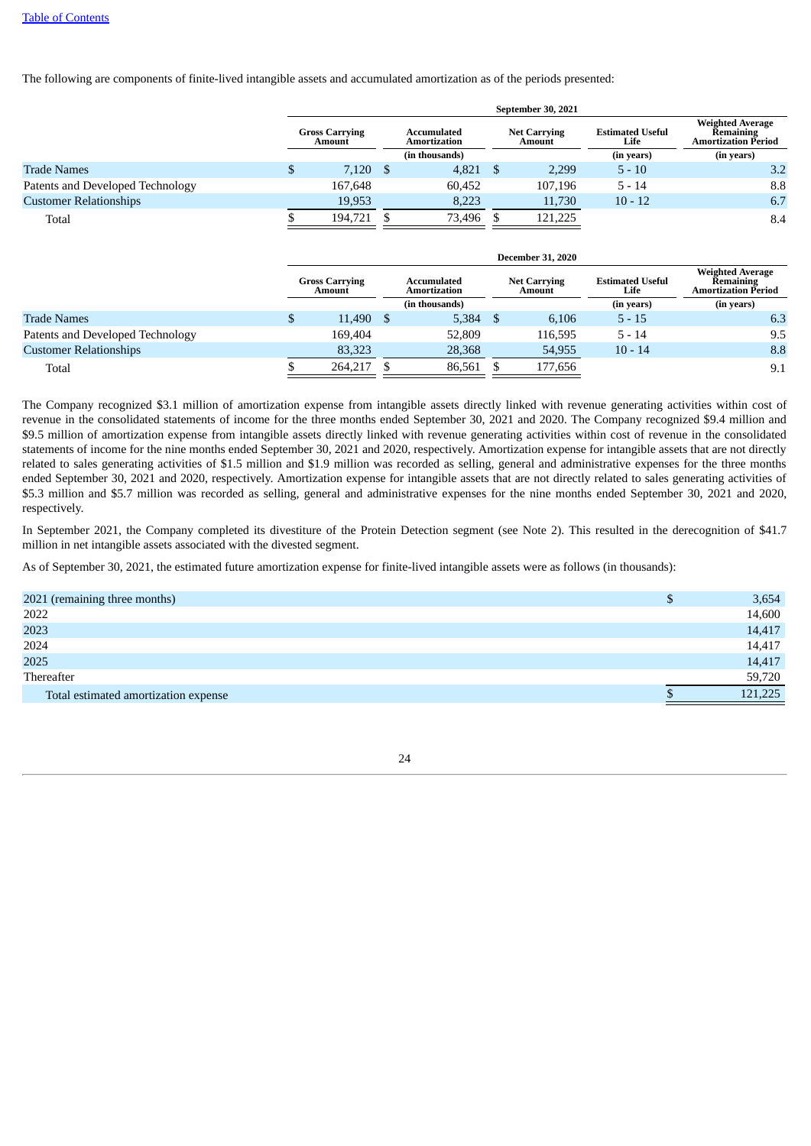The following are components of finite-lived intangible assets and accumulated amortization as of the periods presented:

|                                  |                                 | September 30, 2021 |          |                             |  |                               |                                 |                                                                    |  |  |  |  |  |
|----------------------------------|---------------------------------|--------------------|----------|-----------------------------|--|-------------------------------|---------------------------------|--------------------------------------------------------------------|--|--|--|--|--|
|                                  | <b>Gross Carrying</b><br>Amount |                    |          | Accumulated<br>Amortization |  | <b>Net Carrying</b><br>Amount | <b>Estimated Useful</b><br>Life | <b>Weighted Average</b><br><b>Remaining</b><br>Amortization Period |  |  |  |  |  |
|                                  |                                 |                    |          | (in thousands)              |  |                               | (in years)                      | (in years)                                                         |  |  |  |  |  |
| <b>Trade Names</b>               | Ф                               | 7,120              | <b>S</b> | $4,821$ \$                  |  | 2,299                         | $5 - 10$                        | 3.2                                                                |  |  |  |  |  |
| Patents and Developed Technology |                                 | 167,648            |          | 60,452                      |  | 107,196                       | $5 - 14$                        | 8.8                                                                |  |  |  |  |  |
| <b>Customer Relationships</b>    |                                 | 19,953             |          | 8,223                       |  | 11,730                        | $10 - 12$                       | 6.7                                                                |  |  |  |  |  |
| Total                            |                                 | 194.721            |          | 73,496                      |  | 121,225                       |                                 | 8.4                                                                |  |  |  |  |  |
|                                  |                                 |                    |          |                             |  |                               |                                 |                                                                    |  |  |  |  |  |

|                                  |   | <b>December 31, 2020</b>        |      |                             |  |                               |                                 |                                                                    |  |  |  |  |
|----------------------------------|---|---------------------------------|------|-----------------------------|--|-------------------------------|---------------------------------|--------------------------------------------------------------------|--|--|--|--|
|                                  |   | <b>Gross Carrying</b><br>Amount |      | Accumulated<br>Amortization |  | <b>Net Carrying</b><br>Amount | <b>Estimated Useful</b><br>Life | <b>Weighted Average</b><br>Remaining<br><b>Amortization Period</b> |  |  |  |  |
|                                  |   |                                 |      | (in thousands)              |  |                               | (in years)                      | (in years)                                                         |  |  |  |  |
| <b>Trade Names</b>               | S | 11.490                          | - \$ | 5.384                       |  | 6.106                         | $5 - 15$                        | 6.3                                                                |  |  |  |  |
| Patents and Developed Technology |   | 169.404                         |      | 52,809                      |  | 116,595                       | $5 - 14$                        | 9.5                                                                |  |  |  |  |
| <b>Customer Relationships</b>    |   | 83,323                          |      | 28,368                      |  | 54,955                        | $10 - 14$                       | 8.8                                                                |  |  |  |  |
| Total                            |   | 264.217                         |      | 86,561                      |  | 177,656                       |                                 | 9.1                                                                |  |  |  |  |

The Company recognized \$3.1 million of amortization expense from intangible assets directly linked with revenue generating activities within cost of revenue in the consolidated statements of income for the three months ended September 30, 2021 and 2020. The Company recognized \$9.4 million and \$9.5 million of amortization expense from intangible assets directly linked with revenue generating activities within cost of revenue in the consolidated statements of income for the nine months ended September 30, 2021 and 2020, respectively. Amortization expense for intangible assets that are not directly related to sales generating activities of \$1.5 million and \$1.9 million was recorded as selling, general and administrative expenses for the three months ended September 30, 2021 and 2020, respectively. Amortization expense for intangible assets that are not directly related to sales generating activities of \$5.3 million and \$5.7 million was recorded as selling, general and administrative expenses for the nine months ended September 30, 2021 and 2020, respectively.

In September 2021, the Company completed its divestiture of the Protein Detection segment (see Note 2). This resulted in the derecognition of \$41.7 million in net intangible assets associated with the divested segment.

As of September 30, 2021, the estimated future amortization expense for finite-lived intangible assets were as follows (in thousands):

| 2021 (remaining three months)        | 3,654   |
|--------------------------------------|---------|
| 2022                                 | 14,600  |
| 2023                                 | 14,417  |
| 2024                                 | 14,417  |
| 2025                                 | 14,417  |
| Thereafter                           | 59,720  |
| Total estimated amortization expense | 121,225 |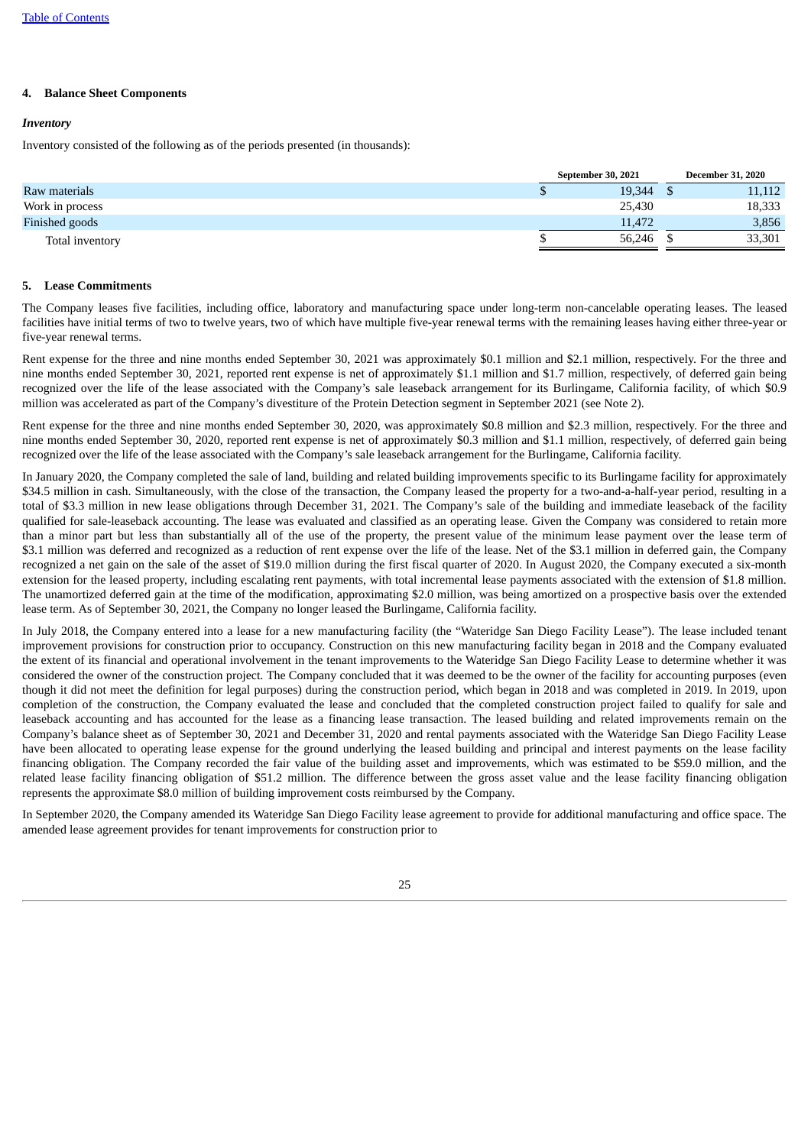# **4. Balance Sheet Components**

# *Inventory*

Inventory consisted of the following as of the periods presented (in thousands):

|                 | September 30, 2021 | <b>December 31, 2020</b> |  |
|-----------------|--------------------|--------------------------|--|
| Raw materials   | 19,344             | 11,112                   |  |
| Work in process | 25,430             | 18,333                   |  |
| Finished goods  | 11.472             | 3,856                    |  |
| Total inventory | 56,246             | 33,301                   |  |

# **5. Lease Commitments**

The Company leases five facilities, including office, laboratory and manufacturing space under long-term non-cancelable operating leases. The leased facilities have initial terms of two to twelve years, two of which have multiple five-year renewal terms with the remaining leases having either three-year or five-year renewal terms.

Rent expense for the three and nine months ended September 30, 2021 was approximately \$0.1 million and \$2.1 million, respectively. For the three and nine months ended September 30, 2021, reported rent expense is net of approximately \$1.1 million and \$1.7 million, respectively, of deferred gain being recognized over the life of the lease associated with the Company's sale leaseback arrangement for its Burlingame, California facility, of which \$0.9 million was accelerated as part of the Company's divestiture of the Protein Detection segment in September 2021 (see Note 2).

Rent expense for the three and nine months ended September 30, 2020, was approximately \$0.8 million and \$2.3 million, respectively. For the three and nine months ended September 30, 2020, reported rent expense is net of approximately \$0.3 million and \$1.1 million, respectively, of deferred gain being recognized over the life of the lease associated with the Company's sale leaseback arrangement for the Burlingame, California facility.

In January 2020, the Company completed the sale of land, building and related building improvements specific to its Burlingame facility for approximately \$34.5 million in cash. Simultaneously, with the close of the transaction, the Company leased the property for a two-and-a-half-year period, resulting in a total of \$3.3 million in new lease obligations through December 31, 2021. The Company's sale of the building and immediate leaseback of the facility qualified for sale-leaseback accounting. The lease was evaluated and classified as an operating lease. Given the Company was considered to retain more than a minor part but less than substantially all of the use of the property, the present value of the minimum lease payment over the lease term of \$3.1 million was deferred and recognized as a reduction of rent expense over the life of the lease. Net of the \$3.1 million in deferred gain, the Company recognized a net gain on the sale of the asset of \$19.0 million during the first fiscal quarter of 2020. In August 2020, the Company executed a six-month extension for the leased property, including escalating rent payments, with total incremental lease payments associated with the extension of \$1.8 million. The unamortized deferred gain at the time of the modification, approximating \$2.0 million, was being amortized on a prospective basis over the extended lease term. As of September 30, 2021, the Company no longer leased the Burlingame, California facility.

In July 2018, the Company entered into a lease for a new manufacturing facility (the "Wateridge San Diego Facility Lease"). The lease included tenant improvement provisions for construction prior to occupancy. Construction on this new manufacturing facility began in 2018 and the Company evaluated the extent of its financial and operational involvement in the tenant improvements to the Wateridge San Diego Facility Lease to determine whether it was considered the owner of the construction project. The Company concluded that it was deemed to be the owner of the facility for accounting purposes (even though it did not meet the definition for legal purposes) during the construction period, which began in 2018 and was completed in 2019. In 2019, upon completion of the construction, the Company evaluated the lease and concluded that the completed construction project failed to qualify for sale and leaseback accounting and has accounted for the lease as a financing lease transaction. The leased building and related improvements remain on the Company's balance sheet as of September 30, 2021 and December 31, 2020 and rental payments associated with the Wateridge San Diego Facility Lease have been allocated to operating lease expense for the ground underlying the leased building and principal and interest payments on the lease facility financing obligation. The Company recorded the fair value of the building asset and improvements, which was estimated to be \$59.0 million, and the related lease facility financing obligation of \$51.2 million. The difference between the gross asset value and the lease facility financing obligation represents the approximate \$8.0 million of building improvement costs reimbursed by the Company.

In September 2020, the Company amended its Wateridge San Diego Facility lease agreement to provide for additional manufacturing and office space. The amended lease agreement provides for tenant improvements for construction prior to

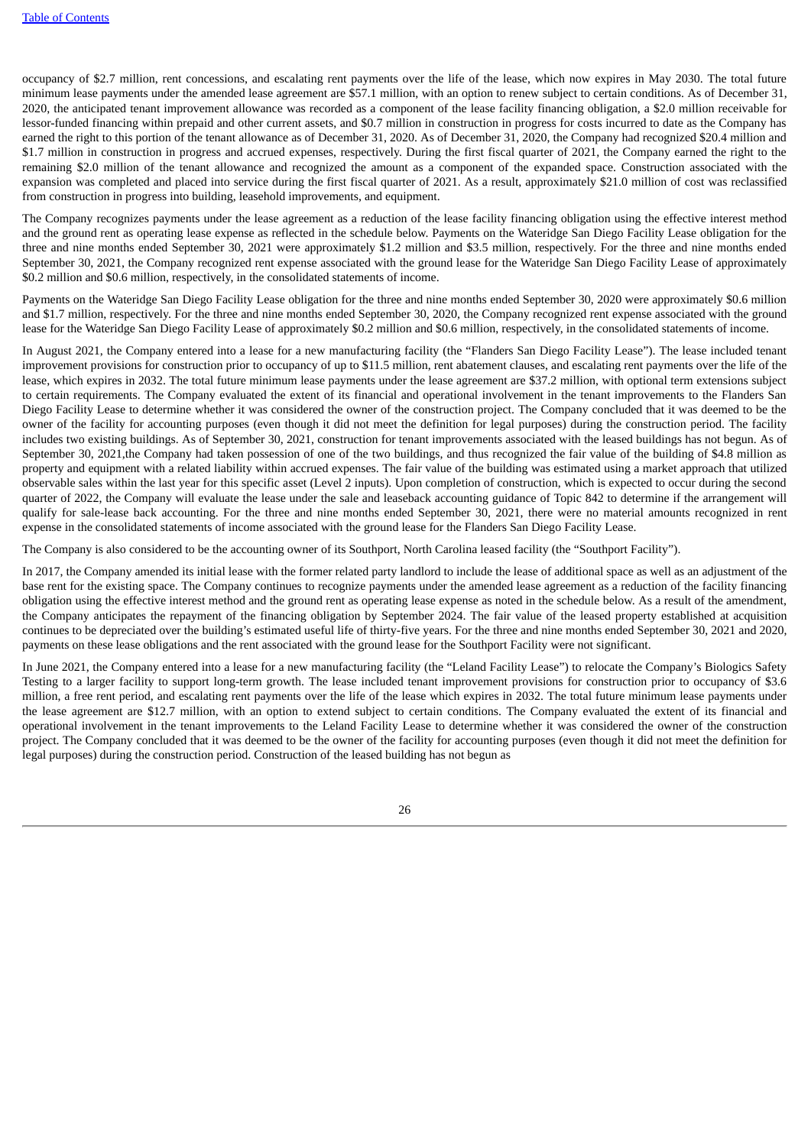occupancy of \$2.7 million, rent concessions, and escalating rent payments over the life of the lease, which now expires in May 2030. The total future minimum lease payments under the amended lease agreement are \$57.1 million, with an option to renew subject to certain conditions. As of December 31, 2020, the anticipated tenant improvement allowance was recorded as a component of the lease facility financing obligation, a \$2.0 million receivable for lessor-funded financing within prepaid and other current assets, and \$0.7 million in construction in progress for costs incurred to date as the Company has earned the right to this portion of the tenant allowance as of December 31, 2020. As of December 31, 2020, the Company had recognized \$20.4 million and \$1.7 million in construction in progress and accrued expenses, respectively. During the first fiscal quarter of 2021, the Company earned the right to the remaining \$2.0 million of the tenant allowance and recognized the amount as a component of the expanded space. Construction associated with the expansion was completed and placed into service during the first fiscal quarter of 2021. As a result, approximately \$21.0 million of cost was reclassified from construction in progress into building, leasehold improvements, and equipment.

The Company recognizes payments under the lease agreement as a reduction of the lease facility financing obligation using the effective interest method and the ground rent as operating lease expense as reflected in the schedule below. Payments on the Wateridge San Diego Facility Lease obligation for the three and nine months ended September 30, 2021 were approximately \$1.2 million and \$3.5 million, respectively. For the three and nine months ended September 30, 2021, the Company recognized rent expense associated with the ground lease for the Wateridge San Diego Facility Lease of approximately \$0.2 million and \$0.6 million, respectively, in the consolidated statements of income.

Payments on the Wateridge San Diego Facility Lease obligation for the three and nine months ended September 30, 2020 were approximately \$0.6 million and \$1.7 million, respectively. For the three and nine months ended September 30, 2020, the Company recognized rent expense associated with the ground lease for the Wateridge San Diego Facility Lease of approximately \$0.2 million and \$0.6 million, respectively, in the consolidated statements of income.

In August 2021, the Company entered into a lease for a new manufacturing facility (the "Flanders San Diego Facility Lease"). The lease included tenant improvement provisions for construction prior to occupancy of up to \$11.5 million, rent abatement clauses, and escalating rent payments over the life of the lease, which expires in 2032. The total future minimum lease payments under the lease agreement are \$37.2 million, with optional term extensions subject to certain requirements. The Company evaluated the extent of its financial and operational involvement in the tenant improvements to the Flanders San Diego Facility Lease to determine whether it was considered the owner of the construction project. The Company concluded that it was deemed to be the owner of the facility for accounting purposes (even though it did not meet the definition for legal purposes) during the construction period. The facility includes two existing buildings. As of September 30, 2021, construction for tenant improvements associated with the leased buildings has not begun. As of September 30, 2021,the Company had taken possession of one of the two buildings, and thus recognized the fair value of the building of \$4.8 million as property and equipment with a related liability within accrued expenses. The fair value of the building was estimated using a market approach that utilized observable sales within the last year for this specific asset (Level 2 inputs). Upon completion of construction, which is expected to occur during the second quarter of 2022, the Company will evaluate the lease under the sale and leaseback accounting guidance of Topic 842 to determine if the arrangement will qualify for sale-lease back accounting. For the three and nine months ended September 30, 2021, there were no material amounts recognized in rent expense in the consolidated statements of income associated with the ground lease for the Flanders San Diego Facility Lease.

The Company is also considered to be the accounting owner of its Southport, North Carolina leased facility (the "Southport Facility").

In 2017, the Company amended its initial lease with the former related party landlord to include the lease of additional space as well as an adjustment of the base rent for the existing space. The Company continues to recognize payments under the amended lease agreement as a reduction of the facility financing obligation using the effective interest method and the ground rent as operating lease expense as noted in the schedule below. As a result of the amendment, the Company anticipates the repayment of the financing obligation by September 2024. The fair value of the leased property established at acquisition continues to be depreciated over the building's estimated useful life of thirty-five years. For the three and nine months ended September 30, 2021 and 2020, payments on these lease obligations and the rent associated with the ground lease for the Southport Facility were not significant.

In June 2021, the Company entered into a lease for a new manufacturing facility (the "Leland Facility Lease") to relocate the Company's Biologics Safety Testing to a larger facility to support long-term growth. The lease included tenant improvement provisions for construction prior to occupancy of \$3.6 million, a free rent period, and escalating rent payments over the life of the lease which expires in 2032. The total future minimum lease payments under the lease agreement are \$12.7 million, with an option to extend subject to certain conditions. The Company evaluated the extent of its financial and operational involvement in the tenant improvements to the Leland Facility Lease to determine whether it was considered the owner of the construction project. The Company concluded that it was deemed to be the owner of the facility for accounting purposes (even though it did not meet the definition for legal purposes) during the construction period. Construction of the leased building has not begun as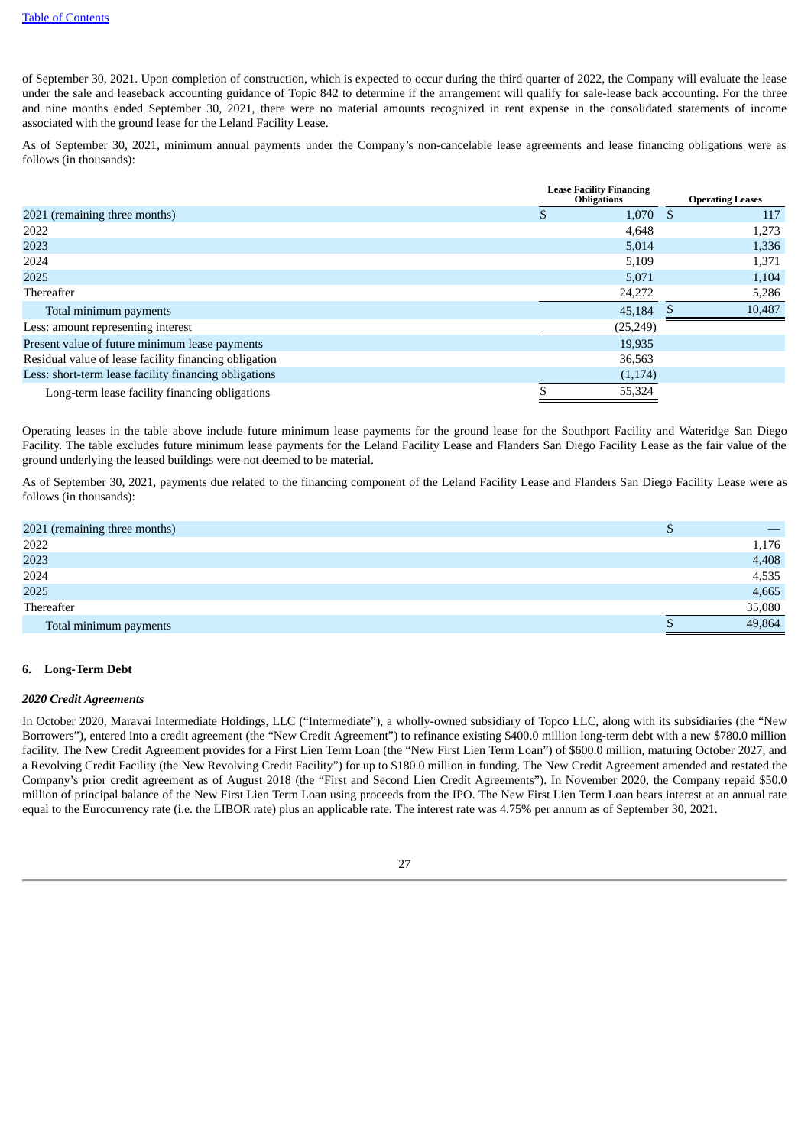of September 30, 2021. Upon completion of construction, which is expected to occur during the third quarter of 2022, the Company will evaluate the lease under the sale and leaseback accounting guidance of Topic 842 to determine if the arrangement will qualify for sale-lease back accounting. For the three and nine months ended September 30, 2021, there were no material amounts recognized in rent expense in the consolidated statements of income associated with the ground lease for the Leland Facility Lease.

As of September 30, 2021, minimum annual payments under the Company's non-cancelable lease agreements and lease financing obligations were as follows (in thousands):

|                                                       | <b>Lease Facility Financing</b><br><b>Obligations</b> |      | <b>Operating Leases</b> |
|-------------------------------------------------------|-------------------------------------------------------|------|-------------------------|
| 2021 (remaining three months)                         | 1,070                                                 | - \$ | 117                     |
| 2022                                                  | 4,648                                                 |      | 1,273                   |
| 2023                                                  | 5,014                                                 |      | 1,336                   |
| 2024                                                  | 5,109                                                 |      | 1,371                   |
| 2025                                                  | 5,071                                                 |      | 1,104                   |
| Thereafter                                            | 24,272                                                |      | 5,286                   |
| Total minimum payments                                | 45,184                                                |      | 10,487                  |
| Less: amount representing interest                    | (25, 249)                                             |      |                         |
| Present value of future minimum lease payments        | 19,935                                                |      |                         |
| Residual value of lease facility financing obligation | 36,563                                                |      |                         |
| Less: short-term lease facility financing obligations | (1,174)                                               |      |                         |
| Long-term lease facility financing obligations        | 55,324                                                |      |                         |

Operating leases in the table above include future minimum lease payments for the ground lease for the Southport Facility and Wateridge San Diego Facility. The table excludes future minimum lease payments for the Leland Facility Lease and Flanders San Diego Facility Lease as the fair value of the ground underlying the leased buildings were not deemed to be material.

As of September 30, 2021, payments due related to the financing component of the Leland Facility Lease and Flanders San Diego Facility Lease were as follows (in thousands):

| 2021 (remaining three months) | Φ |        |
|-------------------------------|---|--------|
| 2022                          |   | 1,176  |
| 2023                          |   | 4,408  |
| 2024                          |   | 4,535  |
| 2025                          |   | 4,665  |
| Thereafter                    |   | 35,080 |
| Total minimum payments        |   | 49,864 |

# **6. Long-Term Debt**

#### *2020 Credit Agreements*

In October 2020, Maravai Intermediate Holdings, LLC ("Intermediate"), a wholly-owned subsidiary of Topco LLC, along with its subsidiaries (the "New Borrowers"), entered into a credit agreement (the "New Credit Agreement") to refinance existing \$400.0 million long-term debt with a new \$780.0 million facility. The New Credit Agreement provides for a First Lien Term Loan (the "New First Lien Term Loan") of \$600.0 million, maturing October 2027, and a Revolving Credit Facility (the New Revolving Credit Facility") for up to \$180.0 million in funding. The New Credit Agreement amended and restated the Company's prior credit agreement as of August 2018 (the "First and Second Lien Credit Agreements"). In November 2020, the Company repaid \$50.0 million of principal balance of the New First Lien Term Loan using proceeds from the IPO. The New First Lien Term Loan bears interest at an annual rate equal to the Eurocurrency rate (i.e. the LIBOR rate) plus an applicable rate. The interest rate was 4.75% per annum as of September 30, 2021.

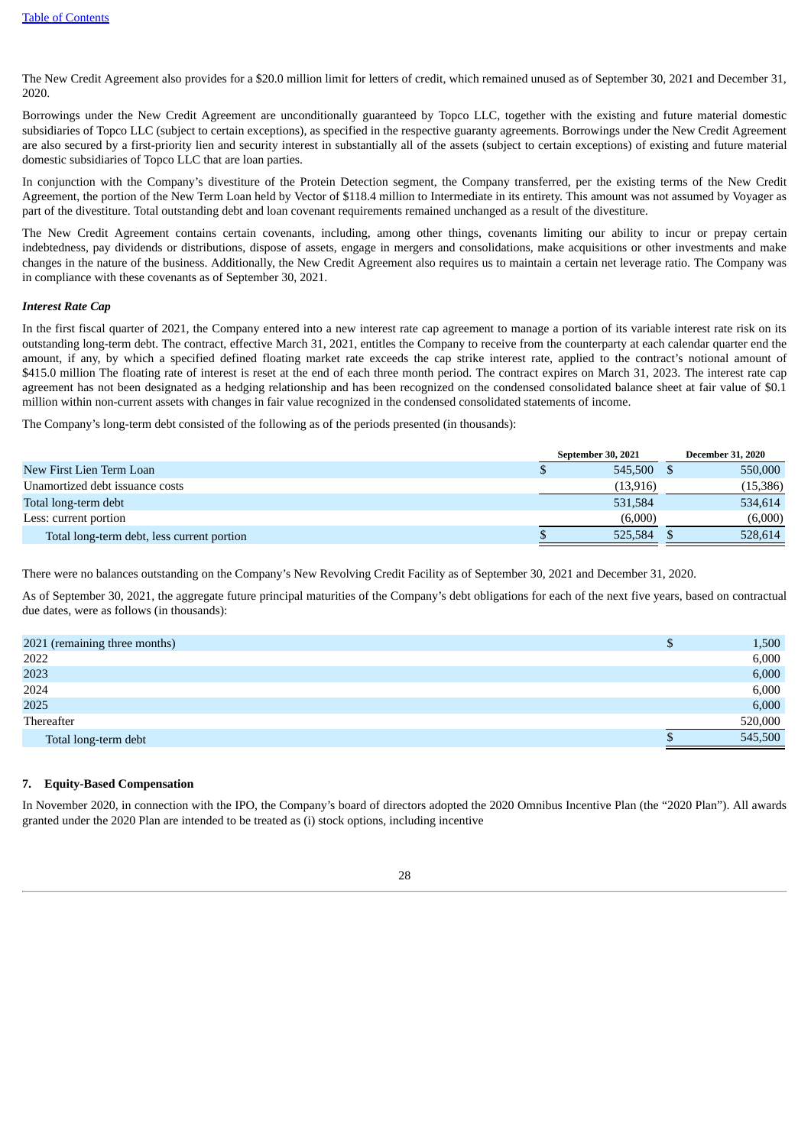The New Credit Agreement also provides for a \$20.0 million limit for letters of credit, which remained unused as of September 30, 2021 and December 31, 2020.

Borrowings under the New Credit Agreement are unconditionally guaranteed by Topco LLC, together with the existing and future material domestic subsidiaries of Topco LLC (subject to certain exceptions), as specified in the respective guaranty agreements. Borrowings under the New Credit Agreement are also secured by a first-priority lien and security interest in substantially all of the assets (subject to certain exceptions) of existing and future material domestic subsidiaries of Topco LLC that are loan parties.

In conjunction with the Company's divestiture of the Protein Detection segment, the Company transferred, per the existing terms of the New Credit Agreement, the portion of the New Term Loan held by Vector of \$118.4 million to Intermediate in its entirety. This amount was not assumed by Voyager as part of the divestiture. Total outstanding debt and loan covenant requirements remained unchanged as a result of the divestiture.

The New Credit Agreement contains certain covenants, including, among other things, covenants limiting our ability to incur or prepay certain indebtedness, pay dividends or distributions, dispose of assets, engage in mergers and consolidations, make acquisitions or other investments and make changes in the nature of the business. Additionally, the New Credit Agreement also requires us to maintain a certain net leverage ratio. The Company was in compliance with these covenants as of September 30, 2021.

# *Interest Rate Cap*

In the first fiscal quarter of 2021, the Company entered into a new interest rate cap agreement to manage a portion of its variable interest rate risk on its outstanding long-term debt. The contract, effective March 31, 2021, entitles the Company to receive from the counterparty at each calendar quarter end the amount, if any, by which a specified defined floating market rate exceeds the cap strike interest rate, applied to the contract's notional amount of \$415.0 million The floating rate of interest is reset at the end of each three month period. The contract expires on March 31, 2023. The interest rate cap agreement has not been designated as a hedging relationship and has been recognized on the condensed consolidated balance sheet at fair value of \$0.1 million within non-current assets with changes in fair value recognized in the condensed consolidated statements of income.

The Company's long-term debt consisted of the following as of the periods presented (in thousands):

|                                            | <b>September 30, 2021</b> | <b>December 31, 2020</b> |
|--------------------------------------------|---------------------------|--------------------------|
| New First Lien Term Loan                   | 545,500                   | 550,000                  |
| Unamortized debt issuance costs            | (13,916)                  | (15,386)                 |
| Total long-term debt                       | 531,584                   | 534,614                  |
| Less: current portion                      | (6,000)                   | (6,000)                  |
| Total long-term debt, less current portion | 525,584                   | 528,614                  |

There were no balances outstanding on the Company's New Revolving Credit Facility as of September 30, 2021 and December 31, 2020.

As of September 30, 2021, the aggregate future principal maturities of the Company's debt obligations for each of the next five years, based on contractual due dates, were as follows (in thousands):

| 2021 (remaining three months) | Φ | 1,500   |
|-------------------------------|---|---------|
| 2022                          |   | 6,000   |
| 2023                          |   | 6,000   |
| 2024                          |   | 6,000   |
| 2025                          |   | 6,000   |
| Thereafter                    |   | 520,000 |
| Total long-term debt          |   | 545,500 |
|                               |   |         |

# **7. Equity-Based Compensation**

In November 2020, in connection with the IPO, the Company's board of directors adopted the 2020 Omnibus Incentive Plan (the "2020 Plan"). All awards granted under the 2020 Plan are intended to be treated as (i) stock options, including incentive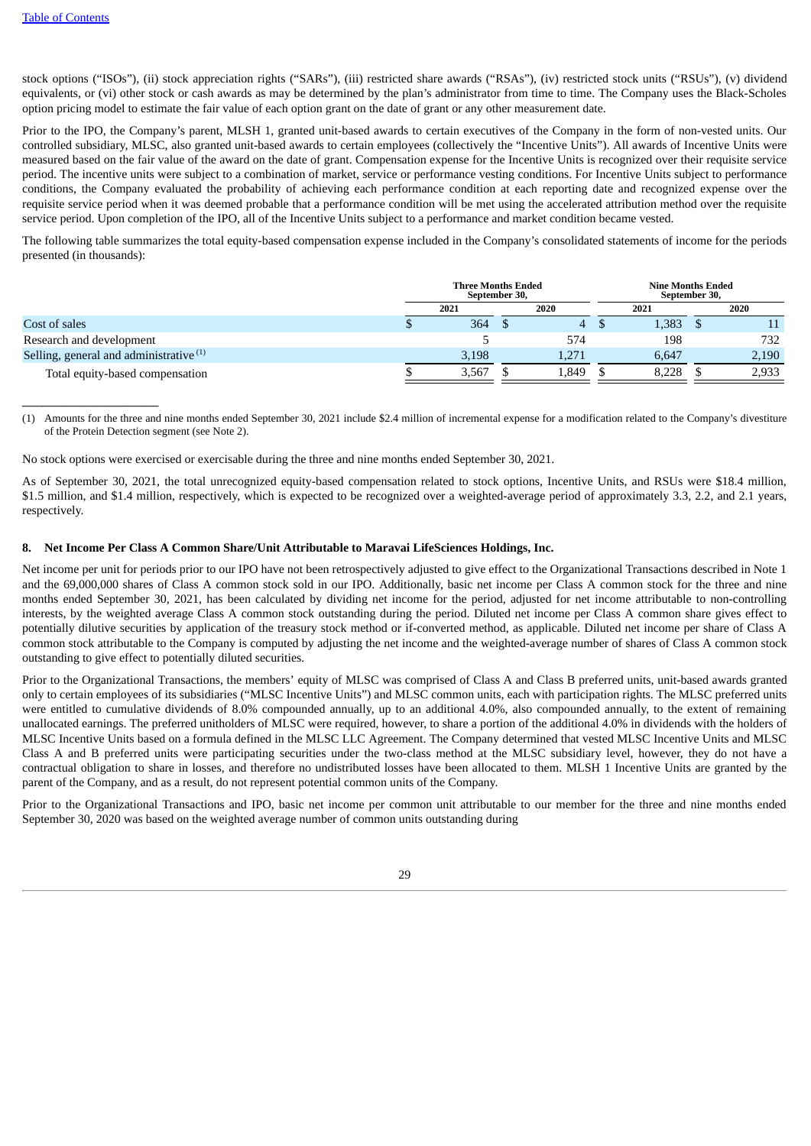$\_$ 

stock options ("ISOs"), (ii) stock appreciation rights ("SARs"), (iii) restricted share awards ("RSAs"), (iv) restricted stock units ("RSUs"), (v) dividend equivalents, or (vi) other stock or cash awards as may be determined by the plan's administrator from time to time. The Company uses the Black-Scholes option pricing model to estimate the fair value of each option grant on the date of grant or any other measurement date.

Prior to the IPO, the Company's parent, MLSH 1, granted unit-based awards to certain executives of the Company in the form of non-vested units. Our controlled subsidiary, MLSC, also granted unit-based awards to certain employees (collectively the "Incentive Units"). All awards of Incentive Units were measured based on the fair value of the award on the date of grant. Compensation expense for the Incentive Units is recognized over their requisite service period. The incentive units were subject to a combination of market, service or performance vesting conditions. For Incentive Units subject to performance conditions, the Company evaluated the probability of achieving each performance condition at each reporting date and recognized expense over the requisite service period when it was deemed probable that a performance condition will be met using the accelerated attribution method over the requisite service period. Upon completion of the IPO, all of the Incentive Units subject to a performance and market condition became vested.

The following table summarizes the total equity-based compensation expense included in the Company's consolidated statements of income for the periods presented (in thousands):

|                                                    | <b>Three Months Ended</b><br>September 30, |       | <b>Nine Months Ended</b><br>September 30, |       |  |       |
|----------------------------------------------------|--------------------------------------------|-------|-------------------------------------------|-------|--|-------|
|                                                    | 2021                                       | 2020  |                                           | 2021  |  | 2020  |
| Cost of sales                                      | 364                                        | 4     |                                           | 1,383 |  |       |
| Research and development                           |                                            | 574   |                                           | 198   |  | 732   |
| Selling, general and administrative <sup>(1)</sup> | 3,198                                      | 1,271 |                                           | 6.647 |  | 2,190 |
| Total equity-based compensation                    | 3,567                                      | 1,849 |                                           | 8.228 |  | 2,933 |

(1) Amounts for the three and nine months ended September 30, 2021 include \$2.4 million of incremental expense for a modification related to the Company's divestiture of the Protein Detection segment (see Note 2).

No stock options were exercised or exercisable during the three and nine months ended September 30, 2021.

As of September 30, 2021, the total unrecognized equity-based compensation related to stock options, Incentive Units, and RSUs were \$18.4 million, \$1.5 million, and \$1.4 million, respectively, which is expected to be recognized over a weighted-average period of approximately 3.3, 2.2, and 2.1 years, respectively.

# **8. Net Income Per Class A Common Share/Unit Attributable to Maravai LifeSciences Holdings, Inc.**

Net income per unit for periods prior to our IPO have not been retrospectively adjusted to give effect to the Organizational Transactions described in Note 1 and the 69,000,000 shares of Class A common stock sold in our IPO. Additionally, basic net income per Class A common stock for the three and nine months ended September 30, 2021, has been calculated by dividing net income for the period, adjusted for net income attributable to non-controlling interests, by the weighted average Class A common stock outstanding during the period. Diluted net income per Class A common share gives effect to potentially dilutive securities by application of the treasury stock method or if-converted method, as applicable. Diluted net income per share of Class A common stock attributable to the Company is computed by adjusting the net income and the weighted-average number of shares of Class A common stock outstanding to give effect to potentially diluted securities.

Prior to the Organizational Transactions, the members' equity of MLSC was comprised of Class A and Class B preferred units, unit-based awards granted only to certain employees of its subsidiaries ("MLSC Incentive Units") and MLSC common units, each with participation rights. The MLSC preferred units were entitled to cumulative dividends of 8.0% compounded annually, up to an additional 4.0%, also compounded annually, to the extent of remaining unallocated earnings. The preferred unitholders of MLSC were required, however, to share a portion of the additional 4.0% in dividends with the holders of MLSC Incentive Units based on a formula defined in the MLSC LLC Agreement. The Company determined that vested MLSC Incentive Units and MLSC Class A and B preferred units were participating securities under the two-class method at the MLSC subsidiary level, however, they do not have a contractual obligation to share in losses, and therefore no undistributed losses have been allocated to them. MLSH 1 Incentive Units are granted by the parent of the Company, and as a result, do not represent potential common units of the Company.

Prior to the Organizational Transactions and IPO, basic net income per common unit attributable to our member for the three and nine months ended September 30, 2020 was based on the weighted average number of common units outstanding during

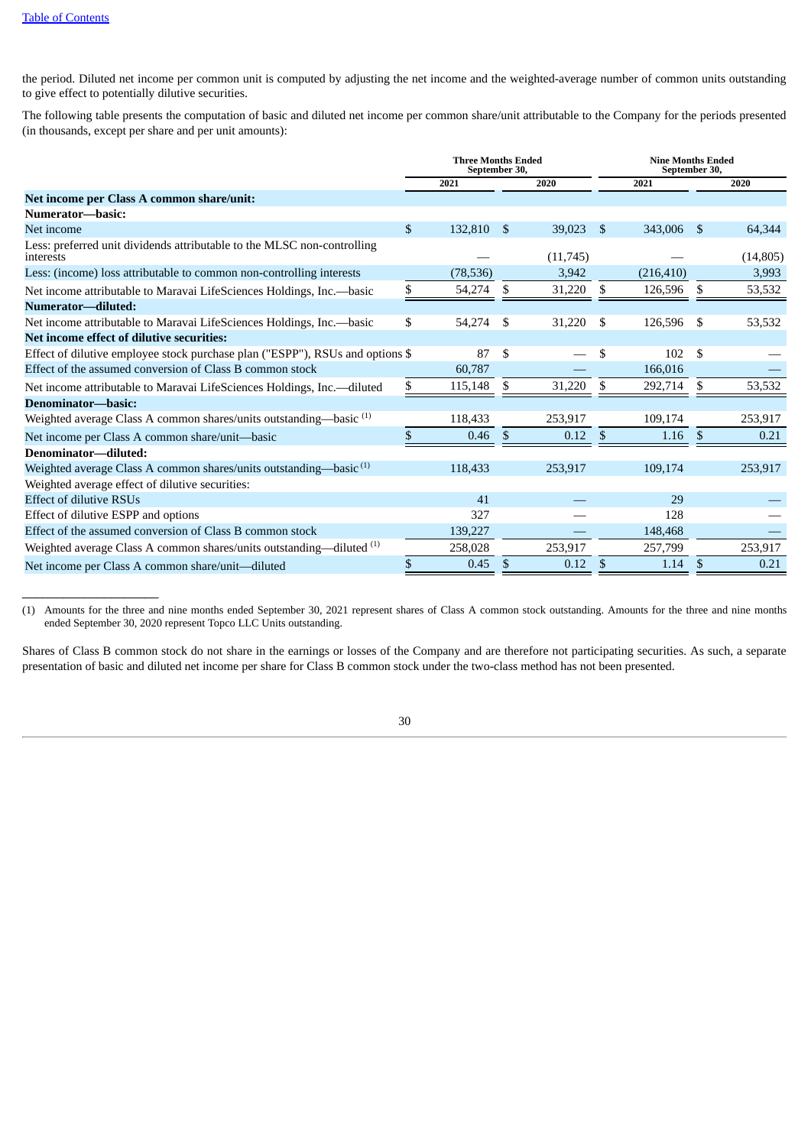$\_$ 

the period. Diluted net income per common unit is computed by adjusting the net income and the weighted-average number of common units outstanding to give effect to potentially dilutive securities.

The following table presents the computation of basic and diluted net income per common share/unit attributable to the Company for the periods presented (in thousands, except per share and per unit amounts):

|                                                                                      |              | <b>Three Months Ended</b><br>September 30, |                        |             |      |            | <b>Nine Months Ended</b><br>September 30, |           |  |
|--------------------------------------------------------------------------------------|--------------|--------------------------------------------|------------------------|-------------|------|------------|-------------------------------------------|-----------|--|
|                                                                                      |              | 2021                                       |                        | 2020        |      | 2021       |                                           | 2020      |  |
| Net income per Class A common share/unit:                                            |              |                                            |                        |             |      |            |                                           |           |  |
| Numerator-basic:                                                                     |              |                                            |                        |             |      |            |                                           |           |  |
| Net income                                                                           | $\mathbb{S}$ | 132,810                                    | \$                     | $39,023$ \$ |      | 343,006    | -\$                                       | 64,344    |  |
| Less: preferred unit dividends attributable to the MLSC non-controlling<br>interests |              |                                            |                        | (11,745)    |      |            |                                           | (14, 805) |  |
| Less: (income) loss attributable to common non-controlling interests                 |              | (78, 536)                                  |                        | 3,942       |      | (216, 410) |                                           | 3,993     |  |
| Net income attributable to Maravai LifeSciences Holdings, Inc.--basic                | \$           | 54,274                                     | \$                     | 31,220      | \$   | 126,596    | \$                                        | 53,532    |  |
| Numerator-diluted:                                                                   |              |                                            |                        |             |      |            |                                           |           |  |
| Net income attributable to Maravai LifeSciences Holdings, Inc.--basic                | \$           | 54,274                                     | \$                     | 31,220      | - \$ | 126,596    | - \$                                      | 53,532    |  |
| Net income effect of dilutive securities:                                            |              |                                            |                        |             |      |            |                                           |           |  |
| Effect of dilutive employee stock purchase plan ("ESPP"), RSUs and options \$        |              | 87                                         | \$                     |             | S    | 102        | - \$                                      |           |  |
| Effect of the assumed conversion of Class B common stock                             |              | 60,787                                     |                        |             |      | 166,016    |                                           |           |  |
| Net income attributable to Maravai LifeSciences Holdings, Inc.—diluted               | \$           | 115,148                                    | S                      | 31,220      | S    | 292,714    | -S                                        | 53,532    |  |
| Denominator-basic:                                                                   |              |                                            |                        |             |      |            |                                           |           |  |
| Weighted average Class A common shares/units outstanding-basic <sup>(1)</sup>        |              | 118,433                                    |                        | 253,917     |      | 109,174    |                                           | 253,917   |  |
| Net income per Class A common share/unit-basic                                       | $\mathbb{S}$ | 0.46                                       | \$                     | 0.12        | \$   | 1.16       | \$                                        | 0.21      |  |
| Denominator-diluted:                                                                 |              |                                            |                        |             |      |            |                                           |           |  |
| Weighted average Class A common shares/units outstanding—basic $(1)$                 |              | 118,433                                    |                        | 253,917     |      | 109,174    |                                           | 253,917   |  |
| Weighted average effect of dilutive securities:                                      |              |                                            |                        |             |      |            |                                           |           |  |
| <b>Effect of dilutive RSUs</b>                                                       |              | 41                                         |                        |             |      | 29         |                                           |           |  |
| Effect of dilutive ESPP and options                                                  |              | 327                                        |                        |             |      | 128        |                                           |           |  |
| Effect of the assumed conversion of Class B common stock                             |              | 139,227                                    |                        |             |      | 148,468    |                                           |           |  |
| Weighted average Class A common shares/units outstanding—diluted $(1)$               |              | 258,028                                    |                        | 253,917     |      | 257,799    |                                           | 253,917   |  |
| Net income per Class A common share/unit-diluted                                     | \$           | 0.45                                       | $\mathbf{\mathcal{S}}$ | 0.12        | \$   | 1.14       | -\$                                       | 0.21      |  |

(1) Amounts for the three and nine months ended September 30, 2021 represent shares of Class A common stock outstanding. Amounts for the three and nine months ended September 30, 2020 represent Topco LLC Units outstanding.

Shares of Class B common stock do not share in the earnings or losses of the Company and are therefore not participating securities. As such, a separate presentation of basic and diluted net income per share for Class B common stock under the two-class method has not been presented.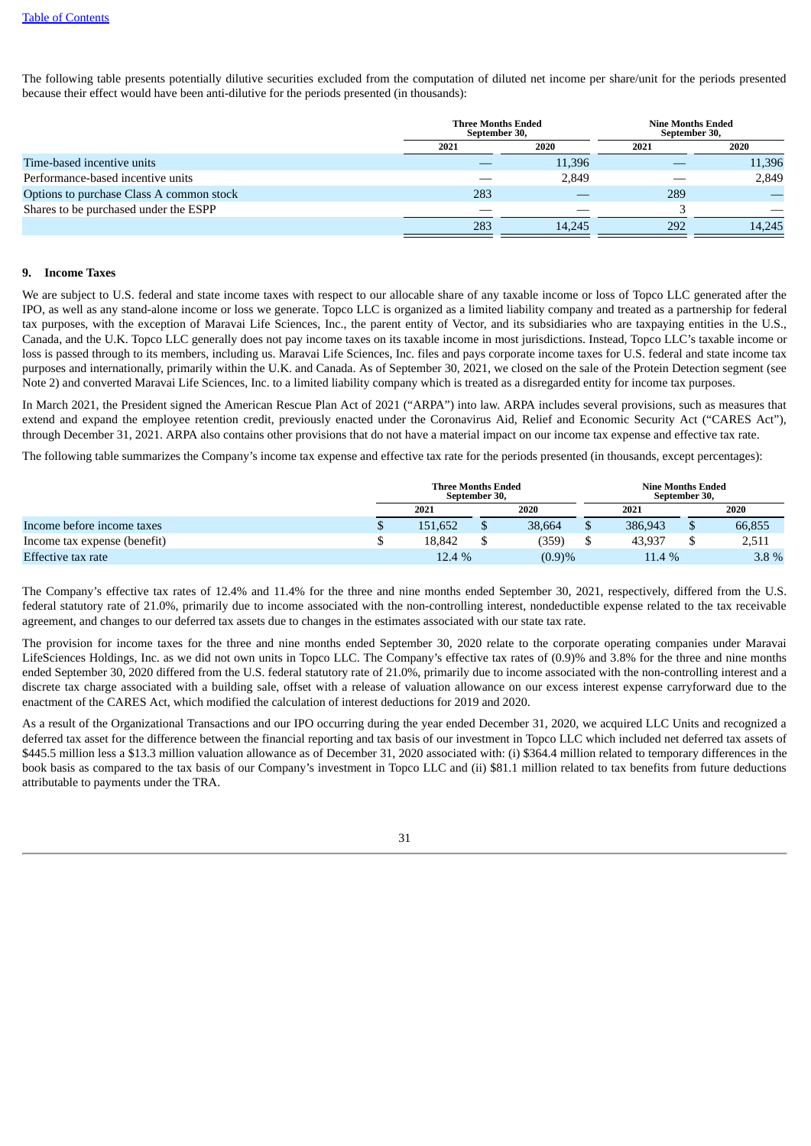The following table presents potentially dilutive securities excluded from the computation of diluted net income per share/unit for the periods presented because their effect would have been anti-dilutive for the periods presented (in thousands):

|                                          | <b>Three Months Ended</b><br>September 30, |        | <b>Nine Months Ended</b><br>September 30, |        |
|------------------------------------------|--------------------------------------------|--------|-------------------------------------------|--------|
|                                          | 2021                                       | 2020   | 2021                                      | 2020   |
| Time-based incentive units               |                                            | 11,396 |                                           | 11,396 |
| Performance-based incentive units        |                                            | 2,849  |                                           | 2,849  |
| Options to purchase Class A common stock | 283                                        |        | 289                                       |        |
| Shares to be purchased under the ESPP    |                                            |        |                                           |        |
|                                          | 283                                        | 14.245 | 292                                       | 14.245 |

#### **9. Income Taxes**

We are subject to U.S. federal and state income taxes with respect to our allocable share of any taxable income or loss of Topco LLC generated after the IPO, as well as any stand-alone income or loss we generate. Topco LLC is organized as a limited liability company and treated as a partnership for federal tax purposes, with the exception of Maravai Life Sciences, Inc., the parent entity of Vector, and its subsidiaries who are taxpaying entities in the U.S., Canada, and the U.K. Topco LLC generally does not pay income taxes on its taxable income in most jurisdictions. Instead, Topco LLC's taxable income or loss is passed through to its members, including us. Maravai Life Sciences, Inc. files and pays corporate income taxes for U.S. federal and state income tax purposes and internationally, primarily within the U.K. and Canada. As of September 30, 2021, we closed on the sale of the Protein Detection segment (see Note 2) and converted Maravai Life Sciences, Inc. to a limited liability company which is treated as a disregarded entity for income tax purposes.

In March 2021, the President signed the American Rescue Plan Act of 2021 ("ARPA") into law. ARPA includes several provisions, such as measures that extend and expand the employee retention credit, previously enacted under the Coronavirus Aid, Relief and Economic Security Act ("CARES Act"), through December 31, 2021. ARPA also contains other provisions that do not have a material impact on our income tax expense and effective tax rate.

The following table summarizes the Company's income tax expense and effective tax rate for the periods presented (in thousands, except percentages):

|                              | <b>Three Months Ended</b> | September 30, |        |  | <b>Nine Months Ended</b><br>September 30, |      |        |  |
|------------------------------|---------------------------|---------------|--------|--|-------------------------------------------|------|--------|--|
|                              | 2021                      |               | 2020   |  | 2021                                      | 2020 |        |  |
| Income before income taxes   | 151.652                   |               | 38,664 |  | 386,943                                   |      | 66,855 |  |
| Income tax expense (benefit) | 18.842                    |               | 359)   |  | 43.937                                    |      | 2,511  |  |
| Effective tax rate           | 12.4 %                    |               | (0.9)% |  | 11.4 %                                    |      | 3.8%   |  |

The Company's effective tax rates of 12.4% and 11.4% for the three and nine months ended September 30, 2021, respectively, differed from the U.S. federal statutory rate of 21.0%, primarily due to income associated with the non-controlling interest, nondeductible expense related to the tax receivable agreement, and changes to our deferred tax assets due to changes in the estimates associated with our state tax rate.

The provision for income taxes for the three and nine months ended September 30, 2020 relate to the corporate operating companies under Maravai LifeSciences Holdings, Inc. as we did not own units in Topco LLC. The Company's effective tax rates of (0.9)% and 3.8% for the three and nine months ended September 30, 2020 differed from the U.S. federal statutory rate of 21.0%, primarily due to income associated with the non-controlling interest and a discrete tax charge associated with a building sale, offset with a release of valuation allowance on our excess interest expense carryforward due to the enactment of the CARES Act, which modified the calculation of interest deductions for 2019 and 2020.

As a result of the Organizational Transactions and our IPO occurring during the year ended December 31, 2020, we acquired LLC Units and recognized a deferred tax asset for the difference between the financial reporting and tax basis of our investment in Topco LLC which included net deferred tax assets of \$445.5 million less a \$13.3 million valuation allowance as of December 31, 2020 associated with: (i) \$364.4 million related to temporary differences in the book basis as compared to the tax basis of our Company's investment in Topco LLC and (ii) \$81.1 million related to tax benefits from future deductions attributable to payments under the TRA.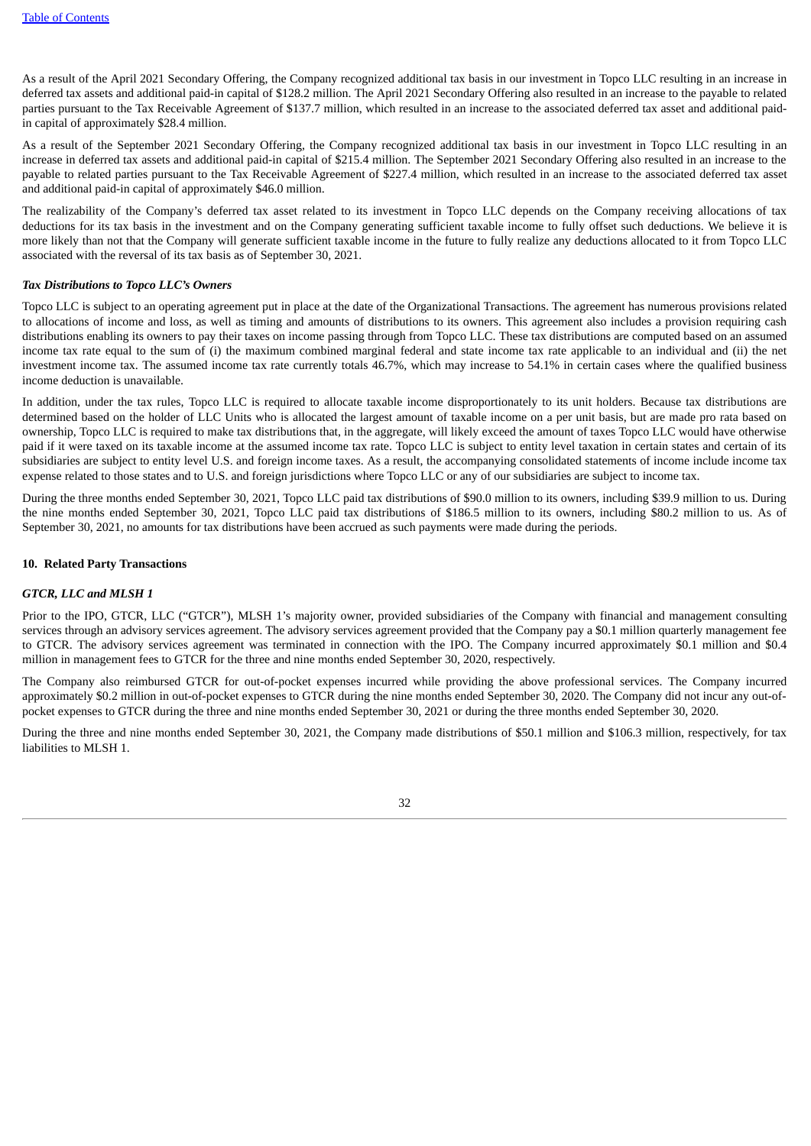As a result of the April 2021 Secondary Offering, the Company recognized additional tax basis in our investment in Topco LLC resulting in an increase in deferred tax assets and additional paid-in capital of \$128.2 million. The April 2021 Secondary Offering also resulted in an increase to the payable to related parties pursuant to the Tax Receivable Agreement of \$137.7 million, which resulted in an increase to the associated deferred tax asset and additional paidin capital of approximately \$28.4 million.

As a result of the September 2021 Secondary Offering, the Company recognized additional tax basis in our investment in Topco LLC resulting in an increase in deferred tax assets and additional paid-in capital of \$215.4 million. The September 2021 Secondary Offering also resulted in an increase to the payable to related parties pursuant to the Tax Receivable Agreement of \$227.4 million, which resulted in an increase to the associated deferred tax asset and additional paid-in capital of approximately \$46.0 million.

The realizability of the Company's deferred tax asset related to its investment in Topco LLC depends on the Company receiving allocations of tax deductions for its tax basis in the investment and on the Company generating sufficient taxable income to fully offset such deductions. We believe it is more likely than not that the Company will generate sufficient taxable income in the future to fully realize any deductions allocated to it from Topco LLC associated with the reversal of its tax basis as of September 30, 2021.

# *Tax Distributions to Topco LLC's Owners*

Topco LLC is subject to an operating agreement put in place at the date of the Organizational Transactions. The agreement has numerous provisions related to allocations of income and loss, as well as timing and amounts of distributions to its owners. This agreement also includes a provision requiring cash distributions enabling its owners to pay their taxes on income passing through from Topco LLC. These tax distributions are computed based on an assumed income tax rate equal to the sum of (i) the maximum combined marginal federal and state income tax rate applicable to an individual and (ii) the net investment income tax. The assumed income tax rate currently totals 46.7%, which may increase to 54.1% in certain cases where the qualified business income deduction is unavailable.

In addition, under the tax rules, Topco LLC is required to allocate taxable income disproportionately to its unit holders. Because tax distributions are determined based on the holder of LLC Units who is allocated the largest amount of taxable income on a per unit basis, but are made pro rata based on ownership, Topco LLC is required to make tax distributions that, in the aggregate, will likely exceed the amount of taxes Topco LLC would have otherwise paid if it were taxed on its taxable income at the assumed income tax rate. Topco LLC is subject to entity level taxation in certain states and certain of its subsidiaries are subject to entity level U.S. and foreign income taxes. As a result, the accompanying consolidated statements of income include income tax expense related to those states and to U.S. and foreign jurisdictions where Topco LLC or any of our subsidiaries are subject to income tax.

During the three months ended September 30, 2021, Topco LLC paid tax distributions of \$90.0 million to its owners, including \$39.9 million to us. During the nine months ended September 30, 2021, Topco LLC paid tax distributions of \$186.5 million to its owners, including \$80.2 million to us. As of September 30, 2021, no amounts for tax distributions have been accrued as such payments were made during the periods.

# **10. Related Party Transactions**

## *GTCR, LLC and MLSH 1*

Prior to the IPO, GTCR, LLC ("GTCR"), MLSH 1's majority owner, provided subsidiaries of the Company with financial and management consulting services through an advisory services agreement. The advisory services agreement provided that the Company pay a \$0.1 million quarterly management fee to GTCR. The advisory services agreement was terminated in connection with the IPO. The Company incurred approximately \$0.1 million and \$0.4 million in management fees to GTCR for the three and nine months ended September 30, 2020, respectively.

The Company also reimbursed GTCR for out-of-pocket expenses incurred while providing the above professional services. The Company incurred approximately \$0.2 million in out-of-pocket expenses to GTCR during the nine months ended September 30, 2020. The Company did not incur any out-ofpocket expenses to GTCR during the three and nine months ended September 30, 2021 or during the three months ended September 30, 2020.

During the three and nine months ended September 30, 2021, the Company made distributions of \$50.1 million and \$106.3 million, respectively, for tax liabilities to MLSH 1.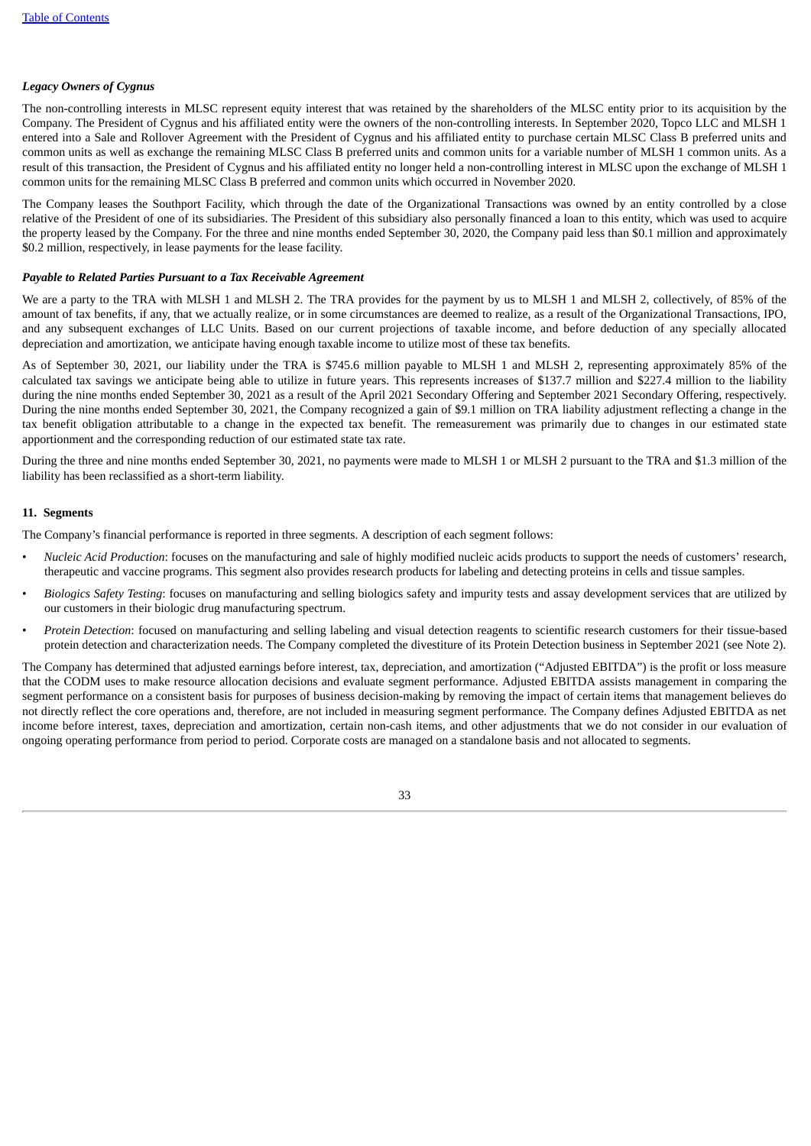# *Legacy Owners of Cygnus*

The non-controlling interests in MLSC represent equity interest that was retained by the shareholders of the MLSC entity prior to its acquisition by the Company. The President of Cygnus and his affiliated entity were the owners of the non-controlling interests. In September 2020, Topco LLC and MLSH 1 entered into a Sale and Rollover Agreement with the President of Cygnus and his affiliated entity to purchase certain MLSC Class B preferred units and common units as well as exchange the remaining MLSC Class B preferred units and common units for a variable number of MLSH 1 common units. As a result of this transaction, the President of Cygnus and his affiliated entity no longer held a non-controlling interest in MLSC upon the exchange of MLSH 1 common units for the remaining MLSC Class B preferred and common units which occurred in November 2020.

The Company leases the Southport Facility, which through the date of the Organizational Transactions was owned by an entity controlled by a close relative of the President of one of its subsidiaries. The President of this subsidiary also personally financed a loan to this entity, which was used to acquire the property leased by the Company. For the three and nine months ended September 30, 2020, the Company paid less than \$0.1 million and approximately \$0.2 million, respectively, in lease payments for the lease facility.

# *Payable to Related Parties Pursuant to a Tax Receivable Agreement*

We are a party to the TRA with MLSH 1 and MLSH 2. The TRA provides for the payment by us to MLSH 1 and MLSH 2, collectively, of 85% of the amount of tax benefits, if any, that we actually realize, or in some circumstances are deemed to realize, as a result of the Organizational Transactions, IPO, and any subsequent exchanges of LLC Units. Based on our current projections of taxable income, and before deduction of any specially allocated depreciation and amortization, we anticipate having enough taxable income to utilize most of these tax benefits.

As of September 30, 2021, our liability under the TRA is \$745.6 million payable to MLSH 1 and MLSH 2, representing approximately 85% of the calculated tax savings we anticipate being able to utilize in future years. This represents increases of \$137.7 million and \$227.4 million to the liability during the nine months ended September 30, 2021 as a result of the April 2021 Secondary Offering and September 2021 Secondary Offering, respectively. During the nine months ended September 30, 2021, the Company recognized a gain of \$9.1 million on TRA liability adjustment reflecting a change in the tax benefit obligation attributable to a change in the expected tax benefit. The remeasurement was primarily due to changes in our estimated state apportionment and the corresponding reduction of our estimated state tax rate.

During the three and nine months ended September 30, 2021, no payments were made to MLSH 1 or MLSH 2 pursuant to the TRA and \$1.3 million of the liability has been reclassified as a short-term liability.

# **11. Segments**

The Company's financial performance is reported in three segments. A description of each segment follows:

- *Nucleic Acid Production*: focuses on the manufacturing and sale of highly modified nucleic acids products to support the needs of customers' research, therapeutic and vaccine programs. This segment also provides research products for labeling and detecting proteins in cells and tissue samples.
- *Biologics Safety Testing*: focuses on manufacturing and selling biologics safety and impurity tests and assay development services that are utilized by our customers in their biologic drug manufacturing spectrum.
- *Protein Detection*: focused on manufacturing and selling labeling and visual detection reagents to scientific research customers for their tissue-based protein detection and characterization needs. The Company completed the divestiture of its Protein Detection business in September 2021 (see Note 2).

The Company has determined that adjusted earnings before interest, tax, depreciation, and amortization ("Adjusted EBITDA") is the profit or loss measure that the CODM uses to make resource allocation decisions and evaluate segment performance. Adjusted EBITDA assists management in comparing the segment performance on a consistent basis for purposes of business decision-making by removing the impact of certain items that management believes do not directly reflect the core operations and, therefore, are not included in measuring segment performance. The Company defines Adjusted EBITDA as net income before interest, taxes, depreciation and amortization, certain non-cash items, and other adjustments that we do not consider in our evaluation of ongoing operating performance from period to period. Corporate costs are managed on a standalone basis and not allocated to segments.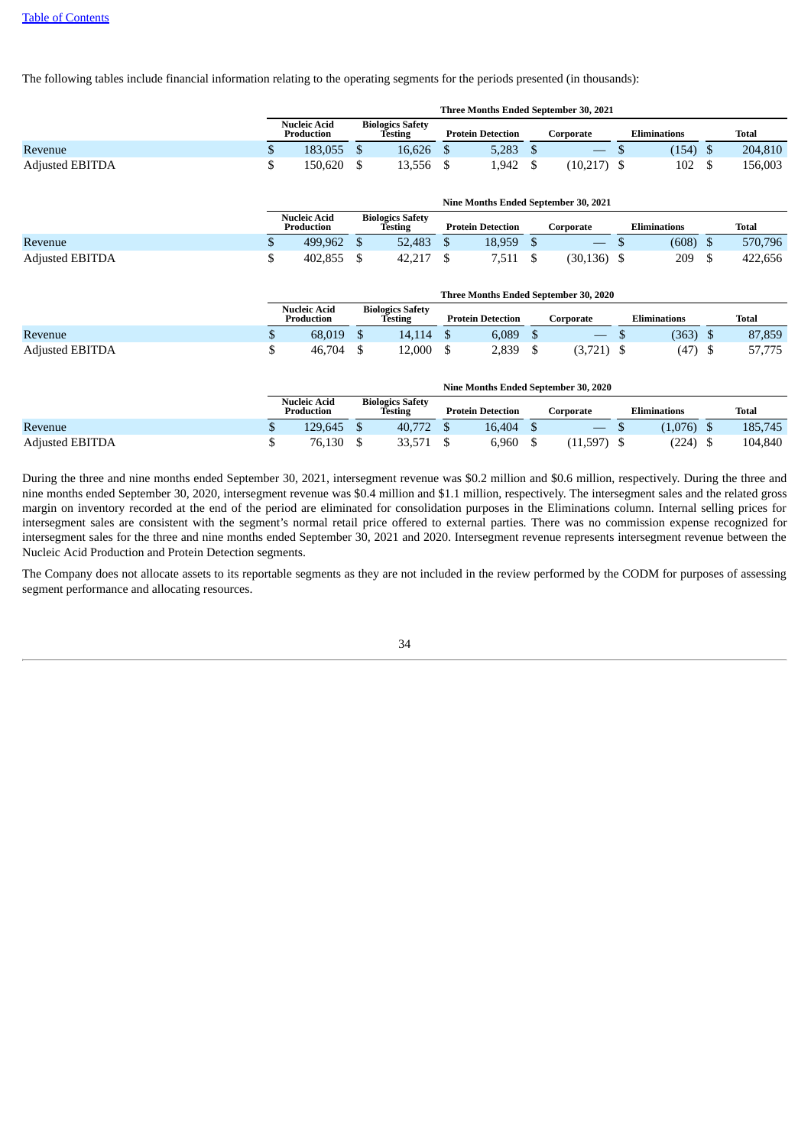The following tables include financial information relating to the operating segments for the periods presented (in thousands):

|                        |    |                                   |                                    |    |                          |      | Three Months Ended September 30, 2021                 |     |                     |    |              |
|------------------------|----|-----------------------------------|------------------------------------|----|--------------------------|------|-------------------------------------------------------|-----|---------------------|----|--------------|
|                        |    | <b>Nucleic Acid</b><br>Production | <b>Biologics Safety</b><br>Testing |    | <b>Protein Detection</b> |      | Corporate                                             |     | <b>Eliminations</b> |    | Total        |
| Revenue                | S. | 183,055 \$                        | 16,626                             | -S | $5,283$ \$               |      |                                                       |     | (154)               | -S | 204,810      |
| <b>Adjusted EBITDA</b> | \$ | 150,620 \$                        | 13,556                             | S  | 1,942                    | - \$ | $(10,217)$ \$<br>Nine Months Ended September 30, 2021 |     | 102                 |    | 156,003      |
|                        |    |                                   |                                    |    |                          |      |                                                       |     |                     |    |              |
|                        |    | <b>Nucleic Acid</b><br>Production | <b>Biologics Safety</b><br>Testing |    | <b>Protein Detection</b> |      | Corporate                                             |     | <b>Eliminations</b> |    | <b>Total</b> |
| Revenue                | \$ | 499,962 \$                        | 52,483                             | -S | 18,959                   | - \$ | $\hspace{0.05cm}$                                     | D   | (608)               | -S | 570,796      |
| <b>Adjusted EBITDA</b> | S  | 402,855                           | 42,217                             | S  | 7,511                    |      | (30, 136)                                             | - S | 209                 |    | 422,656      |

|                        |   | <b>Three Months Ended September 30, 2020</b> |  |                                    |  |                          |  |           |  |                     |  |        |
|------------------------|---|----------------------------------------------|--|------------------------------------|--|--------------------------|--|-----------|--|---------------------|--|--------|
|                        |   | <b>Nucleic Acid</b><br>Production            |  | <b>Biologics Safety</b><br>Testing |  | <b>Protein Detection</b> |  | Corporate |  | <b>Eliminations</b> |  | Total  |
| Revenue                | Ψ | 68.019                                       |  | 14.114                             |  | 6,089                    |  |           |  | (363)               |  | 87,859 |
| <b>Adjusted EBITDA</b> |   | 46,704                                       |  | 12,000                             |  | 2,839                    |  | (3,721)   |  | (47)                |  | 57,775 |

|                        |   | Nine Months Ended September 30, 2020 |  |                                    |  |                          |  |           |  |                     |  |              |  |
|------------------------|---|--------------------------------------|--|------------------------------------|--|--------------------------|--|-----------|--|---------------------|--|--------------|--|
|                        |   | Nucleic Acid<br>Production           |  | <b>Biologics Safety</b><br>Testing |  | <b>Protein Detection</b> |  | Corporate |  | <b>Eliminations</b> |  | <b>Total</b> |  |
| Revenue                | Φ | 129.645                              |  | 40.772                             |  | 16,404                   |  |           |  | (1,076)             |  | 185,745      |  |
| <b>Adjusted EBITDA</b> |   | 76.130                               |  | 33.571                             |  | 6,960                    |  | (11, 597) |  | (224)               |  | 104,840      |  |

During the three and nine months ended September 30, 2021, intersegment revenue was \$0.2 million and \$0.6 million, respectively. During the three and nine months ended September 30, 2020, intersegment revenue was \$0.4 million and \$1.1 million, respectively. The intersegment sales and the related gross margin on inventory recorded at the end of the period are eliminated for consolidation purposes in the Eliminations column. Internal selling prices for intersegment sales are consistent with the segment's normal retail price offered to external parties. There was no commission expense recognized for intersegment sales for the three and nine months ended September 30, 2021 and 2020. Intersegment revenue represents intersegment revenue between the Nucleic Acid Production and Protein Detection segments.

The Company does not allocate assets to its reportable segments as they are not included in the review performed by the CODM for purposes of assessing segment performance and allocating resources.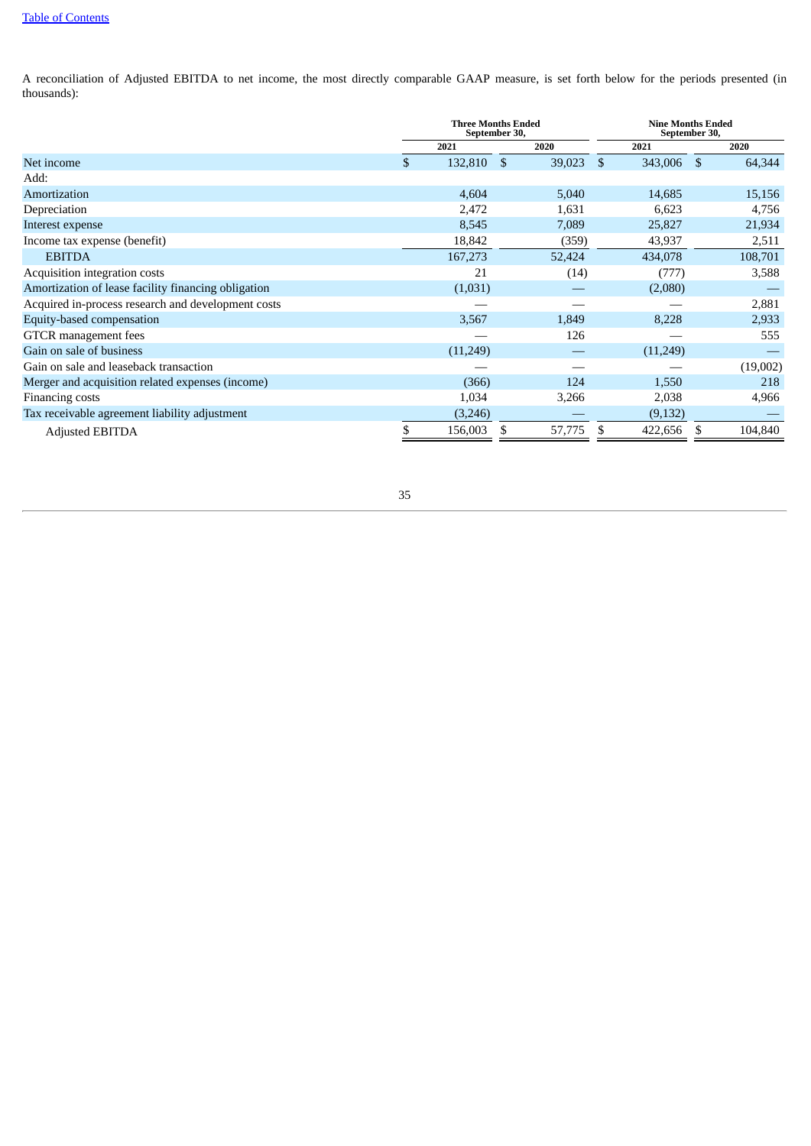A reconciliation of Adjusted EBITDA to net income, the most directly comparable GAAP measure, is set forth below for the periods presented (in thousands):

<span id="page-34-0"></span>

|                                                     | <b>Three Months Ended</b><br>September 30, |               |        |               | <b>Nine Months Ended</b><br>September 30, |    |          |  |  |  |
|-----------------------------------------------------|--------------------------------------------|---------------|--------|---------------|-------------------------------------------|----|----------|--|--|--|
|                                                     | 2021                                       |               | 2020   |               | 2021                                      |    | 2020     |  |  |  |
| Net income                                          | \$<br>132,810                              | <sup>\$</sup> | 39,023 | <sup>\$</sup> | 343,006                                   | -S | 64,344   |  |  |  |
| Add:                                                |                                            |               |        |               |                                           |    |          |  |  |  |
| Amortization                                        | 4,604                                      |               | 5,040  |               | 14,685                                    |    | 15,156   |  |  |  |
| Depreciation                                        | 2,472                                      |               | 1,631  |               | 6,623                                     |    | 4,756    |  |  |  |
| Interest expense                                    | 8,545                                      |               | 7,089  |               | 25,827                                    |    | 21,934   |  |  |  |
| Income tax expense (benefit)                        | 18,842                                     |               | (359)  |               | 43,937                                    |    | 2,511    |  |  |  |
| <b>EBITDA</b>                                       | 167,273                                    |               | 52,424 |               | 434,078                                   |    | 108,701  |  |  |  |
| Acquisition integration costs                       | 21                                         |               | (14)   |               | (777)                                     |    | 3,588    |  |  |  |
| Amortization of lease facility financing obligation | (1,031)                                    |               |        |               | (2,080)                                   |    |          |  |  |  |
| Acquired in-process research and development costs  |                                            |               |        |               |                                           |    | 2,881    |  |  |  |
| Equity-based compensation                           | 3,567                                      |               | 1,849  |               | 8,228                                     |    | 2,933    |  |  |  |
| GTCR management fees                                |                                            |               | 126    |               |                                           |    | 555      |  |  |  |
| Gain on sale of business                            | (11,249)                                   |               |        |               | (11,249)                                  |    |          |  |  |  |
| Gain on sale and leaseback transaction              |                                            |               |        |               |                                           |    | (19,002) |  |  |  |
| Merger and acquisition related expenses (income)    | (366)                                      |               | 124    |               | 1,550                                     |    | 218      |  |  |  |
| Financing costs                                     | 1,034                                      |               | 3,266  |               | 2,038                                     |    | 4,966    |  |  |  |
| Tax receivable agreement liability adjustment       | (3,246)                                    |               |        |               | (9, 132)                                  |    |          |  |  |  |
| <b>Adjusted EBITDA</b>                              | 156,003                                    |               | 57,775 | S             | 422,656                                   | æ. | 104,840  |  |  |  |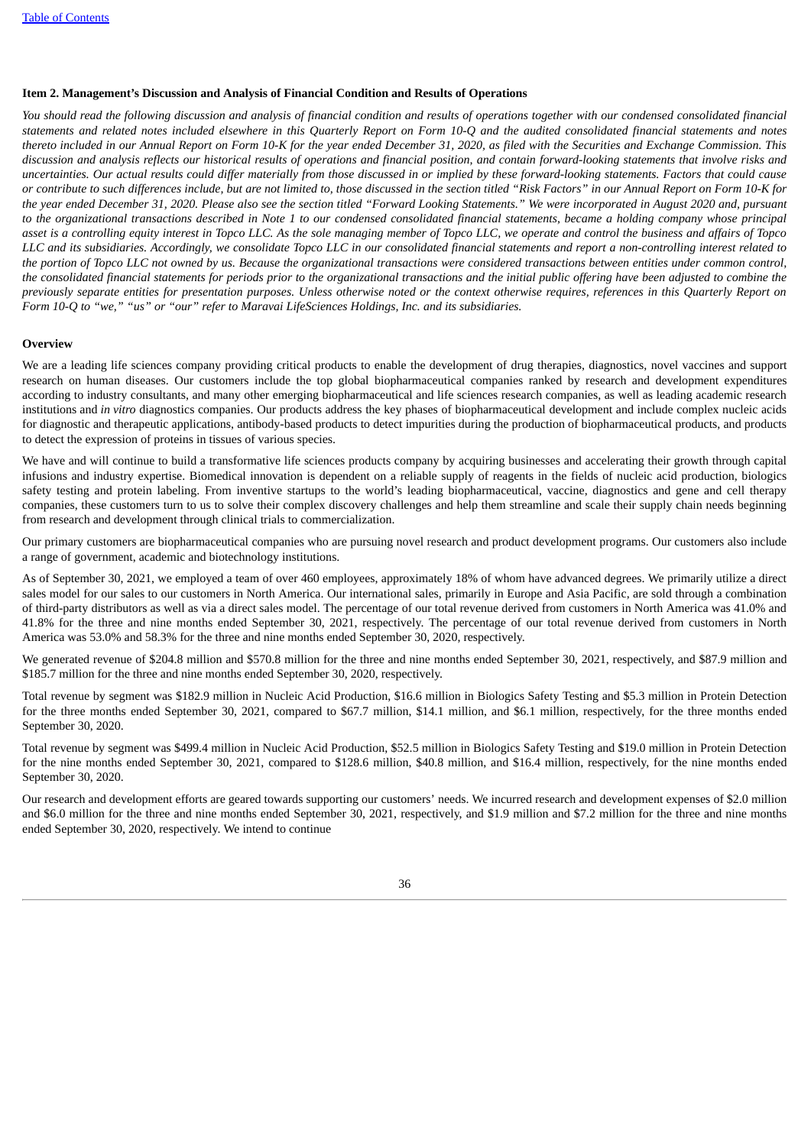# **Item 2. Management's Discussion and Analysis of Financial Condition and Results of Operations**

You should read the following discussion and analysis of financial condition and results of operations together with our condensed consolidated financial statements and related notes included elsewhere in this Quarterly Report on Form 10-Q and the audited consolidated financial statements and notes thereto included in our Annual Report on Form 10-K for the year ended December 31, 2020, as filed with the Securities and Exchange Commission. This discussion and analysis reflects our historical results of operations and financial position, and contain forward-looking statements that involve risks and uncertainties. Our actual results could differ materially from those discussed in or implied by these forward-looking statements. Factors that could cause or contribute to such differences include, but are not limited to, those discussed in the section titled "Risk Factors" in our Annual Report on Form 10-K for the year ended December 31, 2020. Please also see the section titled "Forward Looking Statements." We were incorporated in August 2020 and, pursuant to the organizational transactions described in Note 1 to our condensed consolidated financial statements, became a holding company whose principal asset is a controlling equity interest in Topco LLC. As the sole managing member of Topco LLC, we operate and control the business and affairs of Topco LLC and its subsidiaries. Accordingly, we consolidate Topco LLC in our consolidated financial statements and report a non-controlling interest related to the portion of Topco LLC not owned by us. Because the organizational transactions were considered transactions between entities under common control, the consolidated financial statements for periods prior to the organizational transactions and the initial public offering have been adjusted to combine the previously separate entities for presentation purposes. Unless otherwise noted or the context otherwise requires, references in this Quarterly Report on *Form 10-Q to "we," "us" or "our" refer to Maravai LifeSciences Holdings, Inc. and its subsidiaries.*

# **Overview**

We are a leading life sciences company providing critical products to enable the development of drug therapies, diagnostics, novel vaccines and support research on human diseases. Our customers include the top global biopharmaceutical companies ranked by research and development expenditures according to industry consultants, and many other emerging biopharmaceutical and life sciences research companies, as well as leading academic research institutions and *in vitro* diagnostics companies. Our products address the key phases of biopharmaceutical development and include complex nucleic acids for diagnostic and therapeutic applications, antibody-based products to detect impurities during the production of biopharmaceutical products, and products to detect the expression of proteins in tissues of various species.

We have and will continue to build a transformative life sciences products company by acquiring businesses and accelerating their growth through capital infusions and industry expertise. Biomedical innovation is dependent on a reliable supply of reagents in the fields of nucleic acid production, biologics safety testing and protein labeling. From inventive startups to the world's leading biopharmaceutical, vaccine, diagnostics and gene and cell therapy companies, these customers turn to us to solve their complex discovery challenges and help them streamline and scale their supply chain needs beginning from research and development through clinical trials to commercialization.

Our primary customers are biopharmaceutical companies who are pursuing novel research and product development programs. Our customers also include a range of government, academic and biotechnology institutions.

As of September 30, 2021, we employed a team of over 460 employees, approximately 18% of whom have advanced degrees. We primarily utilize a direct sales model for our sales to our customers in North America. Our international sales, primarily in Europe and Asia Pacific, are sold through a combination of third-party distributors as well as via a direct sales model. The percentage of our total revenue derived from customers in North America was 41.0% and 41.8% for the three and nine months ended September 30, 2021, respectively. The percentage of our total revenue derived from customers in North America was 53.0% and 58.3% for the three and nine months ended September 30, 2020, respectively.

We generated revenue of \$204.8 million and \$570.8 million for the three and nine months ended September 30, 2021, respectively, and \$87.9 million and \$185.7 million for the three and nine months ended September 30, 2020, respectively.

Total revenue by segment was \$182.9 million in Nucleic Acid Production, \$16.6 million in Biologics Safety Testing and \$5.3 million in Protein Detection for the three months ended September 30, 2021, compared to \$67.7 million, \$14.1 million, and \$6.1 million, respectively, for the three months ended September 30, 2020.

Total revenue by segment was \$499.4 million in Nucleic Acid Production, \$52.5 million in Biologics Safety Testing and \$19.0 million in Protein Detection for the nine months ended September 30, 2021, compared to \$128.6 million, \$40.8 million, and \$16.4 million, respectively, for the nine months ended September 30, 2020.

Our research and development efforts are geared towards supporting our customers' needs. We incurred research and development expenses of \$2.0 million and \$6.0 million for the three and nine months ended September 30, 2021, respectively, and \$1.9 million and \$7.2 million for the three and nine months ended September 30, 2020, respectively. We intend to continue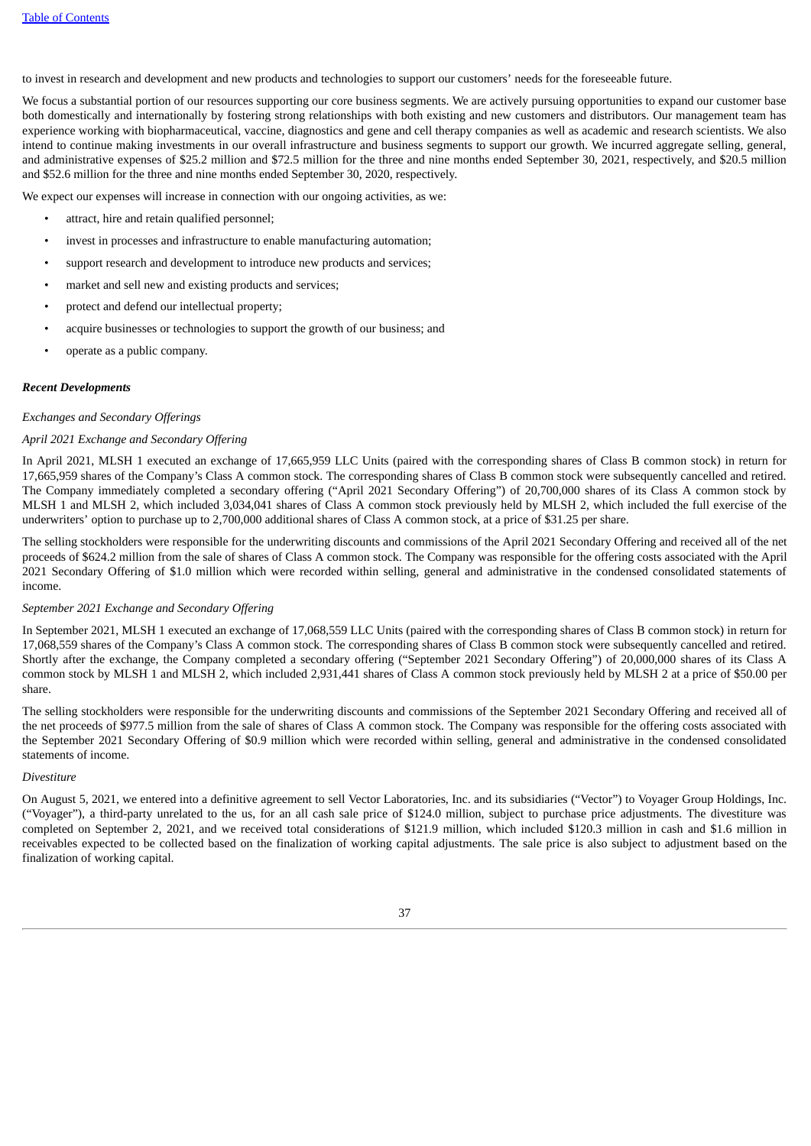to invest in research and development and new products and technologies to support our customers' needs for the foreseeable future.

We focus a substantial portion of our resources supporting our core business segments. We are actively pursuing opportunities to expand our customer base both domestically and internationally by fostering strong relationships with both existing and new customers and distributors. Our management team has experience working with biopharmaceutical, vaccine, diagnostics and gene and cell therapy companies as well as academic and research scientists. We also intend to continue making investments in our overall infrastructure and business segments to support our growth. We incurred aggregate selling, general, and administrative expenses of \$25.2 million and \$72.5 million for the three and nine months ended September 30, 2021, respectively, and \$20.5 million and \$52.6 million for the three and nine months ended September 30, 2020, respectively.

We expect our expenses will increase in connection with our ongoing activities, as we:

- attract, hire and retain qualified personnel;
- invest in processes and infrastructure to enable manufacturing automation;
- support research and development to introduce new products and services;
- market and sell new and existing products and services;
- protect and defend our intellectual property;
- acquire businesses or technologies to support the growth of our business; and
- operate as a public company.

# *Recent Developments*

# *Exchanges and Secondary Offerings*

# *April 2021 Exchange and Secondary Offering*

In April 2021, MLSH 1 executed an exchange of 17,665,959 LLC Units (paired with the corresponding shares of Class B common stock) in return for 17,665,959 shares of the Company's Class A common stock. The corresponding shares of Class B common stock were subsequently cancelled and retired. The Company immediately completed a secondary offering ("April 2021 Secondary Offering") of 20,700,000 shares of its Class A common stock by MLSH 1 and MLSH 2, which included 3,034,041 shares of Class A common stock previously held by MLSH 2, which included the full exercise of the underwriters' option to purchase up to 2,700,000 additional shares of Class A common stock, at a price of \$31.25 per share.

The selling stockholders were responsible for the underwriting discounts and commissions of the April 2021 Secondary Offering and received all of the net proceeds of \$624.2 million from the sale of shares of Class A common stock. The Company was responsible for the offering costs associated with the April 2021 Secondary Offering of \$1.0 million which were recorded within selling, general and administrative in the condensed consolidated statements of income.

# *September 2021 Exchange and Secondary Offering*

In September 2021, MLSH 1 executed an exchange of 17,068,559 LLC Units (paired with the corresponding shares of Class B common stock) in return for 17,068,559 shares of the Company's Class A common stock. The corresponding shares of Class B common stock were subsequently cancelled and retired. Shortly after the exchange, the Company completed a secondary offering ("September 2021 Secondary Offering") of 20,000,000 shares of its Class A common stock by MLSH 1 and MLSH 2, which included 2,931,441 shares of Class A common stock previously held by MLSH 2 at a price of \$50.00 per share.

The selling stockholders were responsible for the underwriting discounts and commissions of the September 2021 Secondary Offering and received all of the net proceeds of \$977.5 million from the sale of shares of Class A common stock. The Company was responsible for the offering costs associated with the September 2021 Secondary Offering of \$0.9 million which were recorded within selling, general and administrative in the condensed consolidated statements of income.

#### *Divestiture*

On August 5, 2021, we entered into a definitive agreement to sell Vector Laboratories, Inc. and its subsidiaries ("Vector") to Voyager Group Holdings, Inc. ("Voyager"), a third-party unrelated to the us, for an all cash sale price of \$124.0 million, subject to purchase price adjustments. The divestiture was completed on September 2, 2021, and we received total considerations of \$121.9 million, which included \$120.3 million in cash and \$1.6 million in receivables expected to be collected based on the finalization of working capital adjustments. The sale price is also subject to adjustment based on the finalization of working capital.

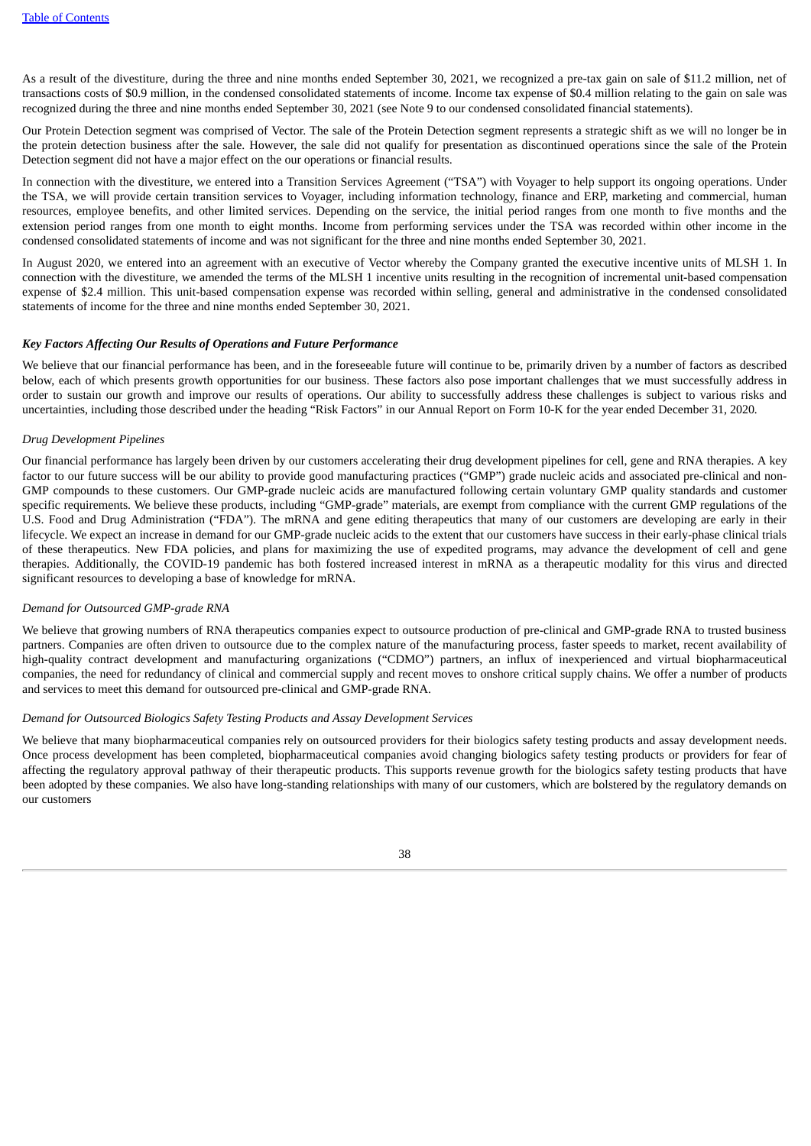As a result of the divestiture, during the three and nine months ended September 30, 2021, we recognized a pre-tax gain on sale of \$11.2 million, net of transactions costs of \$0.9 million, in the condensed consolidated statements of income. Income tax expense of \$0.4 million relating to the gain on sale was recognized during the three and nine months ended September 30, 2021 (see Note 9 to our condensed consolidated financial statements).

Our Protein Detection segment was comprised of Vector. The sale of the Protein Detection segment represents a strategic shift as we will no longer be in the protein detection business after the sale. However, the sale did not qualify for presentation as discontinued operations since the sale of the Protein Detection segment did not have a major effect on the our operations or financial results.

In connection with the divestiture, we entered into a Transition Services Agreement ("TSA") with Voyager to help support its ongoing operations. Under the TSA, we will provide certain transition services to Voyager, including information technology, finance and ERP, marketing and commercial, human resources, employee benefits, and other limited services. Depending on the service, the initial period ranges from one month to five months and the extension period ranges from one month to eight months. Income from performing services under the TSA was recorded within other income in the condensed consolidated statements of income and was not significant for the three and nine months ended September 30, 2021.

In August 2020, we entered into an agreement with an executive of Vector whereby the Company granted the executive incentive units of MLSH 1. In connection with the divestiture, we amended the terms of the MLSH 1 incentive units resulting in the recognition of incremental unit-based compensation expense of \$2.4 million. This unit-based compensation expense was recorded within selling, general and administrative in the condensed consolidated statements of income for the three and nine months ended September 30, 2021.

#### *Key Factors Affecting Our Results of Operations and Future Performance*

We believe that our financial performance has been, and in the foreseeable future will continue to be, primarily driven by a number of factors as described below, each of which presents growth opportunities for our business. These factors also pose important challenges that we must successfully address in order to sustain our growth and improve our results of operations. Our ability to successfully address these challenges is subject to various risks and uncertainties, including those described under the heading "Risk Factors" in our Annual Report on Form 10-K for the year ended December 31, 2020*.*

# *Drug Development Pipelines*

Our financial performance has largely been driven by our customers accelerating their drug development pipelines for cell, gene and RNA therapies. A key factor to our future success will be our ability to provide good manufacturing practices ("GMP") grade nucleic acids and associated pre-clinical and non-GMP compounds to these customers. Our GMP-grade nucleic acids are manufactured following certain voluntary GMP quality standards and customer specific requirements. We believe these products, including "GMP-grade" materials, are exempt from compliance with the current GMP regulations of the U.S. Food and Drug Administration ("FDA"). The mRNA and gene editing therapeutics that many of our customers are developing are early in their lifecycle. We expect an increase in demand for our GMP-grade nucleic acids to the extent that our customers have success in their early-phase clinical trials of these therapeutics. New FDA policies, and plans for maximizing the use of expedited programs, may advance the development of cell and gene therapies. Additionally, the COVID-19 pandemic has both fostered increased interest in mRNA as a therapeutic modality for this virus and directed significant resources to developing a base of knowledge for mRNA.

#### *Demand for Outsourced GMP-grade RNA*

We believe that growing numbers of RNA therapeutics companies expect to outsource production of pre-clinical and GMP-grade RNA to trusted business partners. Companies are often driven to outsource due to the complex nature of the manufacturing process, faster speeds to market, recent availability of high-quality contract development and manufacturing organizations ("CDMO") partners, an influx of inexperienced and virtual biopharmaceutical companies, the need for redundancy of clinical and commercial supply and recent moves to onshore critical supply chains. We offer a number of products and services to meet this demand for outsourced pre-clinical and GMP-grade RNA.

#### *Demand for Outsourced Biologics Safety Testing Products and Assay Development Services*

We believe that many biopharmaceutical companies rely on outsourced providers for their biologics safety testing products and assay development needs. Once process development has been completed, biopharmaceutical companies avoid changing biologics safety testing products or providers for fear of affecting the regulatory approval pathway of their therapeutic products. This supports revenue growth for the biologics safety testing products that have been adopted by these companies. We also have long-standing relationships with many of our customers, which are bolstered by the regulatory demands on our customers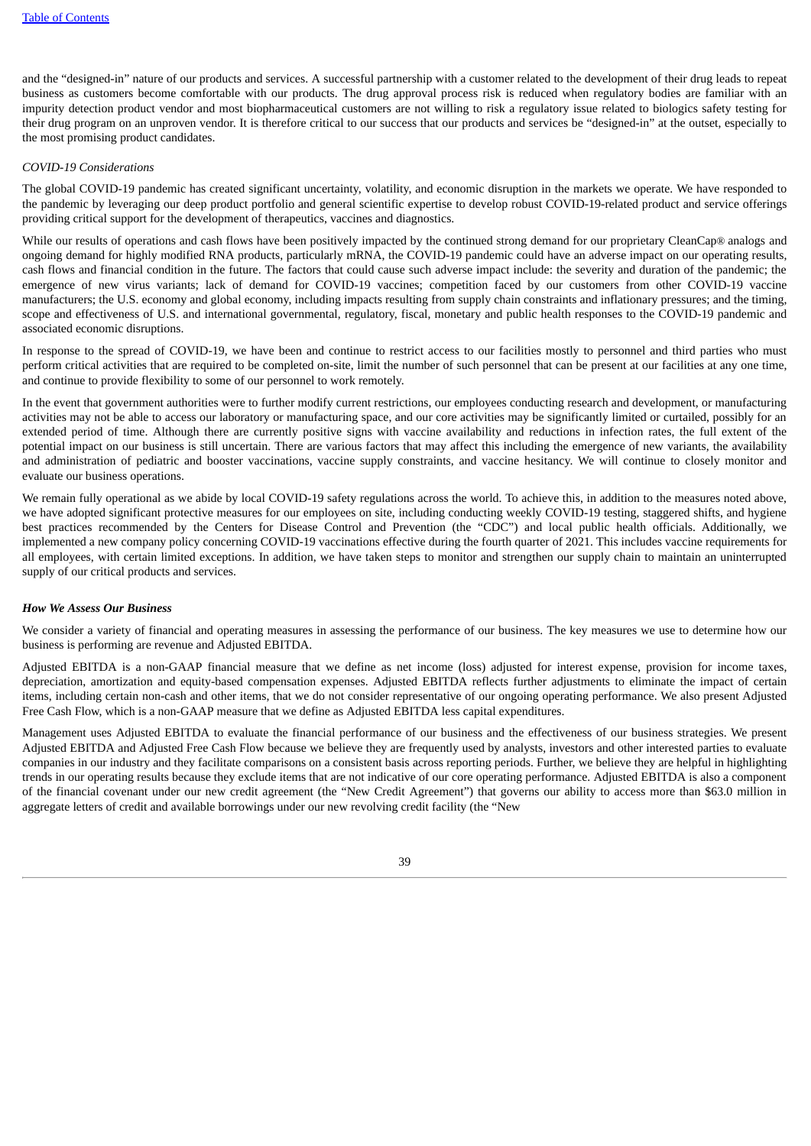and the "designed-in" nature of our products and services. A successful partnership with a customer related to the development of their drug leads to repeat business as customers become comfortable with our products. The drug approval process risk is reduced when regulatory bodies are familiar with an impurity detection product vendor and most biopharmaceutical customers are not willing to risk a regulatory issue related to biologics safety testing for their drug program on an unproven vendor. It is therefore critical to our success that our products and services be "designed-in" at the outset, especially to the most promising product candidates.

## *COVID-19 Considerations*

The global COVID-19 pandemic has created significant uncertainty, volatility, and economic disruption in the markets we operate. We have responded to the pandemic by leveraging our deep product portfolio and general scientific expertise to develop robust COVID-19-related product and service offerings providing critical support for the development of therapeutics, vaccines and diagnostics.

While our results of operations and cash flows have been positively impacted by the continued strong demand for our proprietary CleanCap® analogs and ongoing demand for highly modified RNA products, particularly mRNA, the COVID-19 pandemic could have an adverse impact on our operating results, cash flows and financial condition in the future. The factors that could cause such adverse impact include: the severity and duration of the pandemic; the emergence of new virus variants; lack of demand for COVID-19 vaccines; competition faced by our customers from other COVID-19 vaccine manufacturers; the U.S. economy and global economy, including impacts resulting from supply chain constraints and inflationary pressures; and the timing, scope and effectiveness of U.S. and international governmental, regulatory, fiscal, monetary and public health responses to the COVID-19 pandemic and associated economic disruptions.

In response to the spread of COVID-19, we have been and continue to restrict access to our facilities mostly to personnel and third parties who must perform critical activities that are required to be completed on-site, limit the number of such personnel that can be present at our facilities at any one time, and continue to provide flexibility to some of our personnel to work remotely.

In the event that government authorities were to further modify current restrictions, our employees conducting research and development, or manufacturing activities may not be able to access our laboratory or manufacturing space, and our core activities may be significantly limited or curtailed, possibly for an extended period of time. Although there are currently positive signs with vaccine availability and reductions in infection rates, the full extent of the potential impact on our business is still uncertain. There are various factors that may affect this including the emergence of new variants, the availability and administration of pediatric and booster vaccinations, vaccine supply constraints, and vaccine hesitancy. We will continue to closely monitor and evaluate our business operations.

We remain fully operational as we abide by local COVID-19 safety regulations across the world. To achieve this, in addition to the measures noted above, we have adopted significant protective measures for our employees on site, including conducting weekly COVID-19 testing, staggered shifts, and hygiene best practices recommended by the Centers for Disease Control and Prevention (the "CDC") and local public health officials. Additionally, we implemented a new company policy concerning COVID-19 vaccinations effective during the fourth quarter of 2021. This includes vaccine requirements for all employees, with certain limited exceptions. In addition, we have taken steps to monitor and strengthen our supply chain to maintain an uninterrupted supply of our critical products and services.

# *How We Assess Our Business*

We consider a variety of financial and operating measures in assessing the performance of our business. The key measures we use to determine how our business is performing are revenue and Adjusted EBITDA.

Adjusted EBITDA is a non-GAAP financial measure that we define as net income (loss) adjusted for interest expense, provision for income taxes, depreciation, amortization and equity-based compensation expenses. Adjusted EBITDA reflects further adjustments to eliminate the impact of certain items, including certain non-cash and other items, that we do not consider representative of our ongoing operating performance. We also present Adjusted Free Cash Flow, which is a non-GAAP measure that we define as Adjusted EBITDA less capital expenditures.

Management uses Adjusted EBITDA to evaluate the financial performance of our business and the effectiveness of our business strategies. We present Adjusted EBITDA and Adjusted Free Cash Flow because we believe they are frequently used by analysts, investors and other interested parties to evaluate companies in our industry and they facilitate comparisons on a consistent basis across reporting periods. Further, we believe they are helpful in highlighting trends in our operating results because they exclude items that are not indicative of our core operating performance. Adjusted EBITDA is also a component of the financial covenant under our new credit agreement (the "New Credit Agreement") that governs our ability to access more than \$63.0 million in aggregate letters of credit and available borrowings under our new revolving credit facility (the "New

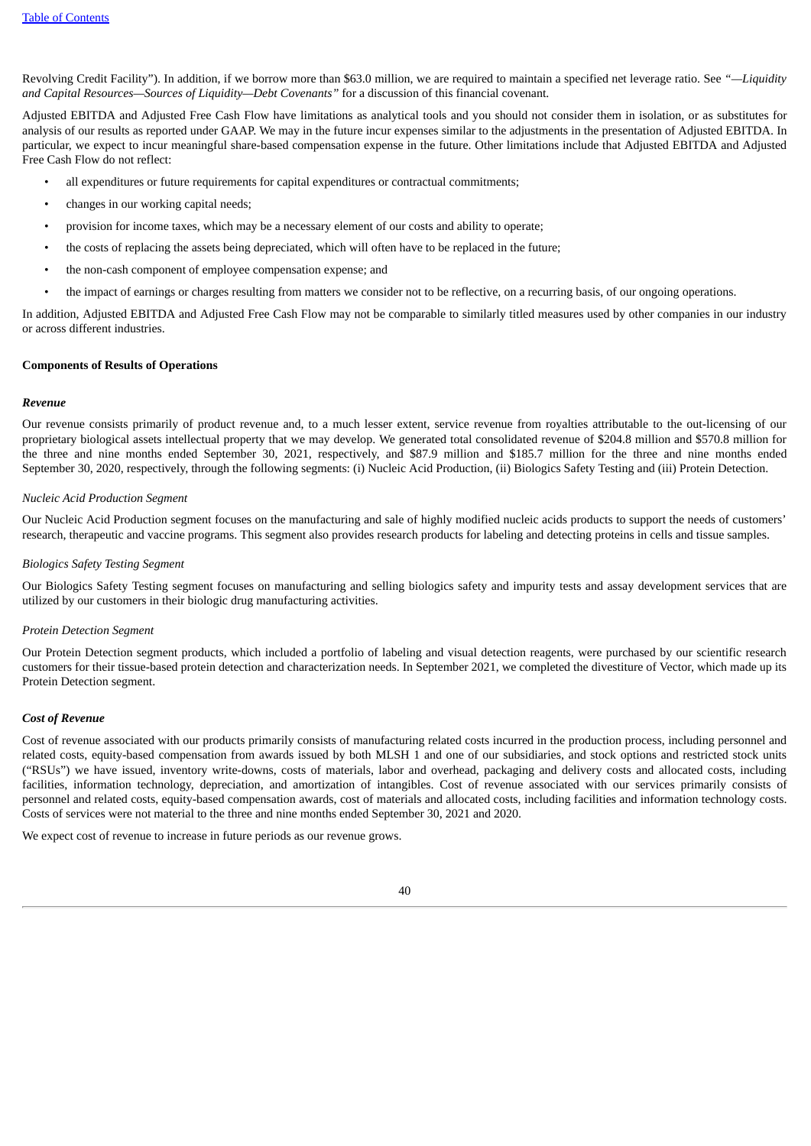Revolving Credit Facility"). In addition, if we borrow more than \$63.0 million, we are required to maintain a specified net leverage ratio. See *"—Liquidity and Capital Resources—Sources of Liquidity—Debt Covenants"* for a discussion of this financial covenant.

Adjusted EBITDA and Adjusted Free Cash Flow have limitations as analytical tools and you should not consider them in isolation, or as substitutes for analysis of our results as reported under GAAP. We may in the future incur expenses similar to the adjustments in the presentation of Adjusted EBITDA. In particular, we expect to incur meaningful share-based compensation expense in the future. Other limitations include that Adjusted EBITDA and Adjusted Free Cash Flow do not reflect:

- all expenditures or future requirements for capital expenditures or contractual commitments;
- changes in our working capital needs;
- provision for income taxes, which may be a necessary element of our costs and ability to operate;
- the costs of replacing the assets being depreciated, which will often have to be replaced in the future;
- the non-cash component of employee compensation expense; and
- the impact of earnings or charges resulting from matters we consider not to be reflective, on a recurring basis, of our ongoing operations.

In addition, Adjusted EBITDA and Adjusted Free Cash Flow may not be comparable to similarly titled measures used by other companies in our industry or across different industries.

# **Components of Results of Operations**

# *Revenue*

Our revenue consists primarily of product revenue and, to a much lesser extent, service revenue from royalties attributable to the out-licensing of our proprietary biological assets intellectual property that we may develop. We generated total consolidated revenue of \$204.8 million and \$570.8 million for the three and nine months ended September 30, 2021, respectively, and \$87.9 million and \$185.7 million for the three and nine months ended September 30, 2020, respectively, through the following segments: (i) Nucleic Acid Production, (ii) Biologics Safety Testing and (iii) Protein Detection.

# *Nucleic Acid Production Segment*

Our Nucleic Acid Production segment focuses on the manufacturing and sale of highly modified nucleic acids products to support the needs of customers' research, therapeutic and vaccine programs. This segment also provides research products for labeling and detecting proteins in cells and tissue samples.

# *Biologics Safety Testing Segment*

Our Biologics Safety Testing segment focuses on manufacturing and selling biologics safety and impurity tests and assay development services that are utilized by our customers in their biologic drug manufacturing activities.

# *Protein Detection Segment*

Our Protein Detection segment products, which included a portfolio of labeling and visual detection reagents, were purchased by our scientific research customers for their tissue-based protein detection and characterization needs. In September 2021, we completed the divestiture of Vector, which made up its Protein Detection segment.

#### *Cost of Revenue*

Cost of revenue associated with our products primarily consists of manufacturing related costs incurred in the production process, including personnel and related costs, equity-based compensation from awards issued by both MLSH 1 and one of our subsidiaries, and stock options and restricted stock units ("RSUs") we have issued, inventory write-downs, costs of materials, labor and overhead, packaging and delivery costs and allocated costs, including facilities, information technology, depreciation, and amortization of intangibles. Cost of revenue associated with our services primarily consists of personnel and related costs, equity-based compensation awards, cost of materials and allocated costs, including facilities and information technology costs. Costs of services were not material to the three and nine months ended September 30, 2021 and 2020.

We expect cost of revenue to increase in future periods as our revenue grows.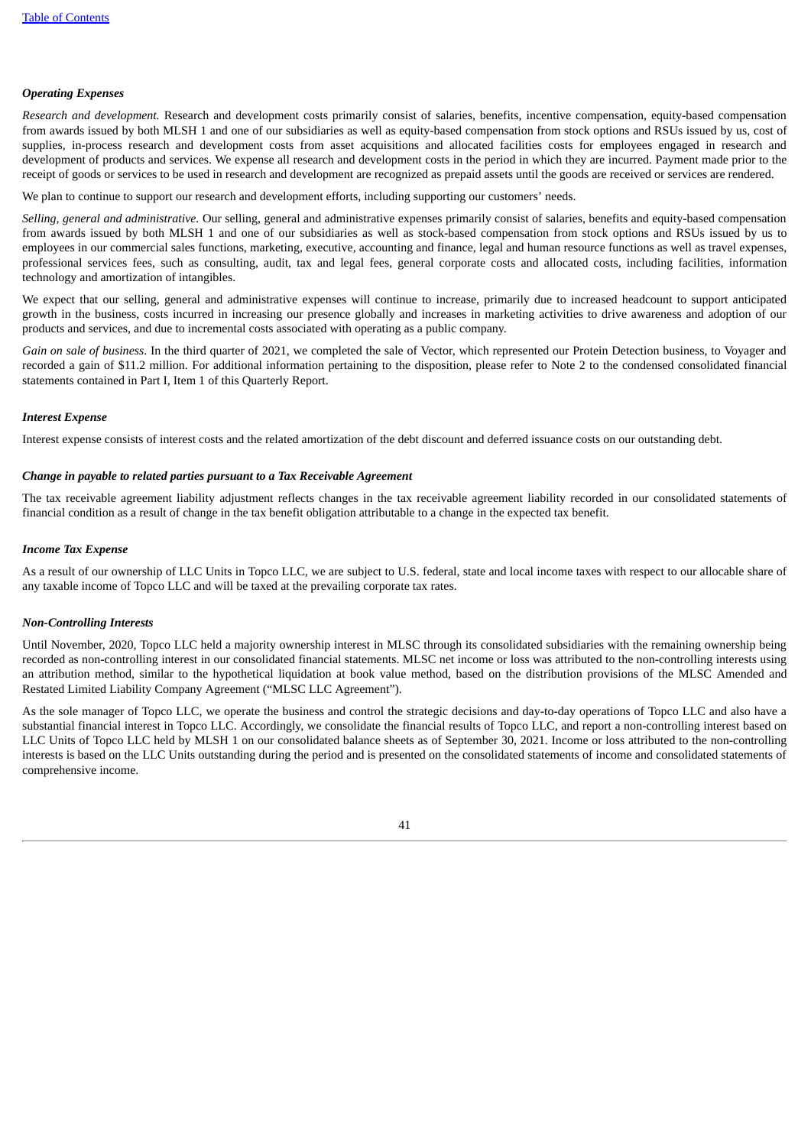# *Operating Expenses*

*Research and development.* Research and development costs primarily consist of salaries, benefits, incentive compensation, equity-based compensation from awards issued by both MLSH 1 and one of our subsidiaries as well as equity-based compensation from stock options and RSUs issued by us, cost of supplies, in-process research and development costs from asset acquisitions and allocated facilities costs for employees engaged in research and development of products and services. We expense all research and development costs in the period in which they are incurred. Payment made prior to the receipt of goods or services to be used in research and development are recognized as prepaid assets until the goods are received or services are rendered.

We plan to continue to support our research and development efforts, including supporting our customers' needs.

*Selling, general and administrative.* Our selling, general and administrative expenses primarily consist of salaries, benefits and equity-based compensation from awards issued by both MLSH 1 and one of our subsidiaries as well as stock-based compensation from stock options and RSUs issued by us to employees in our commercial sales functions, marketing, executive, accounting and finance, legal and human resource functions as well as travel expenses, professional services fees, such as consulting, audit, tax and legal fees, general corporate costs and allocated costs, including facilities, information technology and amortization of intangibles.

We expect that our selling, general and administrative expenses will continue to increase, primarily due to increased headcount to support anticipated growth in the business, costs incurred in increasing our presence globally and increases in marketing activities to drive awareness and adoption of our products and services, and due to incremental costs associated with operating as a public company.

*Gain on sale of business*. In the third quarter of 2021, we completed the sale of Vector, which represented our Protein Detection business, to Voyager and recorded a gain of \$11.2 million. For additional information pertaining to the disposition, please refer to Note 2 to the condensed consolidated financial statements contained in Part I, Item 1 of this Quarterly Report.

#### *Interest Expense*

Interest expense consists of interest costs and the related amortization of the debt discount and deferred issuance costs on our outstanding debt.

#### *Change in payable to related parties pursuant to a Tax Receivable Agreement*

The tax receivable agreement liability adjustment reflects changes in the tax receivable agreement liability recorded in our consolidated statements of financial condition as a result of change in the tax benefit obligation attributable to a change in the expected tax benefit.

#### *Income Tax Expense*

As a result of our ownership of LLC Units in Topco LLC, we are subject to U.S. federal, state and local income taxes with respect to our allocable share of any taxable income of Topco LLC and will be taxed at the prevailing corporate tax rates.

# *Non-Controlling Interests*

Until November, 2020, Topco LLC held a majority ownership interest in MLSC through its consolidated subsidiaries with the remaining ownership being recorded as non-controlling interest in our consolidated financial statements. MLSC net income or loss was attributed to the non-controlling interests using an attribution method, similar to the hypothetical liquidation at book value method, based on the distribution provisions of the MLSC Amended and Restated Limited Liability Company Agreement ("MLSC LLC Agreement").

As the sole manager of Topco LLC, we operate the business and control the strategic decisions and day-to-day operations of Topco LLC and also have a substantial financial interest in Topco LLC. Accordingly, we consolidate the financial results of Topco LLC, and report a non-controlling interest based on LLC Units of Topco LLC held by MLSH 1 on our consolidated balance sheets as of September 30, 2021. Income or loss attributed to the non-controlling interests is based on the LLC Units outstanding during the period and is presented on the consolidated statements of income and consolidated statements of comprehensive income.

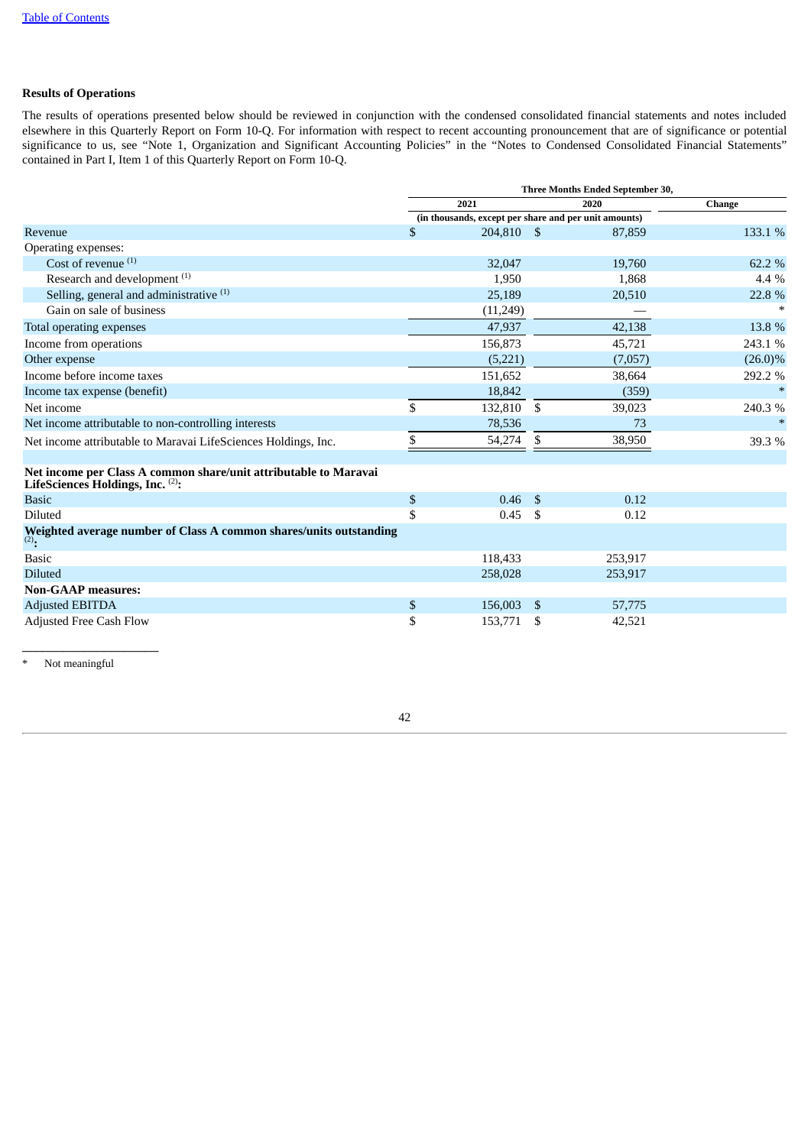# **Results of Operations**

The results of operations presented below should be reviewed in conjunction with the condensed consolidated financial statements and notes included elsewhere in this Quarterly Report on Form 10-Q. For information with respect to recent accounting pronouncement that are of significance or potential significance to us, see "Note 1, Organization and Significant Accounting Policies" in the "Notes to Condensed Consolidated Financial Statements" contained in Part I, Item 1 of this Quarterly Report on Form 10-Q.

|                                                                                                      | Three Months Ended September 30, |                                                       |    |         |               |  |  |  |  |  |
|------------------------------------------------------------------------------------------------------|----------------------------------|-------------------------------------------------------|----|---------|---------------|--|--|--|--|--|
|                                                                                                      |                                  | 2021                                                  |    | 2020    | <b>Change</b> |  |  |  |  |  |
|                                                                                                      |                                  | (in thousands, except per share and per unit amounts) |    |         |               |  |  |  |  |  |
| Revenue                                                                                              | \$                               | 204.810 \$                                            |    | 87,859  | 133.1 %       |  |  |  |  |  |
| Operating expenses:                                                                                  |                                  |                                                       |    |         |               |  |  |  |  |  |
| Cost of revenue $(1)$                                                                                |                                  | 32,047                                                |    | 19,760  | 62.2 %        |  |  |  |  |  |
| Research and development <sup>(1)</sup>                                                              |                                  | 1,950                                                 |    | 1,868   | 4.4 %         |  |  |  |  |  |
| Selling, general and administrative (1)                                                              |                                  | 25,189                                                |    | 20,510  | 22.8 %        |  |  |  |  |  |
| Gain on sale of business                                                                             |                                  | (11,249)                                              |    |         | $\ast$        |  |  |  |  |  |
| Total operating expenses                                                                             |                                  | 47,937                                                |    | 42,138  | 13.8 %        |  |  |  |  |  |
| Income from operations                                                                               |                                  | 156,873                                               |    | 45,721  | 243.1 %       |  |  |  |  |  |
| Other expense                                                                                        |                                  | (5,221)                                               |    | (7,057) | $(26.0)\%$    |  |  |  |  |  |
| Income before income taxes                                                                           |                                  | 151,652                                               |    | 38,664  | 292.2 %       |  |  |  |  |  |
| Income tax expense (benefit)                                                                         |                                  | 18,842                                                |    | (359)   | $\ast$        |  |  |  |  |  |
| Net income                                                                                           | \$                               | 132,810                                               | \$ | 39,023  | 240.3%        |  |  |  |  |  |
| Net income attributable to non-controlling interests                                                 |                                  | 78,536                                                |    | 73      | $\ast$        |  |  |  |  |  |
| Net income attributable to Maravai LifeSciences Holdings, Inc.                                       | \$                               | 54,274                                                | \$ | 38,950  | 39.3 %        |  |  |  |  |  |
|                                                                                                      |                                  |                                                       |    |         |               |  |  |  |  |  |
| Net income per Class A common share/unit attributable to Maravai<br>LifeSciences Holdings, Inc. (2): |                                  |                                                       |    |         |               |  |  |  |  |  |
| <b>Basic</b>                                                                                         | \$                               | 0.46                                                  | \$ | 0.12    |               |  |  |  |  |  |
| <b>Diluted</b>                                                                                       | \$                               | 0.45                                                  | \$ | 0.12    |               |  |  |  |  |  |
| Weighted average number of Class A common shares/units outstanding<br>$(2)$ .                        |                                  |                                                       |    |         |               |  |  |  |  |  |
| <b>Basic</b>                                                                                         |                                  | 118,433                                               |    | 253,917 |               |  |  |  |  |  |
| <b>Diluted</b>                                                                                       |                                  | 258,028                                               |    | 253,917 |               |  |  |  |  |  |
| <b>Non-GAAP</b> measures:                                                                            |                                  |                                                       |    |         |               |  |  |  |  |  |
| <b>Adjusted EBITDA</b>                                                                               | \$                               | 156,003                                               | \$ | 57,775  |               |  |  |  |  |  |
| <b>Adjusted Free Cash Flow</b>                                                                       | \$                               | 153,771                                               | \$ | 42,521  |               |  |  |  |  |  |
|                                                                                                      |                                  |                                                       |    |         |               |  |  |  |  |  |

Not meaningful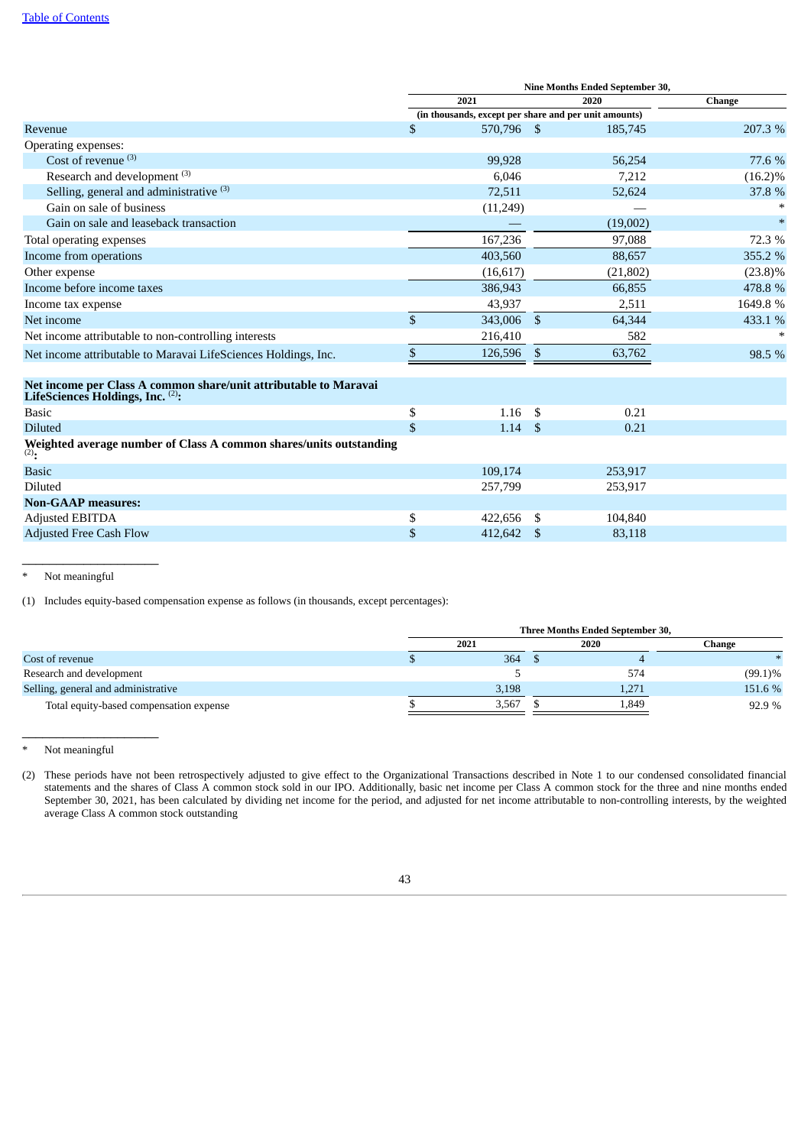|                                                                                                      | Nine Months Ended September 30, |                |              |                                                       |            |  |  |  |  |  |
|------------------------------------------------------------------------------------------------------|---------------------------------|----------------|--------------|-------------------------------------------------------|------------|--|--|--|--|--|
|                                                                                                      |                                 | 2021           |              | 2020                                                  | Change     |  |  |  |  |  |
|                                                                                                      |                                 |                |              | (in thousands, except per share and per unit amounts) |            |  |  |  |  |  |
| Revenue                                                                                              | \$                              | 570,796 \$     |              | 185,745                                               | 207.3%     |  |  |  |  |  |
| Operating expenses:                                                                                  |                                 |                |              |                                                       |            |  |  |  |  |  |
| Cost of revenue $(3)$                                                                                |                                 | 99,928         |              | 56,254                                                | 77.6 %     |  |  |  |  |  |
| Research and development <sup>(3)</sup>                                                              |                                 | 6,046          |              | 7,212                                                 | $(16.2)\%$ |  |  |  |  |  |
| Selling, general and administrative (3)                                                              |                                 | 72,511         |              | 52,624                                                | 37.8 %     |  |  |  |  |  |
| Gain on sale of business                                                                             |                                 | (11, 249)      |              |                                                       |            |  |  |  |  |  |
| Gain on sale and leaseback transaction                                                               |                                 |                |              | (19,002)                                              |            |  |  |  |  |  |
| Total operating expenses                                                                             |                                 | 167,236        |              | 97,088                                                | 72.3 %     |  |  |  |  |  |
| Income from operations                                                                               |                                 | 403,560        |              | 88,657                                                | 355.2 %    |  |  |  |  |  |
| Other expense                                                                                        |                                 | (16, 617)      |              | (21, 802)                                             | $(23.8)\%$ |  |  |  |  |  |
| Income before income taxes                                                                           |                                 | 386,943        |              | 66,855                                                | 478.8 %    |  |  |  |  |  |
| Income tax expense                                                                                   |                                 | 43,937         |              | 2,511                                                 | 1649.8%    |  |  |  |  |  |
| Net income                                                                                           | $\mathbb{S}$                    | 343,006        | $\mathbb{S}$ | 64,344                                                | 433.1 %    |  |  |  |  |  |
| Net income attributable to non-controlling interests                                                 |                                 | 216,410        |              | 582                                                   |            |  |  |  |  |  |
| Net income attributable to Maravai LifeSciences Holdings, Inc.                                       | $\mathfrak{s}$                  | 126,596        | \$           | 63,762                                                | 98.5 %     |  |  |  |  |  |
| Net income per Class A common share/unit attributable to Maravai<br>LifeSciences Holdings, Inc. (2): |                                 |                |              |                                                       |            |  |  |  |  |  |
| <b>Basic</b>                                                                                         | \$                              | 1.16           | - \$         | 0.21                                                  |            |  |  |  |  |  |
| <b>Diluted</b>                                                                                       | \$                              | $1.14 \quad $$ |              | 0.21                                                  |            |  |  |  |  |  |
| Weighted average number of Class A common shares/units outstanding<br>$(2)$ .                        |                                 |                |              |                                                       |            |  |  |  |  |  |
| <b>Basic</b>                                                                                         |                                 | 109,174        |              | 253,917                                               |            |  |  |  |  |  |
| Diluted                                                                                              |                                 | 257,799        |              | 253,917                                               |            |  |  |  |  |  |
| <b>Non-GAAP</b> measures:                                                                            |                                 |                |              |                                                       |            |  |  |  |  |  |
| <b>Adjusted EBITDA</b>                                                                               | \$                              | 422,656        | -\$          | 104,840                                               |            |  |  |  |  |  |
| <b>Adjusted Free Cash Flow</b>                                                                       | \$                              | 412,642        | -\$          | 83,118                                                |            |  |  |  |  |  |

Not meaningful

 $\_$ 

(1) Includes equity-based compensation expense as follows (in thousands, except percentages):

|                                         |       | Three Months Ended September 30, |            |
|-----------------------------------------|-------|----------------------------------|------------|
|                                         | 2021  | Change                           |            |
| Cost of revenue                         | 364   |                                  |            |
| Research and development                |       | 574                              | $(99.1)\%$ |
| Selling, general and administrative     | 3,198 | 1,271                            | 151.6 %    |
| Total equity-based compensation expense | 3,567 | 1,849                            | 92.9 %     |

<sup>\*</sup> Not meaningful

 $\_$ 

<sup>(2)</sup> These periods have not been retrospectively adjusted to give effect to the Organizational Transactions described in Note 1 to our condensed consolidated financial statements and the shares of Class A common stock sold in our IPO. Additionally, basic net income per Class A common stock for the three and nine months ended September 30, 2021, has been calculated by dividing net income for the period, and adjusted for net income attributable to non-controlling interests, by the weighted average Class A common stock outstanding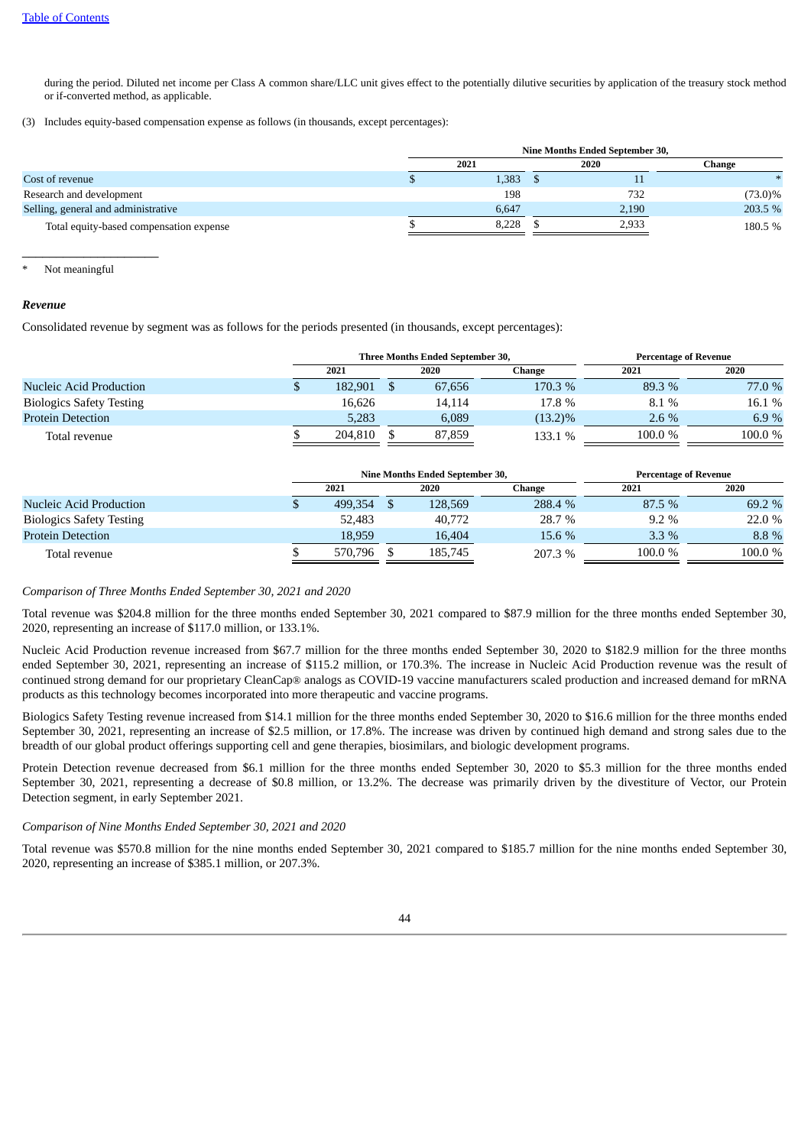during the period. Diluted net income per Class A common share/LLC unit gives effect to the potentially dilutive securities by application of the treasury stock method or if-converted method, as applicable.

(3) Includes equity-based compensation expense as follows (in thousands, except percentages):

|                                         |       | Nine Months Ended September 30, |            |
|-----------------------------------------|-------|---------------------------------|------------|
|                                         | 2021  | 2020                            | Change     |
| Cost of revenue                         | 1,383 | ŦТ                              |            |
| Research and development                | 198   | 732                             | $(73.0)\%$ |
| Selling, general and administrative     | 6.647 | 2,190                           | 203.5 %    |
| Total equity-based compensation expense | 8,228 | 2,933                           | 180.5 %    |

Not meaningful

 $\_$ 

#### *Revenue*

Consolidated revenue by segment was as follows for the periods presented (in thousands, except percentages):

|                                 |         | <b>Three Months Ended September 30,</b> | <b>Percentage of Revenue</b> |         |         |  |  |  |
|---------------------------------|---------|-----------------------------------------|------------------------------|---------|---------|--|--|--|
|                                 | 2021    | 2020                                    | Change                       | 2021    | 2020    |  |  |  |
| <b>Nucleic Acid Production</b>  | 182.901 | 67,656                                  | 170.3 %                      | 89.3 %  | 77.0 %  |  |  |  |
| <b>Biologics Safety Testing</b> | 16,626  | 14.114                                  | 17.8 %                       | 8.1%    | 16.1 %  |  |  |  |
| <b>Protein Detection</b>        | 5.283   | 6,089                                   | $(13.2)\%$                   | $2.6\%$ | 6.9 $%$ |  |  |  |
| Total revenue                   | 204.810 | 87,859                                  | 133.1 %                      | 100.0 % | 100.0%  |  |  |  |

|                                 |         | Nine Months Ended September 30, | <b>Percentage of Revenue</b> |         |        |  |  |  |  |
|---------------------------------|---------|---------------------------------|------------------------------|---------|--------|--|--|--|--|
|                                 | 2021    | 2020                            | Change                       | 2021    | 2020   |  |  |  |  |
| Nucleic Acid Production         | 499.354 | 128,569                         | 288.4 %                      | 87.5 %  | 69.2 % |  |  |  |  |
| <b>Biologics Safety Testing</b> | 52,483  | 40,772                          | 28.7 %                       | $9.2\%$ | 22.0 % |  |  |  |  |
| <b>Protein Detection</b>        | 18.959  | 16,404                          | 15.6 %                       | $3.3\%$ | 8.8%   |  |  |  |  |
| Total revenue                   | 570.796 | 185,745                         | 207.3 %                      | 100.0 % | 100.0% |  |  |  |  |

# *Comparison of Three Months Ended September 30, 2021 and 2020*

Total revenue was \$204.8 million for the three months ended September 30, 2021 compared to \$87.9 million for the three months ended September 30, 2020, representing an increase of \$117.0 million, or 133.1%.

Nucleic Acid Production revenue increased from \$67.7 million for the three months ended September 30, 2020 to \$182.9 million for the three months ended September 30, 2021, representing an increase of \$115.2 million, or 170.3%. The increase in Nucleic Acid Production revenue was the result of continued strong demand for our proprietary CleanCap® analogs as COVID-19 vaccine manufacturers scaled production and increased demand for mRNA products as this technology becomes incorporated into more therapeutic and vaccine programs.

Biologics Safety Testing revenue increased from \$14.1 million for the three months ended September 30, 2020 to \$16.6 million for the three months ended September 30, 2021, representing an increase of \$2.5 million, or 17.8%. The increase was driven by continued high demand and strong sales due to the breadth of our global product offerings supporting cell and gene therapies, biosimilars, and biologic development programs.

Protein Detection revenue decreased from \$6.1 million for the three months ended September 30, 2020 to \$5.3 million for the three months ended September 30, 2021, representing a decrease of \$0.8 million, or 13.2%. The decrease was primarily driven by the divestiture of Vector, our Protein Detection segment, in early September 2021.

# *Comparison of Nine Months Ended September 30, 2021 and 2020*

Total revenue was \$570.8 million for the nine months ended September 30, 2021 compared to \$185.7 million for the nine months ended September 30, 2020, representing an increase of \$385.1 million, or 207.3%.

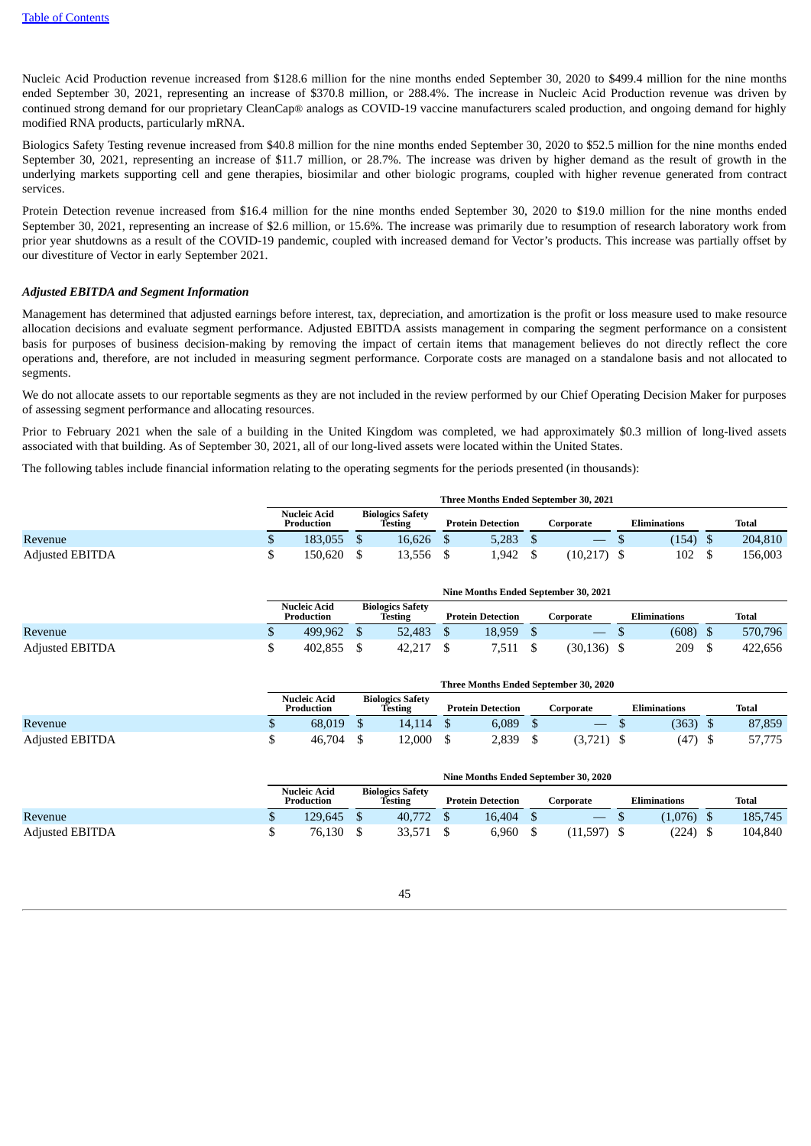Nucleic Acid Production revenue increased from \$128.6 million for the nine months ended September 30, 2020 to \$499.4 million for the nine months ended September 30, 2021, representing an increase of \$370.8 million, or 288.4%. The increase in Nucleic Acid Production revenue was driven by continued strong demand for our proprietary CleanCap® analogs as COVID-19 vaccine manufacturers scaled production, and ongoing demand for highly modified RNA products, particularly mRNA.

Biologics Safety Testing revenue increased from \$40.8 million for the nine months ended September 30, 2020 to \$52.5 million for the nine months ended September 30, 2021, representing an increase of \$11.7 million, or 28.7%. The increase was driven by higher demand as the result of growth in the underlying markets supporting cell and gene therapies, biosimilar and other biologic programs, coupled with higher revenue generated from contract services.

Protein Detection revenue increased from \$16.4 million for the nine months ended September 30, 2020 to \$19.0 million for the nine months ended September 30, 2021, representing an increase of \$2.6 million, or 15.6%. The increase was primarily due to resumption of research laboratory work from prior year shutdowns as a result of the COVID-19 pandemic, coupled with increased demand for Vector's products. This increase was partially offset by our divestiture of Vector in early September 2021.

### *Adjusted EBITDA and Segment Information*

Management has determined that adjusted earnings before interest, tax, depreciation, and amortization is the profit or loss measure used to make resource allocation decisions and evaluate segment performance. Adjusted EBITDA assists management in comparing the segment performance on a consistent basis for purposes of business decision-making by removing the impact of certain items that management believes do not directly reflect the core operations and, therefore, are not included in measuring segment performance. Corporate costs are managed on a standalone basis and not allocated to segments.

We do not allocate assets to our reportable segments as they are not included in the review performed by our Chief Operating Decision Maker for purposes of assessing segment performance and allocating resources.

Prior to February 2021 when the sale of a building in the United Kingdom was completed, we had approximately \$0.3 million of long-lived assets associated with that building. As of September 30, 2021, all of our long-lived assets were located within the United States.

The following tables include financial information relating to the operating segments for the periods presented (in thousands):

|                        | Three Months Ended September 30, 2021 |                                    |        |                          |       |           |           |              |       |  |         |  |
|------------------------|---------------------------------------|------------------------------------|--------|--------------------------|-------|-----------|-----------|--------------|-------|--|---------|--|
|                        | Nucleic Acid<br>Production            | <b>Biologics Safety</b><br>Testing |        | <b>Protein Detection</b> |       | Corporate |           | Eliminations |       |  | Total   |  |
| Revenue                | 183.055                               |                                    | 16.626 |                          | 5,283 |           |           |              | (154) |  | 204,810 |  |
| <b>Adjusted EBITDA</b> | 150.620                               |                                    | 13.556 |                          | 1,942 |           | (10, 217) |              | 102   |  | 156,003 |  |

|                        | Nine Months Ended September 30, 2021 |                                   |  |                                    |  |                          |  |           |  |                     |  |         |  |
|------------------------|--------------------------------------|-----------------------------------|--|------------------------------------|--|--------------------------|--|-----------|--|---------------------|--|---------|--|
|                        |                                      | <b>Nucleic Acid</b><br>Production |  | <b>Biologics Safety</b><br>Testing |  | <b>Protein Detection</b> |  | Corporate |  | <b>Eliminations</b> |  | Total   |  |
| Revenue                |                                      | 499.962                           |  | 52.483                             |  | 18.959                   |  | $-$       |  | (608)               |  | 570,796 |  |
| <b>Adjusted EBITDA</b> |                                      | 402,855                           |  | 42.217                             |  | 7.511                    |  | (30, 136) |  | 209                 |  | 422.656 |  |

|                        | Three Months Ended September 30, 2020 |                                   |  |                                    |  |                          |  |           |  |                     |  |        |  |
|------------------------|---------------------------------------|-----------------------------------|--|------------------------------------|--|--------------------------|--|-----------|--|---------------------|--|--------|--|
|                        |                                       | <b>Nucleic Acid</b><br>Production |  | <b>Biologics Safety</b><br>Testing |  | <b>Protein Detection</b> |  | Corporate |  | <b>Eliminations</b> |  | Total  |  |
| Revenue                |                                       | 68.019                            |  | 14.114                             |  | 6,089                    |  | __        |  | (363)               |  | 87,859 |  |
| <b>Adjusted EBITDA</b> |                                       | 46,704                            |  | 12.000                             |  | 2,839                    |  | (3,721)   |  | (47)                |  | 57,775 |  |

|                        | Nine Months Ended September 30, 2020 |                            |  |                                    |  |        |                          |                          |           |              |  |         |       |
|------------------------|--------------------------------------|----------------------------|--|------------------------------------|--|--------|--------------------------|--------------------------|-----------|--------------|--|---------|-------|
|                        |                                      | Nucleic Acid<br>Production |  | <b>Biologics Safety</b><br>Testing |  |        | <b>Protein Detection</b> |                          | Corporate | Eliminations |  |         | Total |
| Revenue                | Ф                                    | 129.645                    |  | 40,772                             |  | 16,404 |                          | $\overline{\phantom{0}}$ |           | (1,076)      |  | 185,745 |       |
| <b>Adjusted EBITDA</b> |                                      | 76.130                     |  | 33.571                             |  | 6.960  |                          | (11,597)                 |           | (224)        |  | 104.840 |       |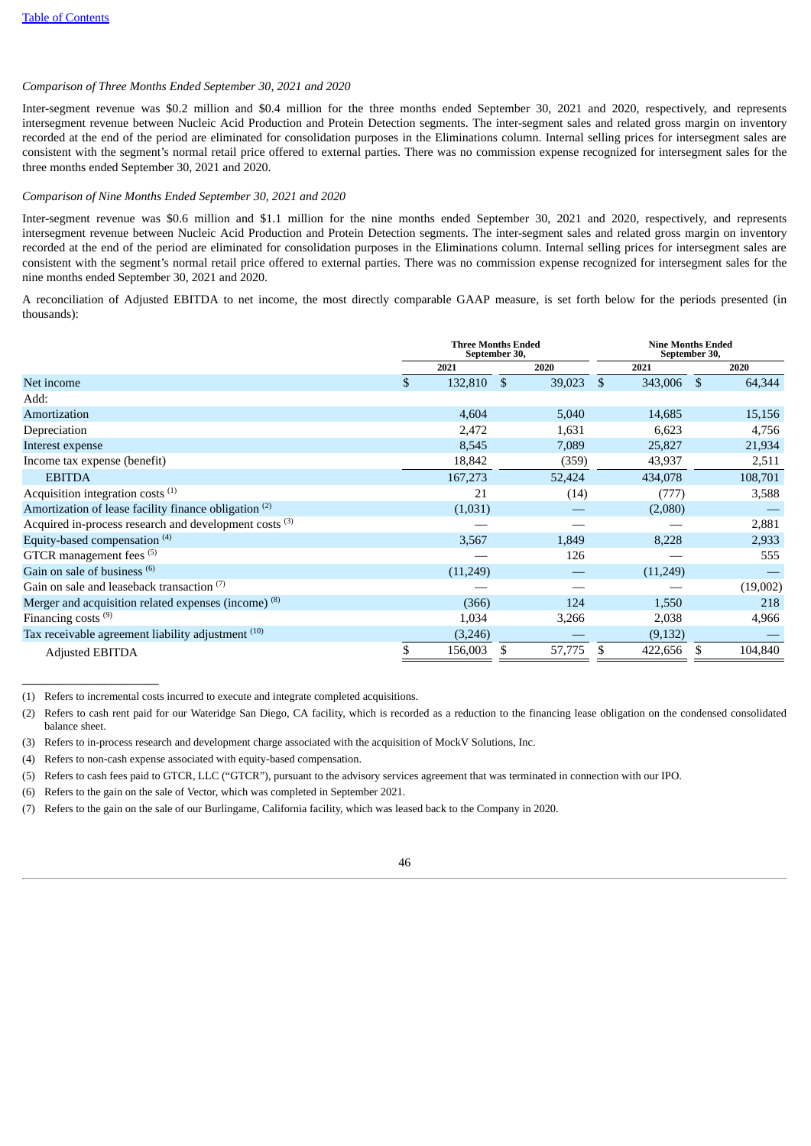# *Comparison of Three Months Ended September 30, 2021 and 2020*

Inter-segment revenue was \$0.2 million and \$0.4 million for the three months ended September 30, 2021 and 2020, respectively, and represents intersegment revenue between Nucleic Acid Production and Protein Detection segments. The inter-segment sales and related gross margin on inventory recorded at the end of the period are eliminated for consolidation purposes in the Eliminations column. Internal selling prices for intersegment sales are consistent with the segment's normal retail price offered to external parties. There was no commission expense recognized for intersegment sales for the three months ended September 30, 2021 and 2020.

## *Comparison of Nine Months Ended September 30, 2021 and 2020*

Inter-segment revenue was \$0.6 million and \$1.1 million for the nine months ended September 30, 2021 and 2020, respectively, and represents intersegment revenue between Nucleic Acid Production and Protein Detection segments. The inter-segment sales and related gross margin on inventory recorded at the end of the period are eliminated for consolidation purposes in the Eliminations column. Internal selling prices for intersegment sales are consistent with the segment's normal retail price offered to external parties. There was no commission expense recognized for intersegment sales for the nine months ended September 30, 2021 and 2020.

A reconciliation of Adjusted EBITDA to net income, the most directly comparable GAAP measure, is set forth below for the periods presented (in thousands):

|                                                                   |     | <b>Three Months Ended</b> | September 30, | <b>Nine Months Ended</b><br>September 30, |               |    |          |  |
|-------------------------------------------------------------------|-----|---------------------------|---------------|-------------------------------------------|---------------|----|----------|--|
|                                                                   |     | 2021                      |               | 2020                                      | 2021          |    | 2020     |  |
| Net income                                                        | \$. | 132,810                   | -S            | 39,023 \$                                 | 343,006       | -S | 64,344   |  |
| Add:                                                              |     |                           |               |                                           |               |    |          |  |
| Amortization                                                      |     | 4,604                     |               | 5,040                                     | 14,685        |    | 15,156   |  |
| Depreciation                                                      |     | 2,472                     |               | 1,631                                     | 6,623         |    | 4,756    |  |
| Interest expense                                                  |     | 8,545                     |               | 7,089                                     | 25,827        |    | 21,934   |  |
| Income tax expense (benefit)                                      |     | 18,842                    |               | (359)                                     | 43,937        |    | 2,511    |  |
| <b>EBITDA</b>                                                     |     | 167,273                   |               | 52,424                                    | 434,078       |    | 108,701  |  |
| Acquisition integration costs $(1)$                               |     | 21                        |               | (14)                                      | (777)         |    | 3,588    |  |
| Amortization of lease facility finance obligation <sup>(2)</sup>  |     | (1,031)                   |               |                                           | (2,080)       |    |          |  |
| Acquired in-process research and development costs <sup>(3)</sup> |     |                           |               |                                           |               |    | 2,881    |  |
| Equity-based compensation <sup>(4)</sup>                          |     | 3,567                     |               | 1,849                                     | 8,228         |    | 2,933    |  |
| GTCR management fees <sup>(5)</sup>                               |     |                           |               | 126                                       |               |    | 555      |  |
| Gain on sale of business <sup>(6)</sup>                           |     | (11,249)                  |               |                                           | (11,249)      |    |          |  |
| Gain on sale and leaseback transaction (7)                        |     |                           |               |                                           |               |    | (19,002) |  |
| Merger and acquisition related expenses (income) <sup>(8)</sup>   |     | (366)                     |               | 124                                       | 1,550         |    | 218      |  |
| Financing costs $(9)$                                             |     | 1,034                     |               | 3,266                                     | 2,038         |    | 4,966    |  |
| Tax receivable agreement liability adjustment <sup>(10)</sup>     |     | (3,246)                   |               |                                           | (9,132)       |    |          |  |
| <b>Adjusted EBITDA</b>                                            | \$  | 156,003                   | S             | 57,775                                    | \$<br>422,656 | S  | 104,840  |  |

(1) Refers to incremental costs incurred to execute and integrate completed acquisitions.

 $\_$ 

(6) Refers to the gain on the sale of Vector, which was completed in September 2021.

<sup>(7)</sup> Refers to the gain on the sale of our Burlingame, California facility, which was leased back to the Company in 2020.



<sup>(2)</sup> Refers to cash rent paid for our Wateridge San Diego, CA facility, which is recorded as a reduction to the financing lease obligation on the condensed consolidated balance sheet.

<sup>(3)</sup> Refers to in-process research and development charge associated with the acquisition of MockV Solutions, Inc.

<sup>(4)</sup> Refers to non-cash expense associated with equity-based compensation.

<sup>(5)</sup> Refers to cash fees paid to GTCR, LLC ("GTCR"), pursuant to the advisory services agreement that was terminated in connection with our IPO.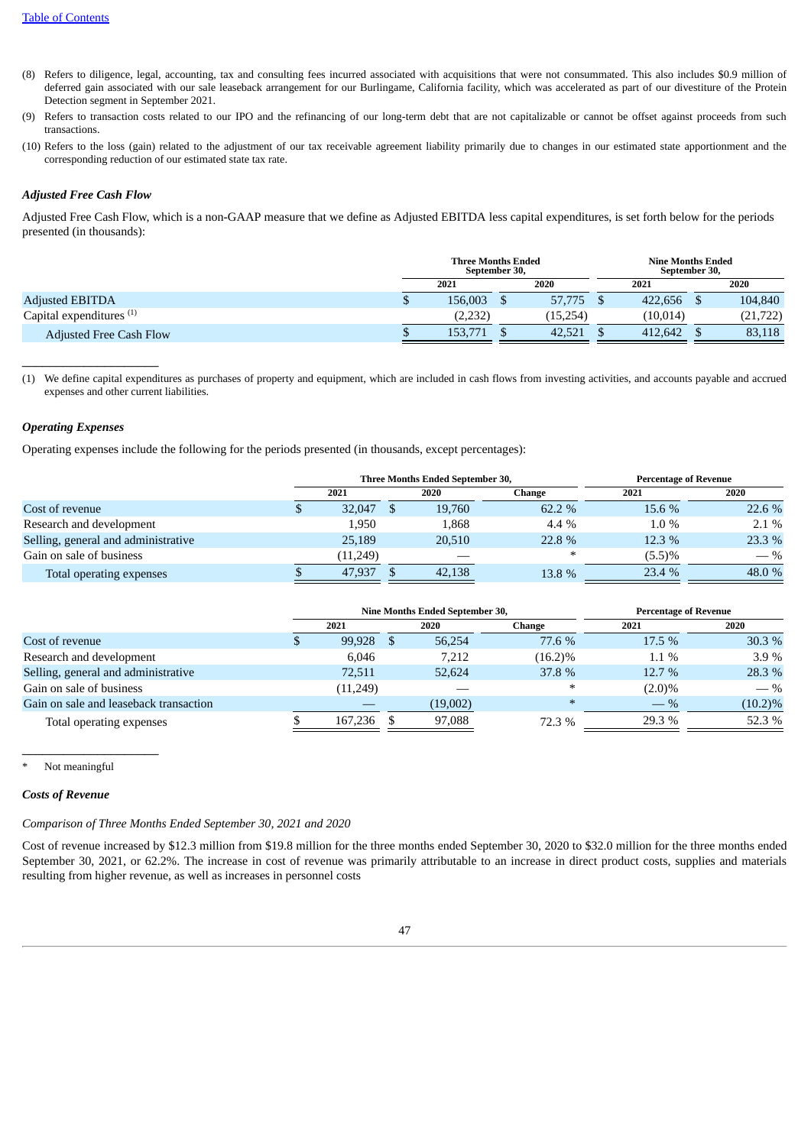- (8) Refers to diligence, legal, accounting, tax and consulting fees incurred associated with acquisitions that were not consummated. This also includes \$0.9 million of deferred gain associated with our sale leaseback arrangement for our Burlingame, California facility, which was accelerated as part of our divestiture of the Protein Detection segment in September 2021.
- (9) Refers to transaction costs related to our IPO and the refinancing of our long-term debt that are not capitalizable or cannot be offset against proceeds from such transactions.
- (10) Refers to the loss (gain) related to the adjustment of our tax receivable agreement liability primarily due to changes in our estimated state apportionment and the corresponding reduction of our estimated state tax rate.

# *Adjusted Free Cash Flow*

Adjusted Free Cash Flow, which is a non-GAAP measure that we define as Adjusted EBITDA less capital expenditures, is set forth below for the periods presented (in thousands):

|                                     | <b>Three Months Ended</b><br>September 30, |         |  |           |  | Nine Months Ended<br>September 30, |  |           |  |
|-------------------------------------|--------------------------------------------|---------|--|-----------|--|------------------------------------|--|-----------|--|
|                                     |                                            | 2021    |  | 2020      |  | 2021                               |  | 2020      |  |
| <b>Adjusted EBITDA</b>              |                                            | 156,003 |  | 57,775 \$ |  | 422,656                            |  | 104,840   |  |
| Capital expenditures <sup>(1)</sup> |                                            | (2,232) |  | (15,254)  |  | (10, 014)                          |  | (21, 722) |  |
| <b>Adjusted Free Cash Flow</b>      |                                            | 153.771 |  | 42,521    |  | 412,642                            |  | 83,118    |  |
|                                     |                                            |         |  |           |  |                                    |  |           |  |

(1) We define capital expenditures as purchases of property and equipment, which are included in cash flows from investing activities, and accounts payable and accrued expenses and other current liabilities.

# *Operating Expenses*

 $\_$ 

Operating expenses include the following for the periods presented (in thousands, except percentages):

|                                     |          |  | Three Months Ended September 30, | <b>Percentage of Revenue</b> |         |         |  |
|-------------------------------------|----------|--|----------------------------------|------------------------------|---------|---------|--|
|                                     | 2021     |  | 2020                             | Change                       | 2021    | 2020    |  |
| Cost of revenue                     | 32,047   |  | 19,760                           | 62.2 %                       | 15.6 %  | 22.6 %  |  |
| Research and development            | 1.950    |  | 1,868                            | 4.4 %                        | $1.0\%$ | $2.1\%$ |  |
| Selling, general and administrative | 25,189   |  | 20,510                           | 22.8 %                       | 12.3 %  | 23.3 %  |  |
| Gain on sale of business            | (11,249) |  |                                  | $\ast$                       | (5.5)%  | $-$ %   |  |
| Total operating expenses            | 47.937   |  | 42,138                           | 13.8 %                       | 23.4 %  | 48.0 %  |  |

|                                        |      |          |  | Nine Months Ended September 30, | <b>Percentage of Revenue</b> |           |            |  |  |
|----------------------------------------|------|----------|--|---------------------------------|------------------------------|-----------|------------|--|--|
|                                        | 2021 |          |  | 2020                            | Change                       | 2021      | 2020       |  |  |
| Cost of revenue                        |      | 99,928   |  | 56,254                          | 77.6 %                       | 17.5 %    | 30.3%      |  |  |
| Research and development               |      | 6.046    |  | 7,212                           | $(16.2)\%$                   | 1.1 %     | 3.9%       |  |  |
| Selling, general and administrative    |      | 72,511   |  | 52,624                          | 37.8 %                       | 12.7 %    | 28.3 %     |  |  |
| Gain on sale of business               |      | (11,249) |  |                                 | $\ast$                       | $(2.0)\%$ | $-$ %      |  |  |
| Gain on sale and leaseback transaction |      |          |  | (19,002)                        | $\ast$                       | $-$ %     | $(10.2)\%$ |  |  |
| Total operating expenses               |      | 167,236  |  | 97,088                          | 72.3 %                       | 29.3 %    | 52.3 %     |  |  |

Not meaningful

 $\_$ 

#### *Costs of Revenue*

*Comparison of Three Months Ended September 30, 2021 and 2020*

Cost of revenue increased by \$12.3 million from \$19.8 million for the three months ended September 30, 2020 to \$32.0 million for the three months ended September 30, 2021, or 62.2%. The increase in cost of revenue was primarily attributable to an increase in direct product costs, supplies and materials resulting from higher revenue, as well as increases in personnel costs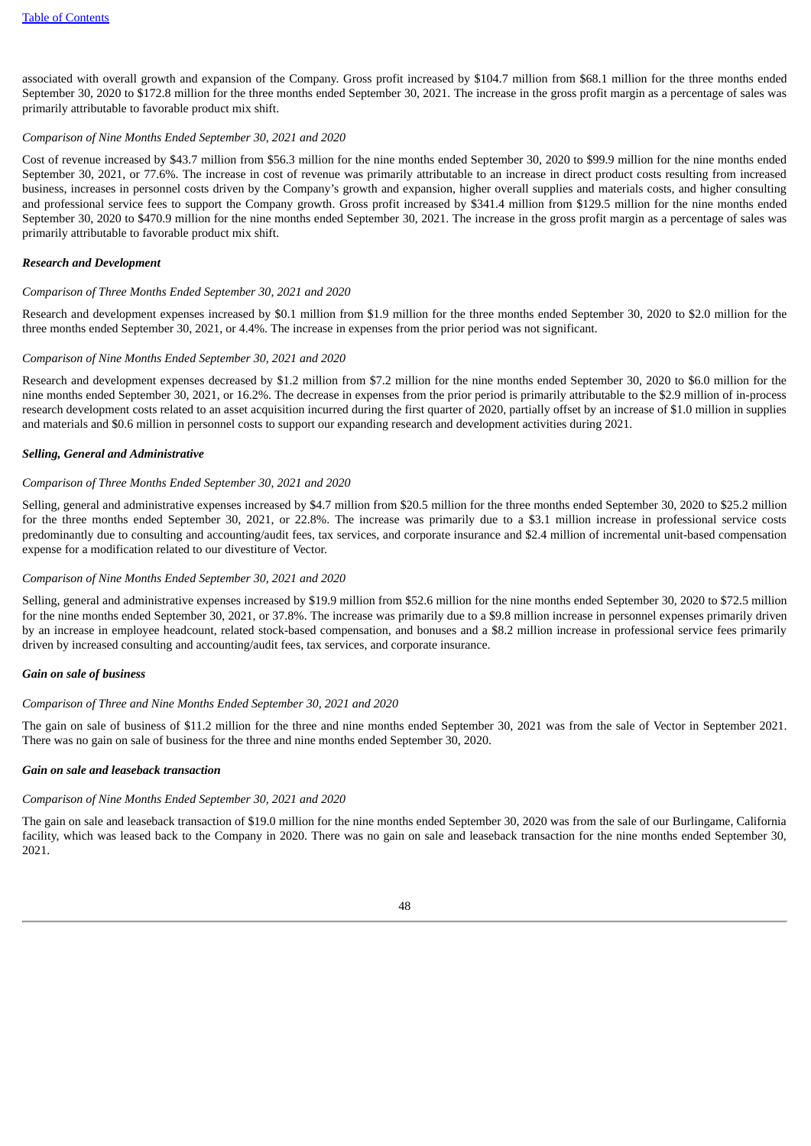associated with overall growth and expansion of the Company. Gross profit increased by \$104.7 million from \$68.1 million for the three months ended September 30, 2020 to \$172.8 million for the three months ended September 30, 2021. The increase in the gross profit margin as a percentage of sales was primarily attributable to favorable product mix shift.

### *Comparison of Nine Months Ended September 30, 2021 and 2020*

Cost of revenue increased by \$43.7 million from \$56.3 million for the nine months ended September 30, 2020 to \$99.9 million for the nine months ended September 30, 2021, or 77.6%. The increase in cost of revenue was primarily attributable to an increase in direct product costs resulting from increased business, increases in personnel costs driven by the Company's growth and expansion, higher overall supplies and materials costs, and higher consulting and professional service fees to support the Company growth. Gross profit increased by \$341.4 million from \$129.5 million for the nine months ended September 30, 2020 to \$470.9 million for the nine months ended September 30, 2021. The increase in the gross profit margin as a percentage of sales was primarily attributable to favorable product mix shift.

#### *Research and Development*

# *Comparison of Three Months Ended September 30, 2021 and 2020*

Research and development expenses increased by \$0.1 million from \$1.9 million for the three months ended September 30, 2020 to \$2.0 million for the three months ended September 30, 2021, or 4.4%. The increase in expenses from the prior period was not significant.

# *Comparison of Nine Months Ended September 30, 2021 and 2020*

Research and development expenses decreased by \$1.2 million from \$7.2 million for the nine months ended September 30, 2020 to \$6.0 million for the nine months ended September 30, 2021, or 16.2%. The decrease in expenses from the prior period is primarily attributable to the \$2.9 million of in-process research development costs related to an asset acquisition incurred during the first quarter of 2020, partially offset by an increase of \$1.0 million in supplies and materials and \$0.6 million in personnel costs to support our expanding research and development activities during 2021.

# *Selling, General and Administrative*

# *Comparison of Three Months Ended September 30, 2021 and 2020*

Selling, general and administrative expenses increased by \$4.7 million from \$20.5 million for the three months ended September 30, 2020 to \$25.2 million for the three months ended September 30, 2021, or 22.8%. The increase was primarily due to a \$3.1 million increase in professional service costs predominantly due to consulting and accounting/audit fees, tax services, and corporate insurance and \$2.4 million of incremental unit-based compensation expense for a modification related to our divestiture of Vector.

## *Comparison of Nine Months Ended September 30, 2021 and 2020*

Selling, general and administrative expenses increased by \$19.9 million from \$52.6 million for the nine months ended September 30, 2020 to \$72.5 million for the nine months ended September 30, 2021, or 37.8%. The increase was primarily due to a \$9.8 million increase in personnel expenses primarily driven by an increase in employee headcount, related stock-based compensation, and bonuses and a \$8.2 million increase in professional service fees primarily driven by increased consulting and accounting/audit fees, tax services, and corporate insurance.

#### *Gain on sale of business*

# *Comparison of Three and Nine Months Ended September 30, 2021 and 2020*

The gain on sale of business of \$11.2 million for the three and nine months ended September 30, 2021 was from the sale of Vector in September 2021. There was no gain on sale of business for the three and nine months ended September 30, 2020.

# *Gain on sale and leaseback transaction*

#### *Comparison of Nine Months Ended September 30, 2021 and 2020*

The gain on sale and leaseback transaction of \$19.0 million for the nine months ended September 30, 2020 was from the sale of our Burlingame, California facility, which was leased back to the Company in 2020. There was no gain on sale and leaseback transaction for the nine months ended September 30, 2021.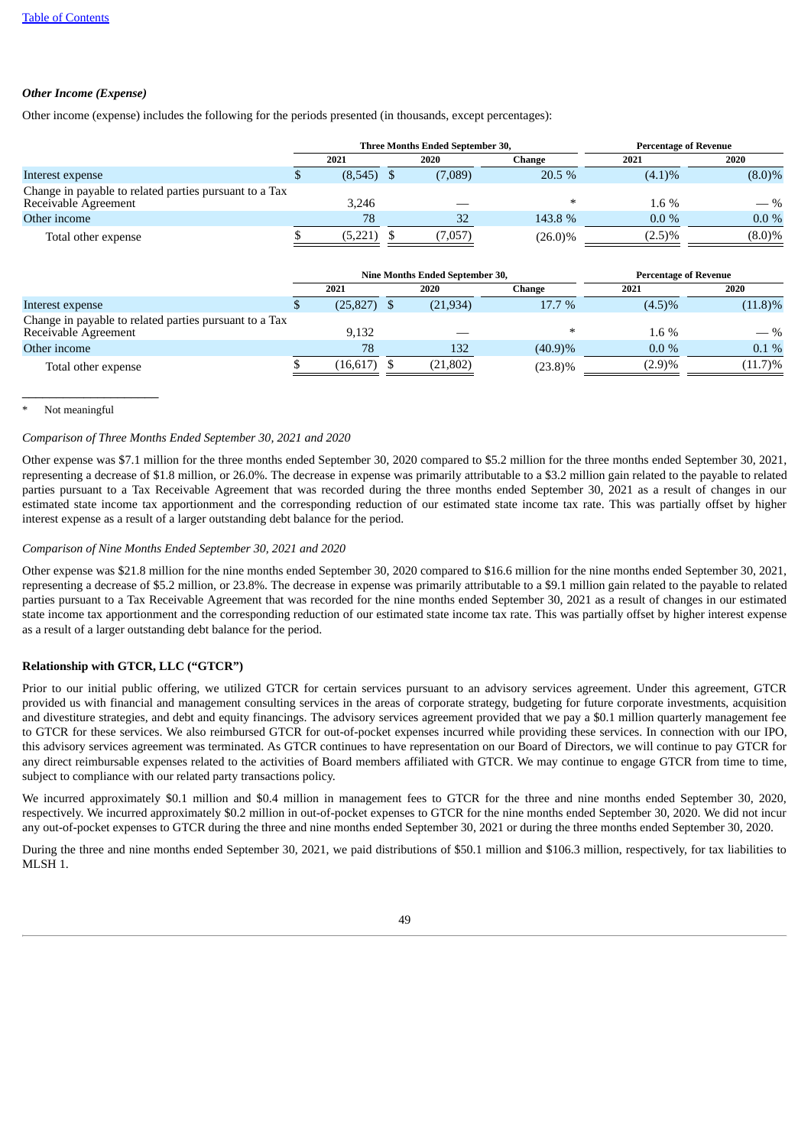# *Other Income (Expense)*

Other income (expense) includes the following for the periods presented (in thousands, except percentages):

|                                                                                |      |         |      | Three Months Ended September 30, | <b>Percentage of Revenue</b> |           |           |  |  |
|--------------------------------------------------------------------------------|------|---------|------|----------------------------------|------------------------------|-----------|-----------|--|--|
|                                                                                | 2021 |         | 2020 |                                  | Change                       | 2021      | 2020      |  |  |
| Interest expense                                                               |      | (8,545) |      | (7,089)                          | 20.5%                        | $(4.1)\%$ | $(8.0)\%$ |  |  |
| Change in payable to related parties pursuant to a Tax<br>Receivable Agreement |      | 3.246   |      |                                  | ∗                            | $1.6\%$   | $-$ %     |  |  |
| Other income                                                                   |      | 78      |      | 32                               | 143.8 %                      | $0.0\%$   | $0.0\%$   |  |  |
| Total other expense                                                            |      | (5,221  |      | (7,057)                          | $(26.0)\%$                   | $(2.5)\%$ | $(8.0)\%$ |  |  |

|                                                                                |           |  | Nine Months Ended September 30, | <b>Percentage of Revenue</b> |           |            |  |
|--------------------------------------------------------------------------------|-----------|--|---------------------------------|------------------------------|-----------|------------|--|
|                                                                                | 2021      |  | 2020                            | Change                       | 2021      | 2020       |  |
| Interest expense                                                               | (25, 827) |  | (21, 934)                       | 17.7 %                       | $(4.5)\%$ | $(11.8)\%$ |  |
| Change in payable to related parties pursuant to a Tax<br>Receivable Agreement | 9.132     |  |                                 | $\ast$                       | $1.6\%$   | $-$ %      |  |
| Other income                                                                   | 78        |  | 132                             | (40.9)%                      | $0.0\%$   | $0.1\%$    |  |
| Total other expense                                                            | (16, 617) |  | (21, 802)                       | $(23.8)\%$                   | (2.9)%    | $(11.7)\%$ |  |

Not meaningful

 $\_$ 

# *Comparison of Three Months Ended September 30, 2021 and 2020*

Other expense was \$7.1 million for the three months ended September 30, 2020 compared to \$5.2 million for the three months ended September 30, 2021, representing a decrease of \$1.8 million, or 26.0%. The decrease in expense was primarily attributable to a \$3.2 million gain related to the payable to related parties pursuant to a Tax Receivable Agreement that was recorded during the three months ended September 30, 2021 as a result of changes in our estimated state income tax apportionment and the corresponding reduction of our estimated state income tax rate. This was partially offset by higher interest expense as a result of a larger outstanding debt balance for the period.

# *Comparison of Nine Months Ended September 30, 2021 and 2020*

Other expense was \$21.8 million for the nine months ended September 30, 2020 compared to \$16.6 million for the nine months ended September 30, 2021, representing a decrease of \$5.2 million, or 23.8%. The decrease in expense was primarily attributable to a \$9.1 million gain related to the payable to related parties pursuant to a Tax Receivable Agreement that was recorded for the nine months ended September 30, 2021 as a result of changes in our estimated state income tax apportionment and the corresponding reduction of our estimated state income tax rate. This was partially offset by higher interest expense as a result of a larger outstanding debt balance for the period.

# **Relationship with GTCR, LLC ("GTCR")**

Prior to our initial public offering, we utilized GTCR for certain services pursuant to an advisory services agreement. Under this agreement, GTCR provided us with financial and management consulting services in the areas of corporate strategy, budgeting for future corporate investments, acquisition and divestiture strategies, and debt and equity financings. The advisory services agreement provided that we pay a \$0.1 million quarterly management fee to GTCR for these services. We also reimbursed GTCR for out-of-pocket expenses incurred while providing these services. In connection with our IPO, this advisory services agreement was terminated. As GTCR continues to have representation on our Board of Directors, we will continue to pay GTCR for any direct reimbursable expenses related to the activities of Board members affiliated with GTCR. We may continue to engage GTCR from time to time, subject to compliance with our related party transactions policy.

We incurred approximately \$0.1 million and \$0.4 million in management fees to GTCR for the three and nine months ended September 30, 2020, respectively. We incurred approximately \$0.2 million in out-of-pocket expenses to GTCR for the nine months ended September 30, 2020. We did not incur any out-of-pocket expenses to GTCR during the three and nine months ended September 30, 2021 or during the three months ended September 30, 2020.

During the three and nine months ended September 30, 2021, we paid distributions of \$50.1 million and \$106.3 million, respectively, for tax liabilities to MLSH 1.

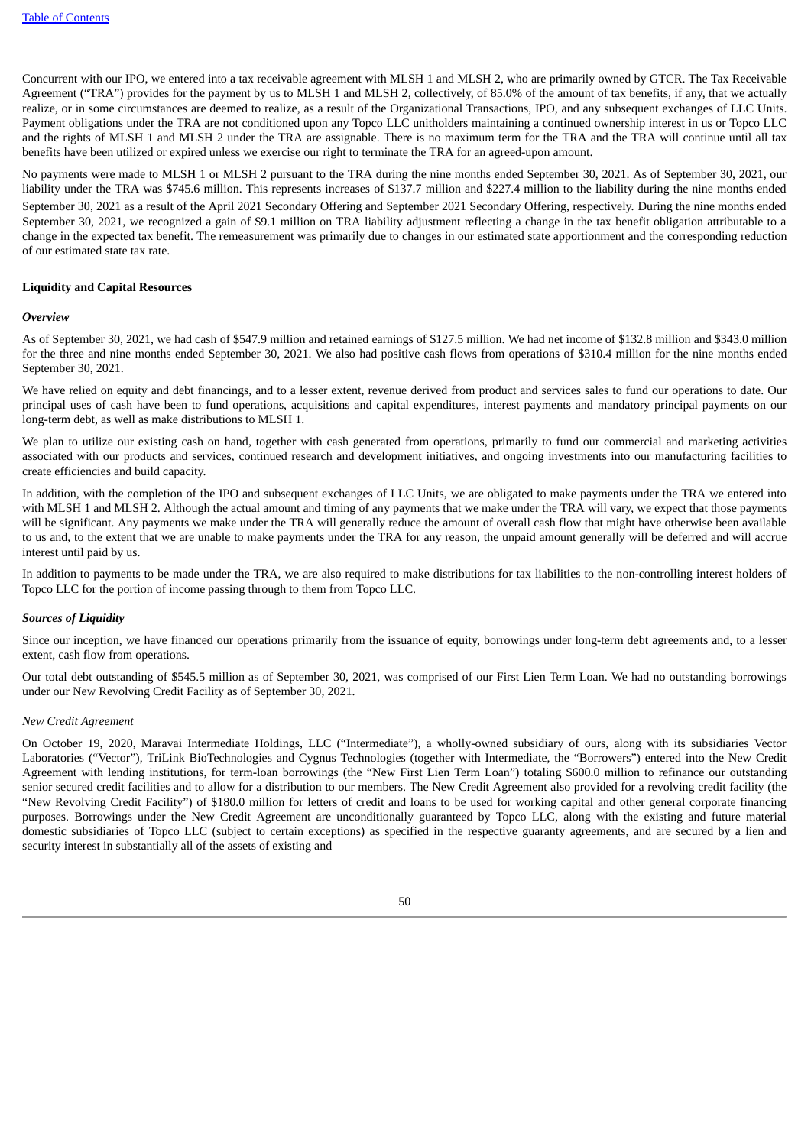Concurrent with our IPO, we entered into a tax receivable agreement with MLSH 1 and MLSH 2, who are primarily owned by GTCR. The Tax Receivable Agreement ("TRA") provides for the payment by us to MLSH 1 and MLSH 2, collectively, of 85.0% of the amount of tax benefits, if any, that we actually realize, or in some circumstances are deemed to realize, as a result of the Organizational Transactions, IPO, and any subsequent exchanges of LLC Units. Payment obligations under the TRA are not conditioned upon any Topco LLC unitholders maintaining a continued ownership interest in us or Topco LLC and the rights of MLSH 1 and MLSH 2 under the TRA are assignable. There is no maximum term for the TRA and the TRA will continue until all tax benefits have been utilized or expired unless we exercise our right to terminate the TRA for an agreed-upon amount.

No payments were made to MLSH 1 or MLSH 2 pursuant to the TRA during the nine months ended September 30, 2021. As of September 30, 2021, our liability under the TRA was \$745.6 million. This represents increases of \$137.7 million and \$227.4 million to the liability during the nine months ended

September 30, 2021 as a result of the April 2021 Secondary Offering and September 2021 Secondary Offering, respectively. During the nine months ended September 30, 2021, we recognized a gain of \$9.1 million on TRA liability adjustment reflecting a change in the tax benefit obligation attributable to a change in the expected tax benefit. The remeasurement was primarily due to changes in our estimated state apportionment and the corresponding reduction of our estimated state tax rate.

# **Liquidity and Capital Resources**

#### *Overview*

As of September 30, 2021, we had cash of \$547.9 million and retained earnings of \$127.5 million. We had net income of \$132.8 million and \$343.0 million for the three and nine months ended September 30, 2021. We also had positive cash flows from operations of \$310.4 million for the nine months ended September 30, 2021.

We have relied on equity and debt financings, and to a lesser extent, revenue derived from product and services sales to fund our operations to date. Our principal uses of cash have been to fund operations, acquisitions and capital expenditures, interest payments and mandatory principal payments on our long-term debt, as well as make distributions to MLSH 1.

We plan to utilize our existing cash on hand, together with cash generated from operations, primarily to fund our commercial and marketing activities associated with our products and services, continued research and development initiatives, and ongoing investments into our manufacturing facilities to create efficiencies and build capacity.

In addition, with the completion of the IPO and subsequent exchanges of LLC Units, we are obligated to make payments under the TRA we entered into with MLSH 1 and MLSH 2. Although the actual amount and timing of any payments that we make under the TRA will vary, we expect that those payments will be significant. Any payments we make under the TRA will generally reduce the amount of overall cash flow that might have otherwise been available to us and, to the extent that we are unable to make payments under the TRA for any reason, the unpaid amount generally will be deferred and will accrue interest until paid by us.

In addition to payments to be made under the TRA, we are also required to make distributions for tax liabilities to the non-controlling interest holders of Topco LLC for the portion of income passing through to them from Topco LLC.

# *Sources of Liquidity*

Since our inception, we have financed our operations primarily from the issuance of equity, borrowings under long-term debt agreements and, to a lesser extent, cash flow from operations.

Our total debt outstanding of \$545.5 million as of September 30, 2021, was comprised of our First Lien Term Loan. We had no outstanding borrowings under our New Revolving Credit Facility as of September 30, 2021.

## *New Credit Agreement*

On October 19, 2020, Maravai Intermediate Holdings, LLC ("Intermediate"), a wholly-owned subsidiary of ours, along with its subsidiaries Vector Laboratories ("Vector"), TriLink BioTechnologies and Cygnus Technologies (together with Intermediate, the "Borrowers") entered into the New Credit Agreement with lending institutions, for term-loan borrowings (the "New First Lien Term Loan") totaling \$600.0 million to refinance our outstanding senior secured credit facilities and to allow for a distribution to our members. The New Credit Agreement also provided for a revolving credit facility (the "New Revolving Credit Facility") of \$180.0 million for letters of credit and loans to be used for working capital and other general corporate financing purposes. Borrowings under the New Credit Agreement are unconditionally guaranteed by Topco LLC, along with the existing and future material domestic subsidiaries of Topco LLC (subject to certain exceptions) as specified in the respective guaranty agreements, and are secured by a lien and security interest in substantially all of the assets of existing and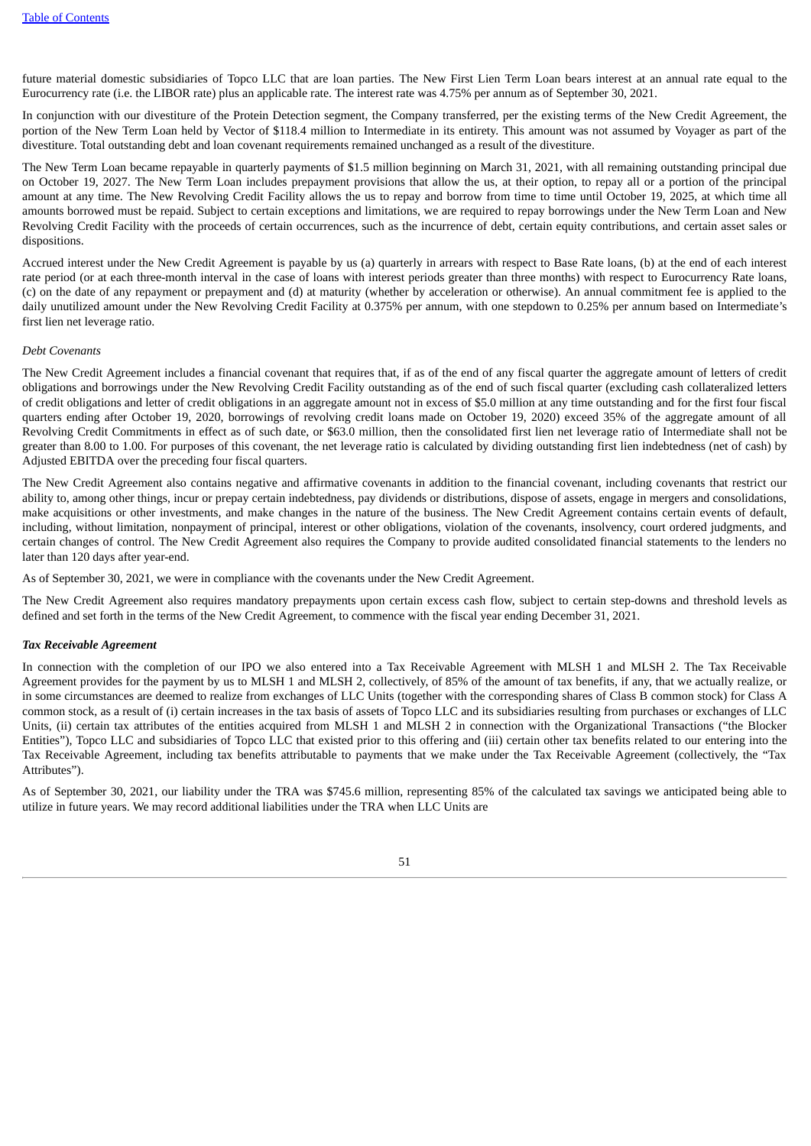future material domestic subsidiaries of Topco LLC that are loan parties. The New First Lien Term Loan bears interest at an annual rate equal to the Eurocurrency rate (i.e. the LIBOR rate) plus an applicable rate. The interest rate was 4.75% per annum as of September 30, 2021.

In conjunction with our divestiture of the Protein Detection segment, the Company transferred, per the existing terms of the New Credit Agreement, the portion of the New Term Loan held by Vector of \$118.4 million to Intermediate in its entirety. This amount was not assumed by Voyager as part of the divestiture. Total outstanding debt and loan covenant requirements remained unchanged as a result of the divestiture.

The New Term Loan became repayable in quarterly payments of \$1.5 million beginning on March 31, 2021, with all remaining outstanding principal due on October 19, 2027. The New Term Loan includes prepayment provisions that allow the us, at their option, to repay all or a portion of the principal amount at any time. The New Revolving Credit Facility allows the us to repay and borrow from time to time until October 19, 2025, at which time all amounts borrowed must be repaid. Subject to certain exceptions and limitations, we are required to repay borrowings under the New Term Loan and New Revolving Credit Facility with the proceeds of certain occurrences, such as the incurrence of debt, certain equity contributions, and certain asset sales or dispositions.

Accrued interest under the New Credit Agreement is payable by us (a) quarterly in arrears with respect to Base Rate loans, (b) at the end of each interest rate period (or at each three-month interval in the case of loans with interest periods greater than three months) with respect to Eurocurrency Rate loans, (c) on the date of any repayment or prepayment and (d) at maturity (whether by acceleration or otherwise). An annual commitment fee is applied to the daily unutilized amount under the New Revolving Credit Facility at 0.375% per annum, with one stepdown to 0.25% per annum based on Intermediate's first lien net leverage ratio.

## *Debt Covenants*

The New Credit Agreement includes a financial covenant that requires that, if as of the end of any fiscal quarter the aggregate amount of letters of credit obligations and borrowings under the New Revolving Credit Facility outstanding as of the end of such fiscal quarter (excluding cash collateralized letters of credit obligations and letter of credit obligations in an aggregate amount not in excess of \$5.0 million at any time outstanding and for the first four fiscal quarters ending after October 19, 2020, borrowings of revolving credit loans made on October 19, 2020) exceed 35% of the aggregate amount of all Revolving Credit Commitments in effect as of such date, or \$63.0 million, then the consolidated first lien net leverage ratio of Intermediate shall not be greater than 8.00 to 1.00. For purposes of this covenant, the net leverage ratio is calculated by dividing outstanding first lien indebtedness (net of cash) by Adjusted EBITDA over the preceding four fiscal quarters.

The New Credit Agreement also contains negative and affirmative covenants in addition to the financial covenant, including covenants that restrict our ability to, among other things, incur or prepay certain indebtedness, pay dividends or distributions, dispose of assets, engage in mergers and consolidations, make acquisitions or other investments, and make changes in the nature of the business. The New Credit Agreement contains certain events of default, including, without limitation, nonpayment of principal, interest or other obligations, violation of the covenants, insolvency, court ordered judgments, and certain changes of control. The New Credit Agreement also requires the Company to provide audited consolidated financial statements to the lenders no later than 120 days after year-end.

As of September 30, 2021, we were in compliance with the covenants under the New Credit Agreement.

The New Credit Agreement also requires mandatory prepayments upon certain excess cash flow, subject to certain step-downs and threshold levels as defined and set forth in the terms of the New Credit Agreement, to commence with the fiscal year ending December 31, 2021.

#### *Tax Receivable Agreement*

In connection with the completion of our IPO we also entered into a Tax Receivable Agreement with MLSH 1 and MLSH 2. The Tax Receivable Agreement provides for the payment by us to MLSH 1 and MLSH 2, collectively, of 85% of the amount of tax benefits, if any, that we actually realize, or in some circumstances are deemed to realize from exchanges of LLC Units (together with the corresponding shares of Class B common stock) for Class A common stock, as a result of (i) certain increases in the tax basis of assets of Topco LLC and its subsidiaries resulting from purchases or exchanges of LLC Units, (ii) certain tax attributes of the entities acquired from MLSH 1 and MLSH 2 in connection with the Organizational Transactions ("the Blocker Entities"), Topco LLC and subsidiaries of Topco LLC that existed prior to this offering and (iii) certain other tax benefits related to our entering into the Tax Receivable Agreement, including tax benefits attributable to payments that we make under the Tax Receivable Agreement (collectively, the "Tax Attributes").

As of September 30, 2021, our liability under the TRA was \$745.6 million, representing 85% of the calculated tax savings we anticipated being able to utilize in future years. We may record additional liabilities under the TRA when LLC Units are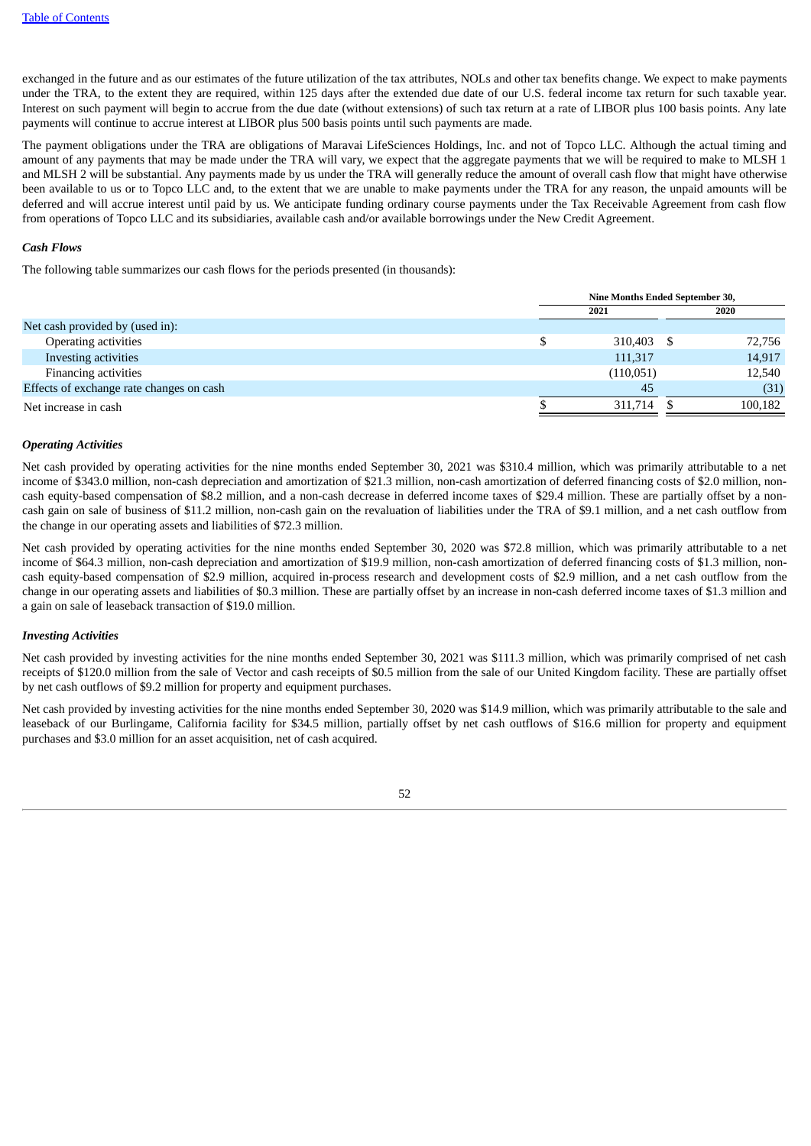exchanged in the future and as our estimates of the future utilization of the tax attributes, NOLs and other tax benefits change. We expect to make payments under the TRA, to the extent they are required, within 125 days after the extended due date of our U.S. federal income tax return for such taxable year. Interest on such payment will begin to accrue from the due date (without extensions) of such tax return at a rate of LIBOR plus 100 basis points. Any late payments will continue to accrue interest at LIBOR plus 500 basis points until such payments are made.

The payment obligations under the TRA are obligations of Maravai LifeSciences Holdings, Inc. and not of Topco LLC. Although the actual timing and amount of any payments that may be made under the TRA will vary, we expect that the aggregate payments that we will be required to make to MLSH 1 and MLSH 2 will be substantial. Any payments made by us under the TRA will generally reduce the amount of overall cash flow that might have otherwise been available to us or to Topco LLC and, to the extent that we are unable to make payments under the TRA for any reason, the unpaid amounts will be deferred and will accrue interest until paid by us. We anticipate funding ordinary course payments under the Tax Receivable Agreement from cash flow from operations of Topco LLC and its subsidiaries, available cash and/or available borrowings under the New Credit Agreement.

# *Cash Flows*

The following table summarizes our cash flows for the periods presented (in thousands):

|                                          | Nine Months Ended September 30, |  |         |  |
|------------------------------------------|---------------------------------|--|---------|--|
|                                          | 2021                            |  |         |  |
| Net cash provided by (used in):          |                                 |  |         |  |
| Operating activities                     | 310,403                         |  | 72,756  |  |
| Investing activities                     | 111,317                         |  | 14,917  |  |
| Financing activities                     | (110, 051)                      |  | 12,540  |  |
| Effects of exchange rate changes on cash | -45                             |  | (31)    |  |
| Net increase in cash                     | 311,714                         |  | 100,182 |  |
|                                          |                                 |  |         |  |

# *Operating Activities*

Net cash provided by operating activities for the nine months ended September 30, 2021 was \$310.4 million, which was primarily attributable to a net income of \$343.0 million, non-cash depreciation and amortization of \$21.3 million, non-cash amortization of deferred financing costs of \$2.0 million, noncash equity-based compensation of \$8.2 million, and a non-cash decrease in deferred income taxes of \$29.4 million. These are partially offset by a noncash gain on sale of business of \$11.2 million, non-cash gain on the revaluation of liabilities under the TRA of \$9.1 million, and a net cash outflow from the change in our operating assets and liabilities of \$72.3 million.

Net cash provided by operating activities for the nine months ended September 30, 2020 was \$72.8 million, which was primarily attributable to a net income of \$64.3 million, non-cash depreciation and amortization of \$19.9 million, non-cash amortization of deferred financing costs of \$1.3 million, noncash equity-based compensation of \$2.9 million, acquired in-process research and development costs of \$2.9 million, and a net cash outflow from the change in our operating assets and liabilities of \$0.3 million. These are partially offset by an increase in non-cash deferred income taxes of \$1.3 million and a gain on sale of leaseback transaction of \$19.0 million.

#### *Investing Activities*

Net cash provided by investing activities for the nine months ended September 30, 2021 was \$111.3 million, which was primarily comprised of net cash receipts of \$120.0 million from the sale of Vector and cash receipts of \$0.5 million from the sale of our United Kingdom facility. These are partially offset by net cash outflows of \$9.2 million for property and equipment purchases.

Net cash provided by investing activities for the nine months ended September 30, 2020 was \$14.9 million, which was primarily attributable to the sale and leaseback of our Burlingame, California facility for \$34.5 million, partially offset by net cash outflows of \$16.6 million for property and equipment purchases and \$3.0 million for an asset acquisition, net of cash acquired.

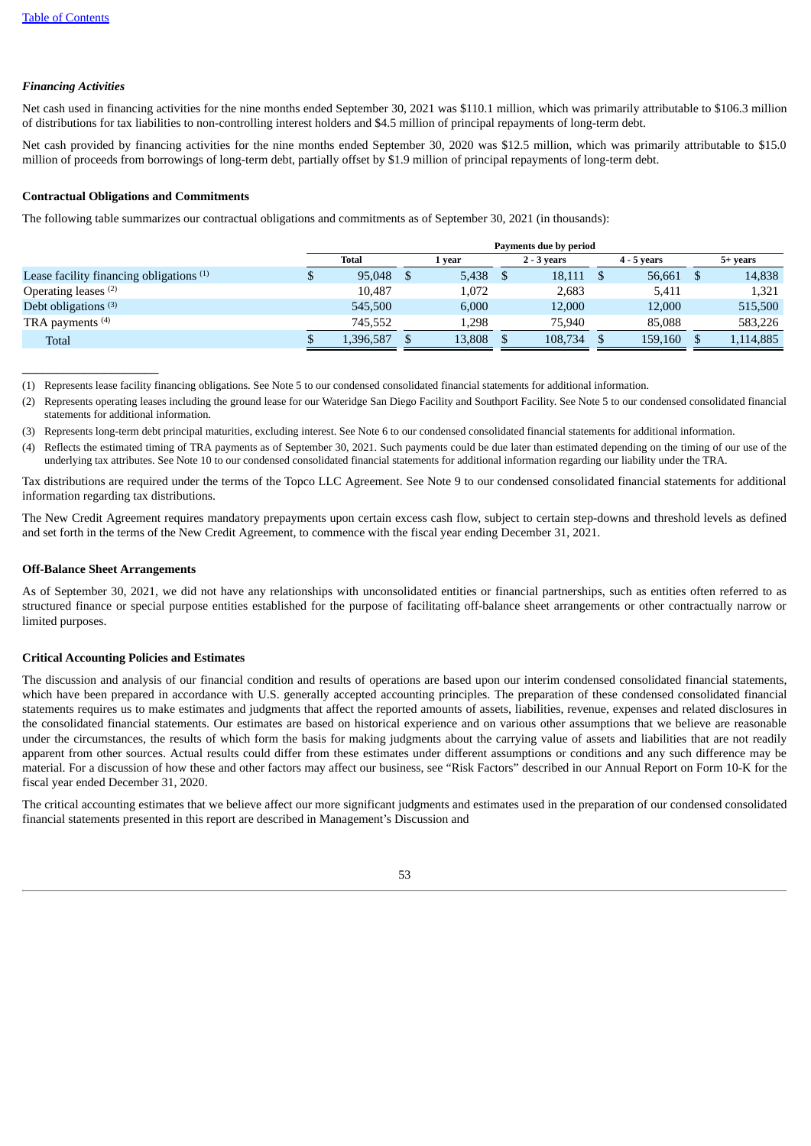# *Financing Activities*

Net cash used in financing activities for the nine months ended September 30, 2021 was \$110.1 million, which was primarily attributable to \$106.3 million of distributions for tax liabilities to non-controlling interest holders and \$4.5 million of principal repayments of long-term debt.

Net cash provided by financing activities for the nine months ended September 30, 2020 was \$12.5 million, which was primarily attributable to \$15.0 million of proceeds from borrowings of long-term debt, partially offset by \$1.9 million of principal repayments of long-term debt.

# **Contractual Obligations and Commitments**

The following table summarizes our contractual obligations and commitments as of September 30, 2021 (in thousands):

|                                                     | Payments due by period |  |        |  |               |  |               |           |
|-----------------------------------------------------|------------------------|--|--------|--|---------------|--|---------------|-----------|
|                                                     | Total                  |  | vear   |  | $2 - 3$ vears |  | $4 - 5$ years | 5+ vears  |
| Lease facility financing obligations <sup>(1)</sup> | 95,048                 |  | 5,438  |  | 18,111        |  | 56,661        | 14,838    |
| Operating leases <sup>(2)</sup>                     | 10.487                 |  | 1,072  |  | 2.683         |  | 5,411         | 1,321     |
| Debt obligations <sup>(3)</sup>                     | 545,500                |  | 6.000  |  | 12,000        |  | 12,000        | 515,500   |
| TRA payments <sup>(4)</sup>                         | 745.552                |  | 1.298  |  | 75.940        |  | 85,088        | 583,226   |
| <b>Total</b>                                        | 1,396,587              |  | 13,808 |  | 108,734       |  | 159,160       | 1,114,885 |

(1) Represents lease facility financing obligations. See Note 5 to our condensed consolidated financial statements for additional information.

(2) Represents operating leases including the ground lease for our Wateridge San Diego Facility and Southport Facility. See Note 5 to our condensed consolidated financial statements for additional information.

(3) Represents long-term debt principal maturities, excluding interest. See Note 6 to our condensed consolidated financial statements for additional information.

(4) Reflects the estimated timing of TRA payments as of September 30, 2021. Such payments could be due later than estimated depending on the timing of our use of the underlying tax attributes. See Note 10 to our condensed consolidated financial statements for additional information regarding our liability under the TRA.

Tax distributions are required under the terms of the Topco LLC Agreement. See Note 9 to our condensed consolidated financial statements for additional information regarding tax distributions.

The New Credit Agreement requires mandatory prepayments upon certain excess cash flow, subject to certain step-downs and threshold levels as defined and set forth in the terms of the New Credit Agreement, to commence with the fiscal year ending December 31, 2021.

# **Off-Balance Sheet Arrangements**

 $\_$ 

As of September 30, 2021, we did not have any relationships with unconsolidated entities or financial partnerships, such as entities often referred to as structured finance or special purpose entities established for the purpose of facilitating off-balance sheet arrangements or other contractually narrow or limited purposes.

#### **Critical Accounting Policies and Estimates**

The discussion and analysis of our financial condition and results of operations are based upon our interim condensed consolidated financial statements, which have been prepared in accordance with U.S. generally accepted accounting principles. The preparation of these condensed consolidated financial statements requires us to make estimates and judgments that affect the reported amounts of assets, liabilities, revenue, expenses and related disclosures in the consolidated financial statements. Our estimates are based on historical experience and on various other assumptions that we believe are reasonable under the circumstances, the results of which form the basis for making judgments about the carrying value of assets and liabilities that are not readily apparent from other sources. Actual results could differ from these estimates under different assumptions or conditions and any such difference may be material. For a discussion of how these and other factors may affect our business, see "Risk Factors" described in our Annual Report on Form 10-K for the fiscal year ended December 31, 2020.

The critical accounting estimates that we believe affect our more significant judgments and estimates used in the preparation of our condensed consolidated financial statements presented in this report are described in Management's Discussion and

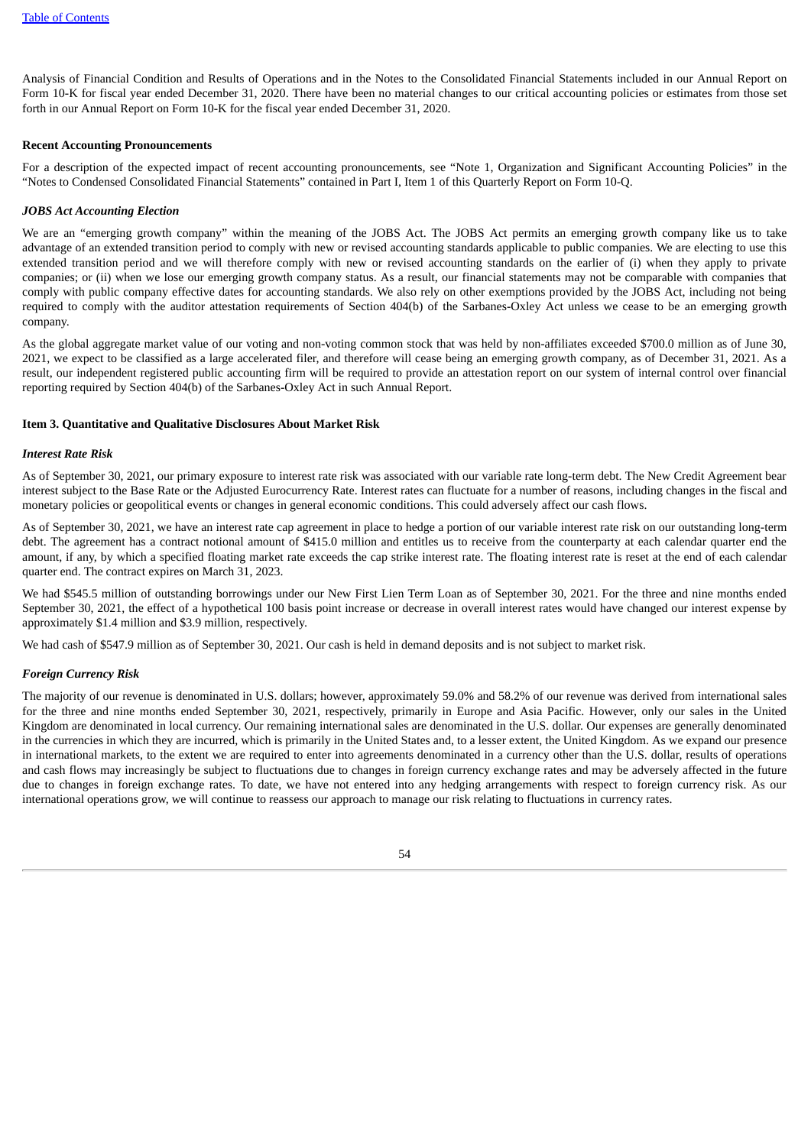Analysis of Financial Condition and Results of Operations and in the Notes to the Consolidated Financial Statements included in our Annual Report on Form 10-K for fiscal year ended December 31, 2020. There have been no material changes to our critical accounting policies or estimates from those set forth in our Annual Report on Form 10-K for the fiscal year ended December 31, 2020.

## **Recent Accounting Pronouncements**

For a description of the expected impact of recent accounting pronouncements, see "Note 1, Organization and Significant Accounting Policies" in the "Notes to Condensed Consolidated Financial Statements" contained in Part I, Item 1 of this Quarterly Report on Form 10-Q.

## *JOBS Act Accounting Election*

We are an "emerging growth company" within the meaning of the JOBS Act. The JOBS Act permits an emerging growth company like us to take advantage of an extended transition period to comply with new or revised accounting standards applicable to public companies. We are electing to use this extended transition period and we will therefore comply with new or revised accounting standards on the earlier of (i) when they apply to private companies; or (ii) when we lose our emerging growth company status. As a result, our financial statements may not be comparable with companies that comply with public company effective dates for accounting standards. We also rely on other exemptions provided by the JOBS Act, including not being required to comply with the auditor attestation requirements of Section 404(b) of the Sarbanes-Oxley Act unless we cease to be an emerging growth company.

As the global aggregate market value of our voting and non-voting common stock that was held by non-affiliates exceeded \$700.0 million as of June 30, 2021, we expect to be classified as a large accelerated filer, and therefore will cease being an emerging growth company, as of December 31, 2021. As a result, our independent registered public accounting firm will be required to provide an attestation report on our system of internal control over financial reporting required by Section 404(b) of the Sarbanes-Oxley Act in such Annual Report.

### <span id="page-53-0"></span>**Item 3. Quantitative and Qualitative Disclosures About Market Risk**

### *Interest Rate Risk*

As of September 30, 2021, our primary exposure to interest rate risk was associated with our variable rate long-term debt. The New Credit Agreement bear interest subject to the Base Rate or the Adjusted Eurocurrency Rate. Interest rates can fluctuate for a number of reasons, including changes in the fiscal and monetary policies or geopolitical events or changes in general economic conditions. This could adversely affect our cash flows.

As of September 30, 2021, we have an interest rate cap agreement in place to hedge a portion of our variable interest rate risk on our outstanding long-term debt. The agreement has a contract notional amount of \$415.0 million and entitles us to receive from the counterparty at each calendar quarter end the amount, if any, by which a specified floating market rate exceeds the cap strike interest rate. The floating interest rate is reset at the end of each calendar quarter end. The contract expires on March 31, 2023.

We had \$545.5 million of outstanding borrowings under our New First Lien Term Loan as of September 30, 2021. For the three and nine months ended September 30, 2021, the effect of a hypothetical 100 basis point increase or decrease in overall interest rates would have changed our interest expense by approximately \$1.4 million and \$3.9 million, respectively.

We had cash of \$547.9 million as of September 30, 2021. Our cash is held in demand deposits and is not subject to market risk.

#### *Foreign Currency Risk*

<span id="page-53-1"></span>The majority of our revenue is denominated in U.S. dollars; however, approximately 59.0% and 58.2% of our revenue was derived from international sales for the three and nine months ended September 30, 2021, respectively, primarily in Europe and Asia Pacific. However, only our sales in the United Kingdom are denominated in local currency. Our remaining international sales are denominated in the U.S. dollar. Our expenses are generally denominated in the currencies in which they are incurred, which is primarily in the United States and, to a lesser extent, the United Kingdom. As we expand our presence in international markets, to the extent we are required to enter into agreements denominated in a currency other than the U.S. dollar, results of operations and cash flows may increasingly be subject to fluctuations due to changes in foreign currency exchange rates and may be adversely affected in the future due to changes in foreign exchange rates. To date, we have not entered into any hedging arrangements with respect to foreign currency risk. As our international operations grow, we will continue to reassess our approach to manage our risk relating to fluctuations in currency rates.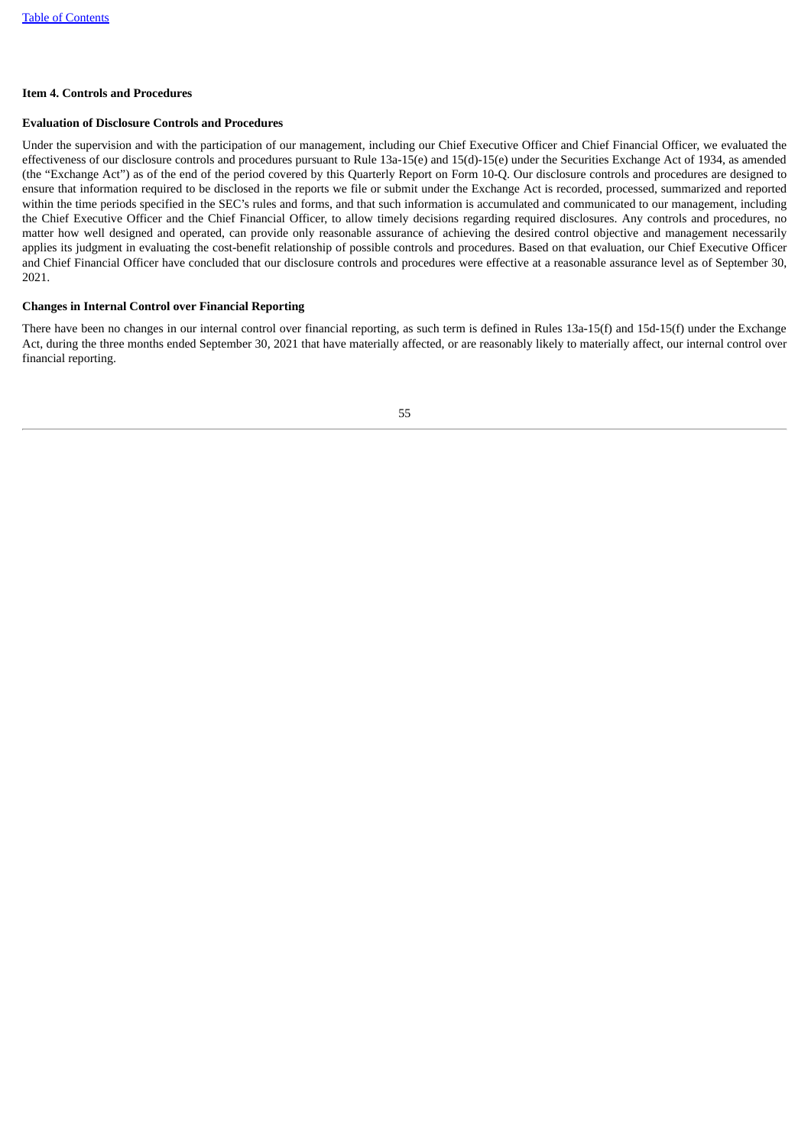# **Item 4. Controls and Procedures**

# **Evaluation of Disclosure Controls and Procedures**

Under the supervision and with the participation of our management, including our Chief Executive Officer and Chief Financial Officer, we evaluated the effectiveness of our disclosure controls and procedures pursuant to Rule 13a-15(e) and 15(d)-15(e) under the Securities Exchange Act of 1934, as amended (the "Exchange Act") as of the end of the period covered by this Quarterly Report on Form 10-Q. Our disclosure controls and procedures are designed to ensure that information required to be disclosed in the reports we file or submit under the Exchange Act is recorded, processed, summarized and reported within the time periods specified in the SEC's rules and forms, and that such information is accumulated and communicated to our management, including the Chief Executive Officer and the Chief Financial Officer, to allow timely decisions regarding required disclosures. Any controls and procedures, no matter how well designed and operated, can provide only reasonable assurance of achieving the desired control objective and management necessarily applies its judgment in evaluating the cost-benefit relationship of possible controls and procedures. Based on that evaluation, our Chief Executive Officer and Chief Financial Officer have concluded that our disclosure controls and procedures were effective at a reasonable assurance level as of September 30, 2021.

# **Changes in Internal Control over Financial Reporting**

<span id="page-54-0"></span>There have been no changes in our internal control over financial reporting, as such term is defined in Rules 13a-15(f) and 15d-15(f) under the Exchange Act, during the three months ended September 30, 2021 that have materially affected, or are reasonably likely to materially affect, our internal control over financial reporting.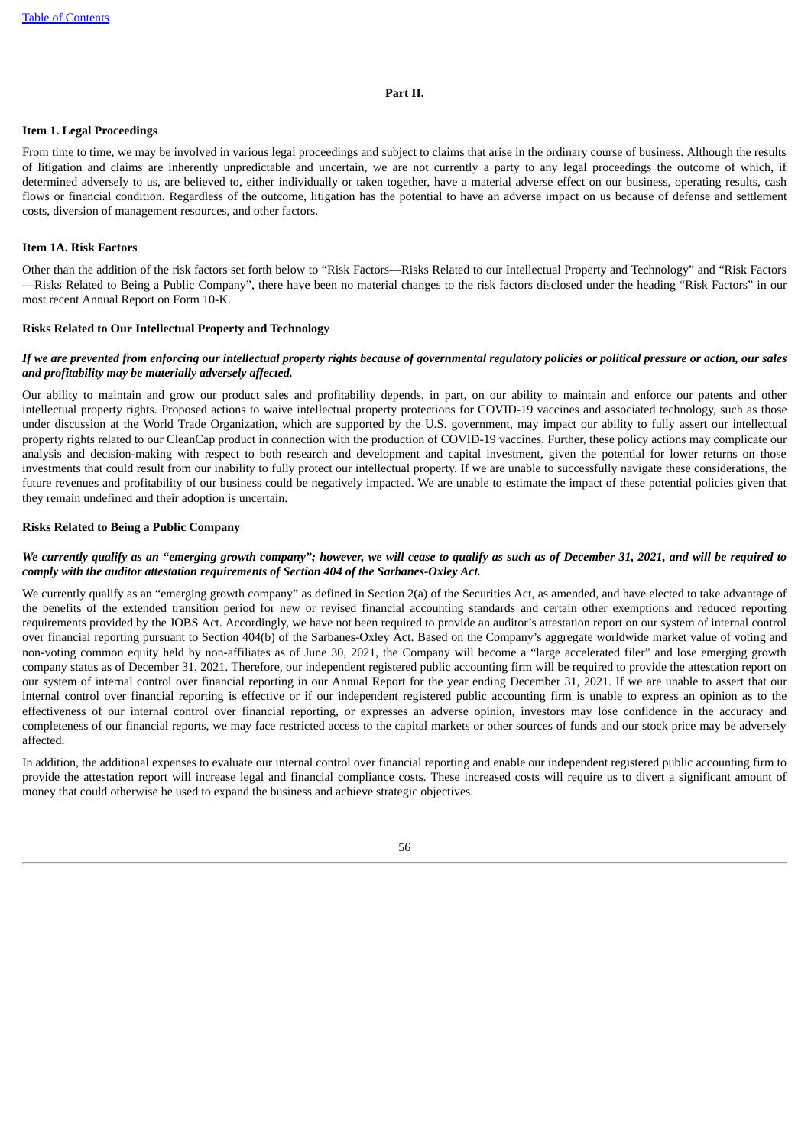#### **Part II.**

# <span id="page-55-0"></span>**Item 1. Legal Proceedings**

From time to time, we may be involved in various legal proceedings and subject to claims that arise in the ordinary course of business. Although the results of litigation and claims are inherently unpredictable and uncertain, we are not currently a party to any legal proceedings the outcome of which, if determined adversely to us, are believed to, either individually or taken together, have a material adverse effect on our business, operating results, cash flows or financial condition. Regardless of the outcome, litigation has the potential to have an adverse impact on us because of defense and settlement costs, diversion of management resources, and other factors.

# <span id="page-55-1"></span>**Item 1A. Risk Factors**

Other than the addition of the risk factors set forth below to "Risk Factors—Risks Related to our Intellectual Property and Technology" and "Risk Factors —Risks Related to Being a Public Company", there have been no material changes to the risk factors disclosed under the heading "Risk Factors" in our most recent Annual Report on Form 10-K.

#### **Risks Related to Our Intellectual Property and Technology**

### If we are prevented from enforcing our intellectual property rights because of governmental regulatory policies or political pressure or action, our sales *and profitability may be materially adversely affected.*

Our ability to maintain and grow our product sales and profitability depends, in part, on our ability to maintain and enforce our patents and other intellectual property rights. Proposed actions to waive intellectual property protections for COVID-19 vaccines and associated technology, such as those under discussion at the World Trade Organization, which are supported by the U.S. government, may impact our ability to fully assert our intellectual property rights related to our CleanCap product in connection with the production of COVID-19 vaccines. Further, these policy actions may complicate our analysis and decision-making with respect to both research and development and capital investment, given the potential for lower returns on those investments that could result from our inability to fully protect our intellectual property. If we are unable to successfully navigate these considerations, the future revenues and profitability of our business could be negatively impacted. We are unable to estimate the impact of these potential policies given that they remain undefined and their adoption is uncertain.

# **Risks Related to Being a Public Company**

# We currently qualify as an "emerging growth company"; however, we will cease to qualify as such as of December 31, 2021, and will be required to *comply with the auditor attestation requirements of Section 404 of the Sarbanes-Oxley Act.*

We currently qualify as an "emerging growth company" as defined in Section 2(a) of the Securities Act, as amended, and have elected to take advantage of the benefits of the extended transition period for new or revised financial accounting standards and certain other exemptions and reduced reporting requirements provided by the JOBS Act. Accordingly, we have not been required to provide an auditor's attestation report on our system of internal control over financial reporting pursuant to Section 404(b) of the Sarbanes-Oxley Act. Based on the Company's aggregate worldwide market value of voting and non-voting common equity held by non-affiliates as of June 30, 2021, the Company will become a "large accelerated filer" and lose emerging growth company status as of December 31, 2021. Therefore, our independent registered public accounting firm will be required to provide the attestation report on our system of internal control over financial reporting in our Annual Report for the year ending December 31, 2021. If we are unable to assert that our internal control over financial reporting is effective or if our independent registered public accounting firm is unable to express an opinion as to the effectiveness of our internal control over financial reporting, or expresses an adverse opinion, investors may lose confidence in the accuracy and completeness of our financial reports, we may face restricted access to the capital markets or other sources of funds and our stock price may be adversely affected.

<span id="page-55-2"></span>In addition, the additional expenses to evaluate our internal control over financial reporting and enable our independent registered public accounting firm to provide the attestation report will increase legal and financial compliance costs. These increased costs will require us to divert a significant amount of money that could otherwise be used to expand the business and achieve strategic objectives.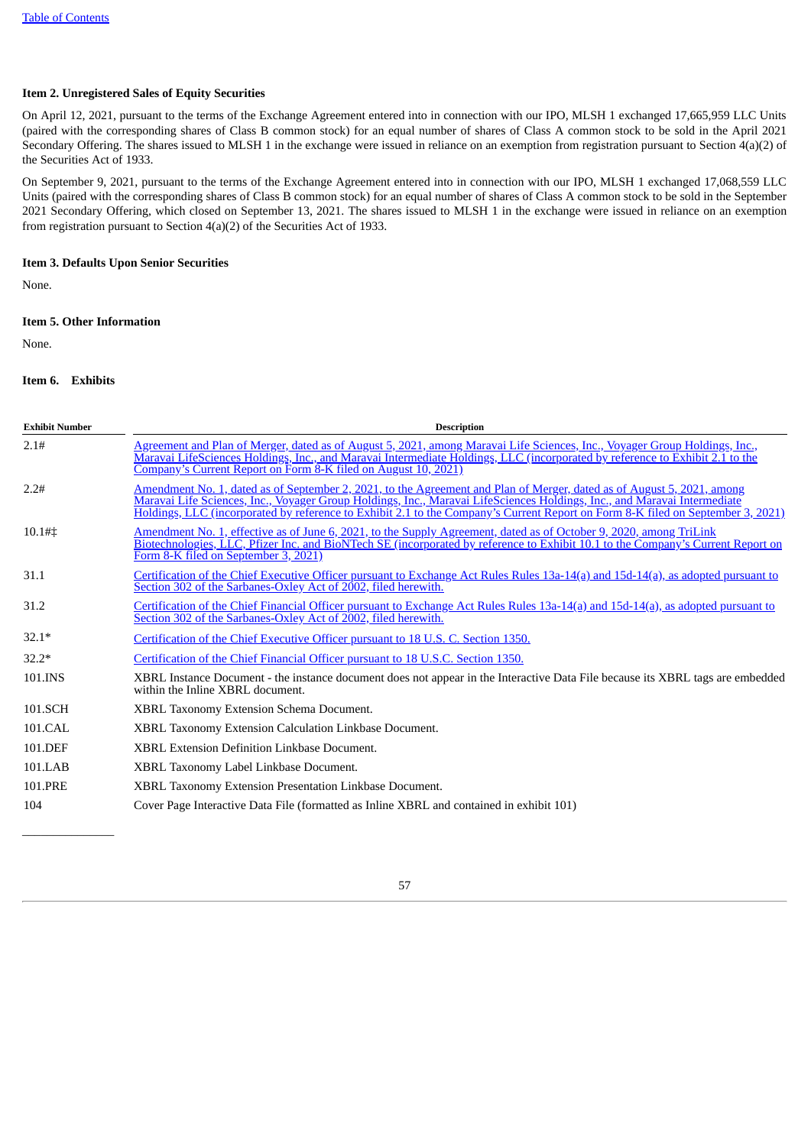# **Item 2. Unregistered Sales of Equity Securities**

On April 12, 2021, pursuant to the terms of the Exchange Agreement entered into in connection with our IPO, MLSH 1 exchanged 17,665,959 LLC Units (paired with the corresponding shares of Class B common stock) for an equal number of shares of Class A common stock to be sold in the April 2021 Secondary Offering. The shares issued to MLSH 1 in the exchange were issued in reliance on an exemption from registration pursuant to Section 4(a)(2) of the Securities Act of 1933.

On September 9, 2021, pursuant to the terms of the Exchange Agreement entered into in connection with our IPO, MLSH 1 exchanged 17,068,559 LLC Units (paired with the corresponding shares of Class B common stock) for an equal number of shares of Class A common stock to be sold in the September 2021 Secondary Offering, which closed on September 13, 2021. The shares issued to MLSH 1 in the exchange were issued in reliance on an exemption from registration pursuant to Section 4(a)(2) of the Securities Act of 1933.

# <span id="page-56-0"></span>**Item 3. Defaults Upon Senior Securities**

<span id="page-56-1"></span>None.

# **Item 5. Other Information**

<span id="page-56-2"></span>None.

# **Item 6. Exhibits**

 $\overline{\phantom{a}}$  , where  $\overline{\phantom{a}}$ 

| <b>Exhibit Number</b> | <b>Description</b>                                                                                                                                                                                                                                                                                                                                                                    |
|-----------------------|---------------------------------------------------------------------------------------------------------------------------------------------------------------------------------------------------------------------------------------------------------------------------------------------------------------------------------------------------------------------------------------|
| 2.1#                  | Agreement and Plan of Merger, dated as of August 5, 2021, among Maravai Life Sciences, Inc., Voyager Group Holdings, Inc.,<br>Maravai LifeSciences Holdings, Inc., and Maravai Intermediate Holdings, LLC (incorporated by reference to Exhibit 2.1 to the<br>Company's Current Report on Form 8-K filed on August 10, 2021)                                                          |
| 2.2#                  | Amendment No. 1, dated as of September 2, 2021, to the Agreement and Plan of Merger, dated as of August 5, 2021, among<br>Maravai Life Sciences, Inc., Voyager Group Holdings, Inc., Maravai LifeSciences Holdings, Inc., and Maravai Intermediate<br>Holdings, LLC (incorporated by reference to Exhibit 2.1 to the Company's Current Report on Form 8-K filed on September 3, 2021) |
| 10.1#                 | Amendment No. 1, effective as of June 6, 2021, to the Supply Agreement, dated as of October 9, 2020, among TriLink<br>Biotechnologies, LLC, Pfizer Inc. and BioNTech SE (incorporated by reference to Exhibit 10.1 to the Company's Current Report on<br>Form 8-K filed on September 3, 2021)                                                                                         |
| 31.1                  | Certification of the Chief Executive Officer pursuant to Exchange Act Rules Rules 13a-14(a) and 15d-14(a), as adopted pursuant to<br>Section 302 of the Sarbanes-Oxley Act of 2002, filed herewith.                                                                                                                                                                                   |
| 31.2                  | Certification of the Chief Financial Officer pursuant to Exchange Act Rules Rules 13a-14(a) and 15d-14(a), as adopted pursuant to<br>Section 302 of the Sarbanes-Oxley Act of 2002, filed herewith.                                                                                                                                                                                   |
| $32.1*$               | Certification of the Chief Executive Officer pursuant to 18 U.S. C. Section 1350.                                                                                                                                                                                                                                                                                                     |
| $32.2*$               | Certification of the Chief Financial Officer pursuant to 18 U.S.C. Section 1350.                                                                                                                                                                                                                                                                                                      |
| 101.INS               | XBRL Instance Document - the instance document does not appear in the Interactive Data File because its XBRL tags are embedded<br>within the Inline XBRL document.                                                                                                                                                                                                                    |
| 101.SCH               | XBRL Taxonomy Extension Schema Document.                                                                                                                                                                                                                                                                                                                                              |
| 101.CAL               | XBRL Taxonomy Extension Calculation Linkbase Document.                                                                                                                                                                                                                                                                                                                                |
| 101.DEF               | <b>XBRL Extension Definition Linkbase Document.</b>                                                                                                                                                                                                                                                                                                                                   |
| 101.LAB               | XBRL Taxonomy Label Linkbase Document.                                                                                                                                                                                                                                                                                                                                                |
| 101.PRE               | XBRL Taxonomy Extension Presentation Linkbase Document.                                                                                                                                                                                                                                                                                                                               |
| 104                   | Cover Page Interactive Data File (formatted as Inline XBRL and contained in exhibit 101)                                                                                                                                                                                                                                                                                              |

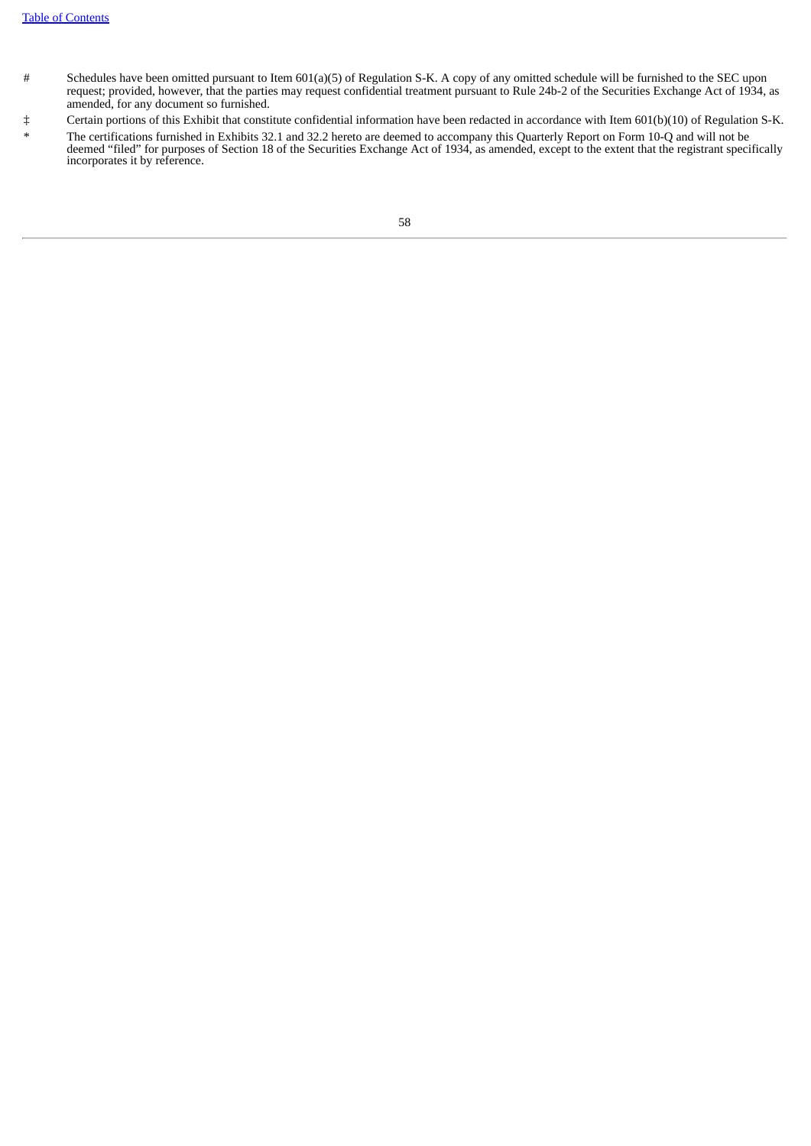- # Schedules have been omitted pursuant to Item 601(a)(5) of Regulation S-K. A copy of any omitted schedule will be furnished to the SEC upon request; provided, however, that the parties may request confidential treatment pursuant to Rule 24b-2 of the Securities Exchange Act of 1934, as amended, for any document so furnished.
- ‡ Certain portions of this Exhibit that constitute confidential information have been redacted in accordance with Item 601(b)(10) of Regulation S-K.
- <span id="page-57-0"></span>The certifications furnished in Exhibits 32.1 and 32.2 hereto are deemed to accompany this Quarterly Report on Form 10-Q and will not be deemed "filed" for purposes of Section 18 of the Securities Exchange Act of 1934, as amended, except to the extent that the registrant specifically incorporates it by reference.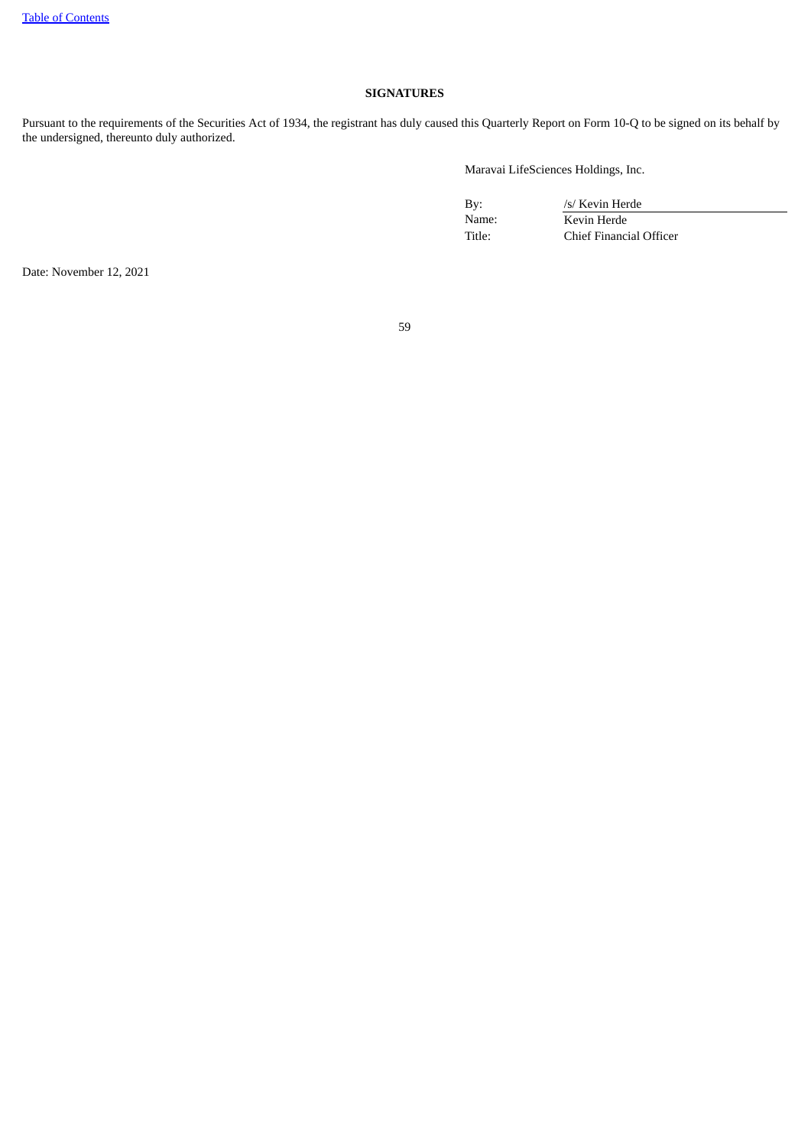# **SIGNATURES**

Pursuant to the requirements of the Securities Act of 1934, the registrant has duly caused this Quarterly Report on Form 10-Q to be signed on its behalf by the undersigned, thereunto duly authorized.

Maravai LifeSciences Holdings, Inc.

By: /s/ Kevin Herde<br>Name: // Kevin Herde Name: Kevin Herde<br>Title: Chief Financi Chief Financial Officer

Date: November 12, 2021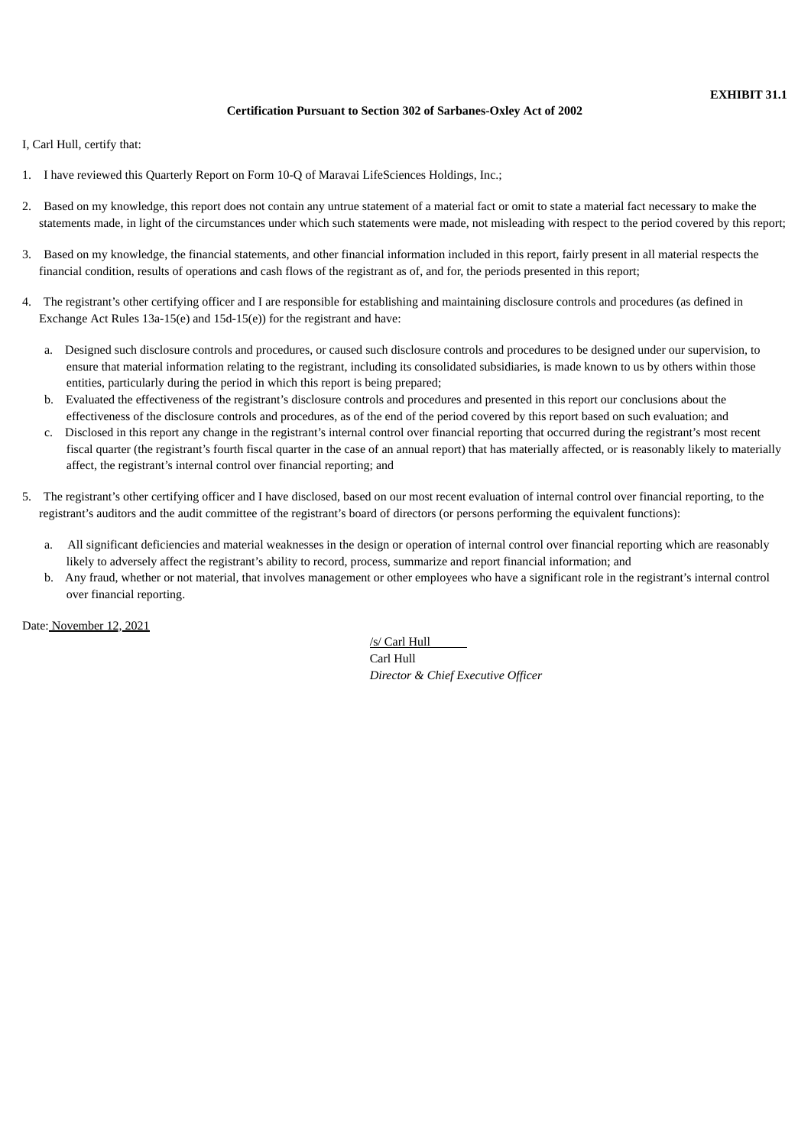# **Certification Pursuant to Section 302 of Sarbanes-Oxley Act of 2002**

<span id="page-59-0"></span>I, Carl Hull, certify that:

- 1. I have reviewed this Quarterly Report on Form 10-Q of Maravai LifeSciences Holdings, Inc.;
- 2. Based on my knowledge, this report does not contain any untrue statement of a material fact or omit to state a material fact necessary to make the statements made, in light of the circumstances under which such statements were made, not misleading with respect to the period covered by this report;
- 3. Based on my knowledge, the financial statements, and other financial information included in this report, fairly present in all material respects the financial condition, results of operations and cash flows of the registrant as of, and for, the periods presented in this report;
- 4. The registrant's other certifying officer and I are responsible for establishing and maintaining disclosure controls and procedures (as defined in Exchange Act Rules 13a-15(e) and 15d-15(e)) for the registrant and have:
	- a. Designed such disclosure controls and procedures, or caused such disclosure controls and procedures to be designed under our supervision, to ensure that material information relating to the registrant, including its consolidated subsidiaries, is made known to us by others within those entities, particularly during the period in which this report is being prepared;
	- b. Evaluated the effectiveness of the registrant's disclosure controls and procedures and presented in this report our conclusions about the effectiveness of the disclosure controls and procedures, as of the end of the period covered by this report based on such evaluation; and
	- c. Disclosed in this report any change in the registrant's internal control over financial reporting that occurred during the registrant's most recent fiscal quarter (the registrant's fourth fiscal quarter in the case of an annual report) that has materially affected, or is reasonably likely to materially affect, the registrant's internal control over financial reporting; and
- 5. The registrant's other certifying officer and I have disclosed, based on our most recent evaluation of internal control over financial reporting, to the registrant's auditors and the audit committee of the registrant's board of directors (or persons performing the equivalent functions):
	- a. All significant deficiencies and material weaknesses in the design or operation of internal control over financial reporting which are reasonably likely to adversely affect the registrant's ability to record, process, summarize and report financial information; and
	- b. Any fraud, whether or not material, that involves management or other employees who have a significant role in the registrant's internal control over financial reporting.

Date: November 12, 2021

/s/ Carl Hull Carl Hull *Director & Chief Executive Officer*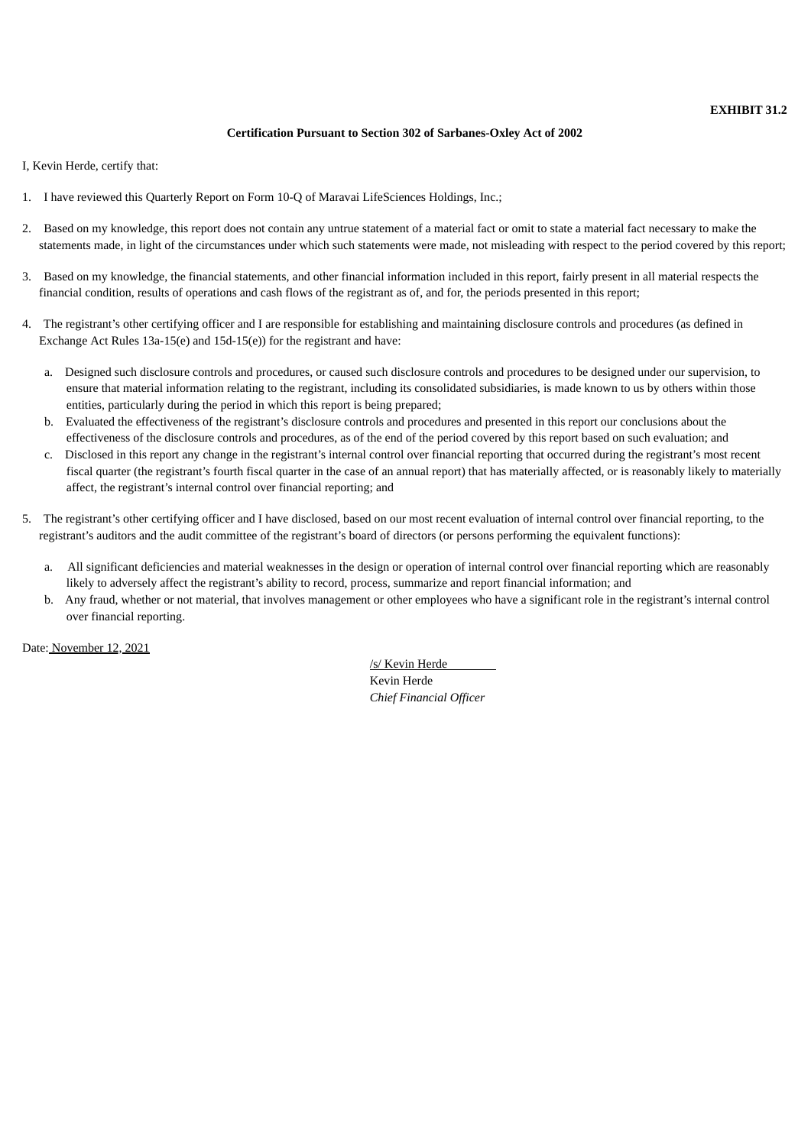# **EXHIBIT 31.2**

# **Certification Pursuant to Section 302 of Sarbanes-Oxley Act of 2002**

<span id="page-60-0"></span>I, Kevin Herde, certify that:

- 1. I have reviewed this Quarterly Report on Form 10-Q of Maravai LifeSciences Holdings, Inc.;
- 2. Based on my knowledge, this report does not contain any untrue statement of a material fact or omit to state a material fact necessary to make the statements made, in light of the circumstances under which such statements were made, not misleading with respect to the period covered by this report;
- 3. Based on my knowledge, the financial statements, and other financial information included in this report, fairly present in all material respects the financial condition, results of operations and cash flows of the registrant as of, and for, the periods presented in this report;
- 4. The registrant's other certifying officer and I are responsible for establishing and maintaining disclosure controls and procedures (as defined in Exchange Act Rules 13a-15(e) and 15d-15(e)) for the registrant and have:
	- a. Designed such disclosure controls and procedures, or caused such disclosure controls and procedures to be designed under our supervision, to ensure that material information relating to the registrant, including its consolidated subsidiaries, is made known to us by others within those entities, particularly during the period in which this report is being prepared;
	- b. Evaluated the effectiveness of the registrant's disclosure controls and procedures and presented in this report our conclusions about the effectiveness of the disclosure controls and procedures, as of the end of the period covered by this report based on such evaluation; and
	- c. Disclosed in this report any change in the registrant's internal control over financial reporting that occurred during the registrant's most recent fiscal quarter (the registrant's fourth fiscal quarter in the case of an annual report) that has materially affected, or is reasonably likely to materially affect, the registrant's internal control over financial reporting; and
- 5. The registrant's other certifying officer and I have disclosed, based on our most recent evaluation of internal control over financial reporting, to the registrant's auditors and the audit committee of the registrant's board of directors (or persons performing the equivalent functions):
	- a. All significant deficiencies and material weaknesses in the design or operation of internal control over financial reporting which are reasonably likely to adversely affect the registrant's ability to record, process, summarize and report financial information; and
	- b. Any fraud, whether or not material, that involves management or other employees who have a significant role in the registrant's internal control over financial reporting.

Date: November 12, 2021

/s/ Kevin Herde Kevin Herde *Chief Financial Officer*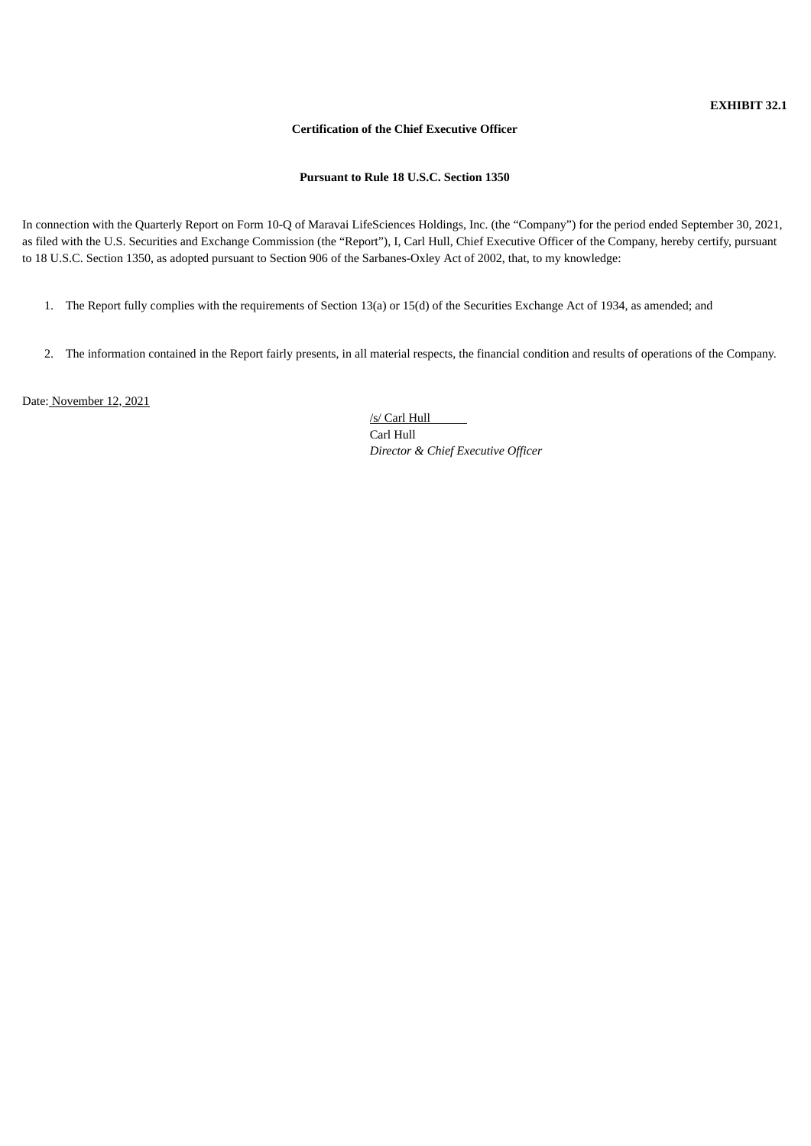# **Certification of the Chief Executive Officer**

**Pursuant to Rule 18 U.S.C. Section 1350**

<span id="page-61-0"></span>In connection with the Quarterly Report on Form 10-Q of Maravai LifeSciences Holdings, Inc. (the "Company") for the period ended September 30, 2021, as filed with the U.S. Securities and Exchange Commission (the "Report"), I, Carl Hull, Chief Executive Officer of the Company, hereby certify, pursuant to 18 U.S.C. Section 1350, as adopted pursuant to Section 906 of the Sarbanes-Oxley Act of 2002, that, to my knowledge:

- 1. The Report fully complies with the requirements of Section 13(a) or 15(d) of the Securities Exchange Act of 1934, as amended; and
- 2. The information contained in the Report fairly presents, in all material respects, the financial condition and results of operations of the Company.

Date: November 12, 2021

/s/ Carl Hull Carl Hull *Director & Chief Executive Officer*